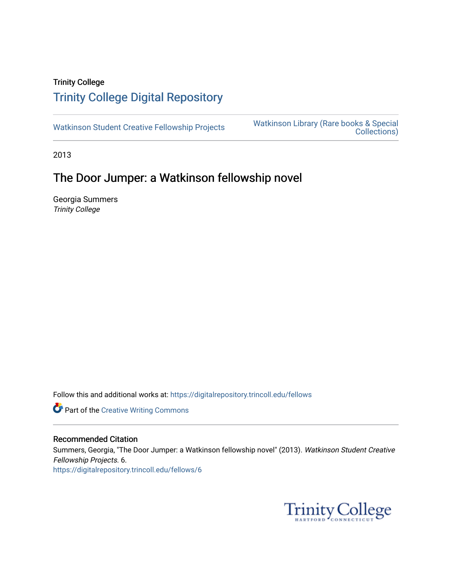## Trinity College [Trinity College Digital Repository](https://digitalrepository.trincoll.edu/)

[Watkinson Student Creative Fellowship Projects](https://digitalrepository.trincoll.edu/fellows) [Watkinson Library \(Rare books & Special](https://digitalrepository.trincoll.edu/watkinson)  [Collections\)](https://digitalrepository.trincoll.edu/watkinson) 

2013

# The Door Jumper: a Watkinson fellowship novel

Georgia Summers Trinity College

Follow this and additional works at: [https://digitalrepository.trincoll.edu/fellows](https://digitalrepository.trincoll.edu/fellows?utm_source=digitalrepository.trincoll.edu%2Ffellows%2F6&utm_medium=PDF&utm_campaign=PDFCoverPages) 

**Part of the Creative Writing Commons** 

### Recommended Citation

Summers, Georgia, "The Door Jumper: a Watkinson fellowship novel" (2013). Watkinson Student Creative Fellowship Projects. 6. [https://digitalrepository.trincoll.edu/fellows/6](https://digitalrepository.trincoll.edu/fellows/6?utm_source=digitalrepository.trincoll.edu%2Ffellows%2F6&utm_medium=PDF&utm_campaign=PDFCoverPages)

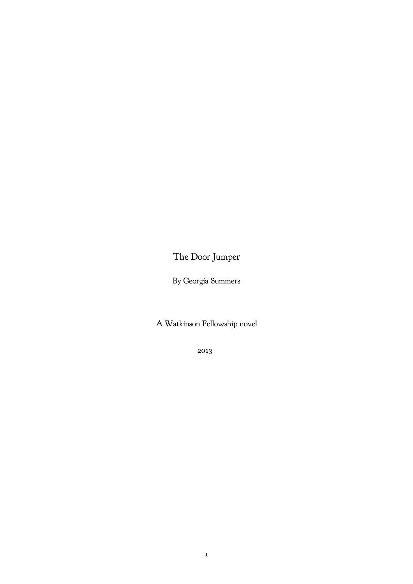The Door Jumper

By Georgia Summers

A Watkinson Fellowship novel

2013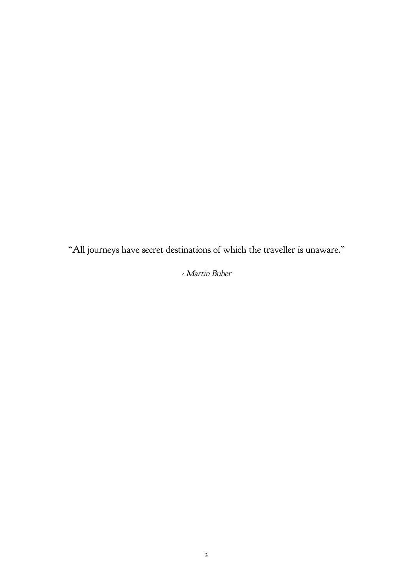"All journeys have secret destinations of which the traveller is unaware."

## - Martin Buber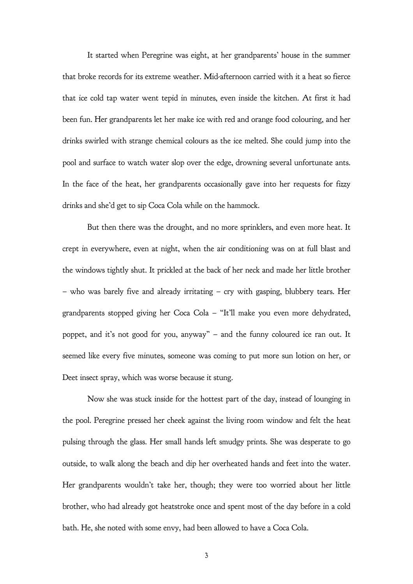It started when Peregrine was eight, at her grandparents' house in the summer that broke records for its extreme weather. Mid-afternoon carried with it a heat so fierce that ice cold tap water went tepid in minutes, even inside the kitchen. At first it had been fun. Her grandparents let her make ice with red and orange food colouring, and her drinks swirled with strange chemical colours as the ice melted. She could jump into the pool and surface to watch water slop over the edge, drowning several unfortunate ants. In the face of the heat, her grandparents occasionally gave into her requests for fizzy drinks and she'd get to sip Coca Cola while on the hammock.

But then there was the drought, and no more sprinklers, and even more heat. It crept in everywhere, even at night, when the air conditioning was on at full blast and the windows tightly shut. It prickled at the back of her neck and made her little brother – who was barely five and already irritating – cry with gasping, blubbery tears. Her grandparents stopped giving her Coca Cola – "It'll make you even more dehydrated, poppet, and it's not good for you, anyway" – and the funny coloured ice ran out. It seemed like every five minutes, someone was coming to put more sun lotion on her, or Deet insect spray, which was worse because it stung.

Now she was stuck inside for the hottest part of the day, instead of lounging in the pool. Peregrine pressed her cheek against the living room window and felt the heat pulsing through the glass. Her small hands left smudgy prints. She was desperate to go outside, to walk along the beach and dip her overheated hands and feet into the water. Her grandparents wouldn't take her, though; they were too worried about her little brother, who had already got heatstroke once and spent most of the day before in a cold bath. He, she noted with some envy, had been allowed to have a Coca Cola.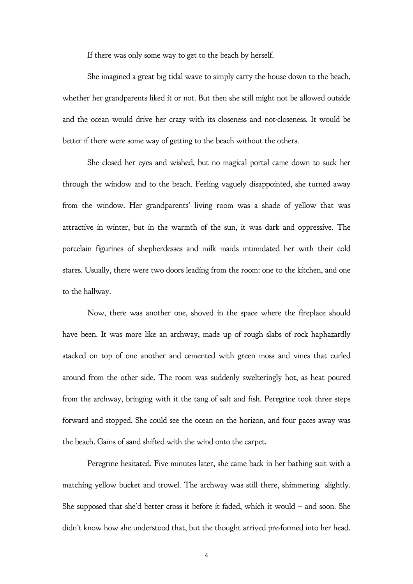If there was only some way to get to the beach by herself.

She imagined a great big tidal wave to simply carry the house down to the beach, whether her grandparents liked it or not. But then she still might not be allowed outside and the ocean would drive her crazy with its closeness and not-closeness. It would be better if there were some way of getting to the beach without the others.

She closed her eyes and wished, but no magical portal came down to suck her through the window and to the beach. Feeling vaguely disappointed, she turned away from the window. Her grandparents' living room was a shade of yellow that was attractive in winter, but in the warmth of the sun, it was dark and oppressive. The porcelain figurines of shepherdesses and milk maids intimidated her with their cold stares. Usually, there were two doors leading from the room: one to the kitchen, and one to the hallway.

Now, there was another one, shoved in the space where the fireplace should have been. It was more like an archway, made up of rough slabs of rock haphazardly stacked on top of one another and cemented with green moss and vines that curled around from the other side. The room was suddenly swelteringly hot, as heat poured from the archway, bringing with it the tang of salt and fish. Peregrine took three steps forward and stopped. She could see the ocean on the horizon, and four paces away was the beach. Gains of sand shifted with the wind onto the carpet.

Peregrine hesitated. Five minutes later, she came back in her bathing suit with a matching yellow bucket and trowel. The archway was still there, shimmering slightly. She supposed that she'd better cross it before it faded, which it would – and soon. She didn't know how she understood that, but the thought arrived pre-formed into her head.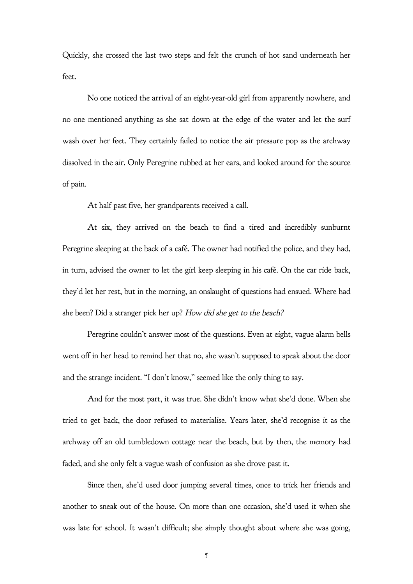Quickly, she crossed the last two steps and felt the crunch of hot sand underneath her feet.

No one noticed the arrival of an eight-year-old girl from apparently nowhere, and no one mentioned anything as she sat down at the edge of the water and let the surf wash over her feet. They certainly failed to notice the air pressure pop as the archway dissolved in the air. Only Peregrine rubbed at her ears, and looked around for the source of pain.

At half past five, her grandparents received a call.

At six, they arrived on the beach to find a tired and incredibly sunburnt Peregrine sleeping at the back of a café. The owner had notified the police, and they had, in turn, advised the owner to let the girl keep sleeping in his café. On the car ride back, they'd let her rest, but in the morning, an onslaught of questions had ensued. Where had she been? Did a stranger pick her up? How did she get to the beach?

Peregrine couldn't answer most of the questions. Even at eight, vague alarm bells went off in her head to remind her that no, she wasn't supposed to speak about the door and the strange incident. "I don't know," seemed like the only thing to say.

And for the most part, it was true. She didn't know what she'd done. When she tried to get back, the door refused to materialise. Years later, she'd recognise it as the archway off an old tumbledown cottage near the beach, but by then, the memory had faded, and she only felt a vague wash of confusion as she drove past it.

Since then, she'd used door jumping several times, once to trick her friends and another to sneak out of the house. On more than one occasion, she'd used it when she was late for school. It wasn't difficult; she simply thought about where she was going,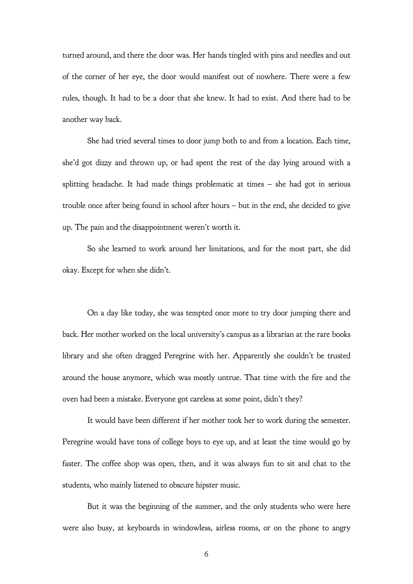turned around, and there the door was. Her hands tingled with pins and needles and out of the corner of her eye, the door would manifest out of nowhere. There were a few rules, though. It had to be a door that she knew. It had to exist. And there had to be another way back.

She had tried several times to door jump both to and from a location. Each time, she'd got dizzy and thrown up, or had spent the rest of the day lying around with a splitting headache. It had made things problematic at times – she had got in serious trouble once after being found in school after hours – but in the end, she decided to give up. The pain and the disappointment weren't worth it.

So she learned to work around her limitations, and for the most part, she did okay. Except for when she didn't.

On a day like today, she was tempted once more to try door jumping there and back. Her mother worked on the local university's campus as a librarian at the rare books library and she often dragged Peregrine with her. Apparently she couldn't be trusted around the house anymore, which was mostly untrue. That time with the fire and the oven had been a mistake. Everyone got careless at some point, didn't they?

It would have been different if her mother took her to work during the semester. Peregrine would have tons of college boys to eye up, and at least the time would go by faster. The coffee shop was open, then, and it was always fun to sit and chat to the students, who mainly listened to obscure hipster music.

But it was the beginning of the summer, and the only students who were here were also busy, at keyboards in windowless, airless rooms, or on the phone to angry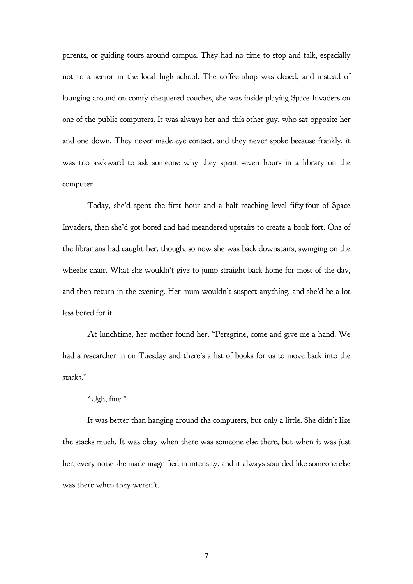parents, or guiding tours around campus. They had no time to stop and talk, especially not to a senior in the local high school. The coffee shop was closed, and instead of lounging around on comfy chequered couches, she was inside playing Space Invaders on one of the public computers. It was always her and this other guy, who sat opposite her and one down. They never made eye contact, and they never spoke because frankly, it was too awkward to ask someone why they spent seven hours in a library on the computer.

Today, she'd spent the first hour and a half reaching level fifty-four of Space Invaders, then she'd got bored and had meandered upstairs to create a book fort. One of the librarians had caught her, though, so now she was back downstairs, swinging on the wheelie chair. What she wouldn't give to jump straight back home for most of the day, and then return in the evening. Her mum wouldn't suspect anything, and she'd be a lot less bored for it.

At lunchtime, her mother found her. "Peregrine, come and give me a hand. We had a researcher in on Tuesday and there's a list of books for us to move back into the stacks."

### "Ugh, fine."

It was better than hanging around the computers, but only a little. She didn't like the stacks much. It was okay when there was someone else there, but when it was just her, every noise she made magnified in intensity, and it always sounded like someone else was there when they weren't.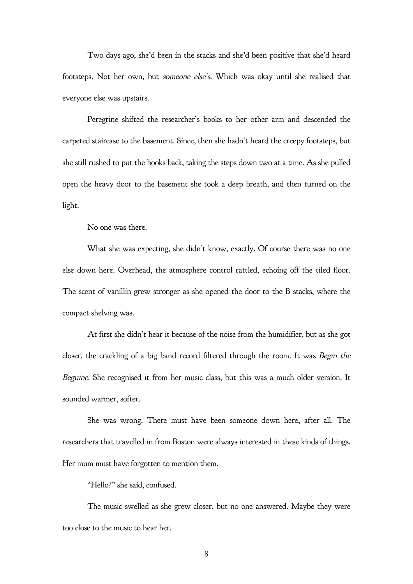Two days ago, she'd been in the stacks and she'd been positive that she'd heard footsteps. Not her own, but someone else's. Which was okay until she realised that everyone else was upstairs.

Peregrine shifted the researcher's books to her other arm and descended the carpeted staircase to the basement. Since, then she hadn't heard the creepy footsteps, but she still rushed to put the books back, taking the steps down two at a time. As she pulled open the heavy door to the basement she took a deep breath, and then turned on the light.

No one was there.

What she was expecting, she didn't know, exactly. Of course there was no one else down here. Overhead, the atmosphere control rattled, echoing off the tiled floor. The scent of vanillin grew stronger as she opened the door to the B stacks, where the compact shelving was.

At first she didn't hear it because of the noise from the humidifier, but as she got closer, the crackling of a big band record filtered through the room. It was Begin the Beguine. She recognised it from her music class, but this was a much older version. It sounded warmer, softer.

She was wrong. There must have been someone down here, after all. The researchers that travelled in from Boston were always interested in these kinds of things. Her mum must have forgotten to mention them.

"Hello?" she said, confused.

The music swelled as she grew closer, but no one answered. Maybe they were too close to the music to hear her.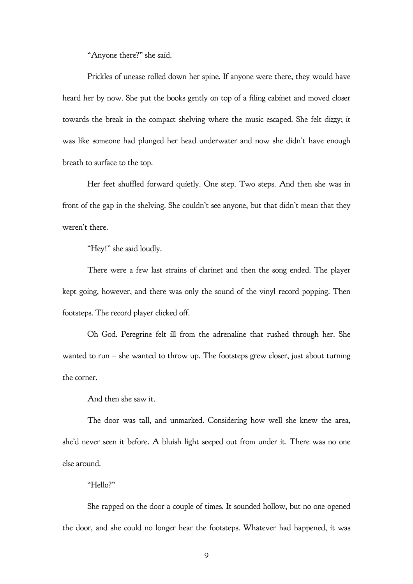"Anyone there?" she said.

Prickles of unease rolled down her spine. If anyone were there, they would have heard her by now. She put the books gently on top of a filing cabinet and moved closer towards the break in the compact shelving where the music escaped. She felt dizzy; it was like someone had plunged her head underwater and now she didn't have enough breath to surface to the top.

Her feet shuffled forward quietly. One step. Two steps. And then she was in front of the gap in the shelving. She couldn't see anyone, but that didn't mean that they weren't there.

"Hey!" she said loudly.

There were a few last strains of clarinet and then the song ended. The player kept going, however, and there was only the sound of the vinyl record popping. Then footsteps. The record player clicked off.

Oh God. Peregrine felt ill from the adrenaline that rushed through her. She wanted to run – she wanted to throw up. The footsteps grew closer, just about turning the corner.

And then she saw it.

The door was tall, and unmarked. Considering how well she knew the area, she'd never seen it before. A bluish light seeped out from under it. There was no one else around.

#### "Hello?"

She rapped on the door a couple of times. It sounded hollow, but no one opened the door, and she could no longer hear the footsteps. Whatever had happened, it was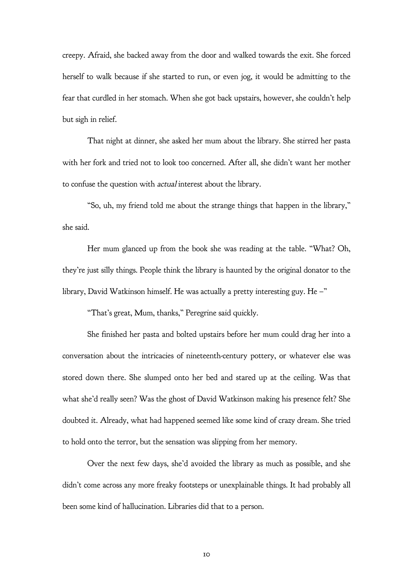creepy. Afraid, she backed away from the door and walked towards the exit. She forced herself to walk because if she started to run, or even jog, it would be admitting to the fear that curdled in her stomach. When she got back upstairs, however, she couldn't help but sigh in relief.

That night at dinner, she asked her mum about the library. She stirred her pasta with her fork and tried not to look too concerned. After all, she didn't want her mother to confuse the question with actual interest about the library.

"So, uh, my friend told me about the strange things that happen in the library," she said.

Her mum glanced up from the book she was reading at the table. "What? Oh, they're just silly things. People think the library is haunted by the original donator to the library, David Watkinson himself. He was actually a pretty interesting guy. He –"

"That's great, Mum, thanks," Peregrine said quickly.

She finished her pasta and bolted upstairs before her mum could drag her into a conversation about the intricacies of nineteenth-century pottery, or whatever else was stored down there. She slumped onto her bed and stared up at the ceiling. Was that what she'd really seen? Was the ghost of David Watkinson making his presence felt? She doubted it. Already, what had happened seemed like some kind of crazy dream. She tried to hold onto the terror, but the sensation was slipping from her memory.

Over the next few days, she'd avoided the library as much as possible, and she didn't come across any more freaky footsteps or unexplainable things. It had probably all been some kind of hallucination. Libraries did that to a person.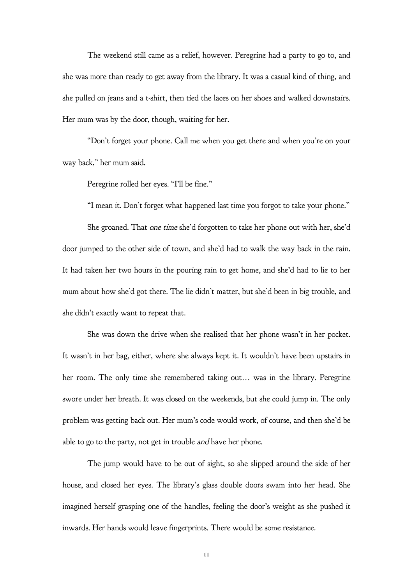The weekend still came as a relief, however. Peregrine had a party to go to, and she was more than ready to get away from the library. It was a casual kind of thing, and she pulled on jeans and a t-shirt, then tied the laces on her shoes and walked downstairs. Her mum was by the door, though, waiting for her.

"Don't forget your phone. Call me when you get there and when you're on your way back," her mum said.

Peregrine rolled her eyes. "I'll be fine."

"I mean it. Don't forget what happened last time you forgot to take your phone."

She groaned. That one time she'd forgotten to take her phone out with her, she'd door jumped to the other side of town, and she'd had to walk the way back in the rain. It had taken her two hours in the pouring rain to get home, and she'd had to lie to her mum about how she'd got there. The lie didn't matter, but she'd been in big trouble, and she didn't exactly want to repeat that.

She was down the drive when she realised that her phone wasn't in her pocket. It wasn't in her bag, either, where she always kept it. It wouldn't have been upstairs in her room. The only time she remembered taking out… was in the library. Peregrine swore under her breath. It was closed on the weekends, but she could jump in. The only problem was getting back out. Her mum's code would work, of course, and then she'd be able to go to the party, not get in trouble and have her phone.

The jump would have to be out of sight, so she slipped around the side of her house, and closed her eyes. The library's glass double doors swam into her head. She imagined herself grasping one of the handles, feeling the door's weight as she pushed it inwards. Her hands would leave fingerprints. There would be some resistance.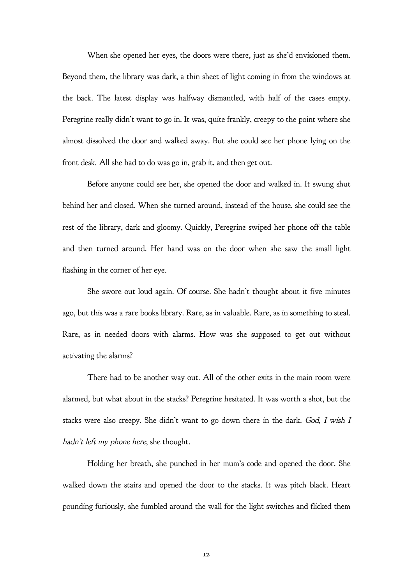When she opened her eyes, the doors were there, just as she'd envisioned them. Beyond them, the library was dark, a thin sheet of light coming in from the windows at the back. The latest display was halfway dismantled, with half of the cases empty. Peregrine really didn't want to go in. It was, quite frankly, creepy to the point where she almost dissolved the door and walked away. But she could see her phone lying on the front desk. All she had to do was go in, grab it, and then get out.

Before anyone could see her, she opened the door and walked in. It swung shut behind her and closed. When she turned around, instead of the house, she could see the rest of the library, dark and gloomy. Quickly, Peregrine swiped her phone off the table and then turned around. Her hand was on the door when she saw the small light flashing in the corner of her eye.

She swore out loud again. Of course. She hadn't thought about it five minutes ago, but this was a rare books library. Rare, as in valuable. Rare, as in something to steal. Rare, as in needed doors with alarms. How was she supposed to get out without activating the alarms?

There had to be another way out. All of the other exits in the main room were alarmed, but what about in the stacks? Peregrine hesitated. It was worth a shot, but the stacks were also creepy. She didn't want to go down there in the dark. God, I wish I hadn't left my phone here, she thought.

Holding her breath, she punched in her mum's code and opened the door. She walked down the stairs and opened the door to the stacks. It was pitch black. Heart pounding furiously, she fumbled around the wall for the light switches and flicked them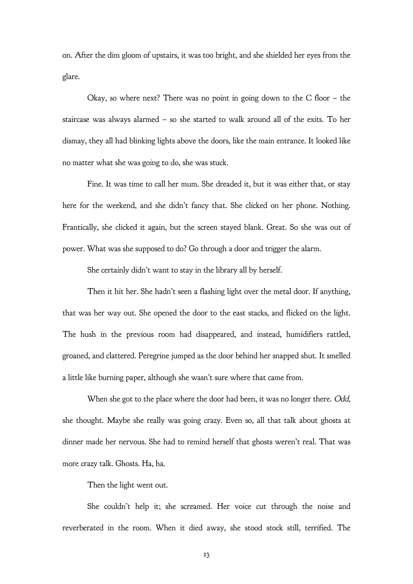on. After the dim gloom of upstairs, it was too bright, and she shielded her eyes from the glare.

Okay, so where next? There was no point in going down to the C floor – the staircase was always alarmed – so she started to walk around all of the exits. To her dismay, they all had blinking lights above the doors, like the main entrance. It looked like no matter what she was going to do, she was stuck.

Fine. It was time to call her mum. She dreaded it, but it was either that, or stay here for the weekend, and she didn't fancy that. She clicked on her phone. Nothing. Frantically, she clicked it again, but the screen stayed blank. Great. So she was out of power. What was she supposed to do? Go through a door and trigger the alarm.

She certainly didn't want to stay in the library all by herself.

Then it hit her. She hadn't seen a flashing light over the metal door. If anything, that was her way out. She opened the door to the east stacks, and flicked on the light. The hush in the previous room had disappeared, and instead, humidifiers rattled, groaned, and clattered. Peregrine jumped as the door behind her snapped shut. It smelled a little like burning paper, although she wasn't sure where that came from.

When she got to the place where the door had been, it was no longer there. Odd, she thought. Maybe she really was going crazy. Even so, all that talk about ghosts at dinner made her nervous. She had to remind herself that ghosts weren't real. That was more crazy talk. Ghosts. Ha, ha.

Then the light went out.

She couldn't help it; she screamed. Her voice cut through the noise and reverberated in the room. When it died away, she stood stock still, terrified. The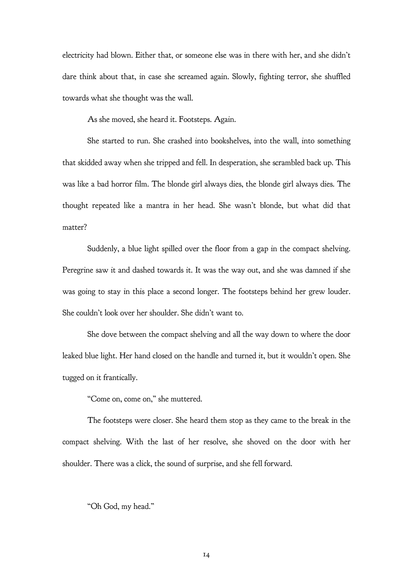electricity had blown. Either that, or someone else was in there with her, and she didn't dare think about that, in case she screamed again. Slowly, fighting terror, she shuffled towards what she thought was the wall.

As she moved, she heard it. Footsteps. Again.

She started to run. She crashed into bookshelves, into the wall, into something that skidded away when she tripped and fell. In desperation, she scrambled back up. This was like a bad horror film. The blonde girl always dies, the blonde girl always dies. The thought repeated like a mantra in her head. She wasn't blonde, but what did that matter?

Suddenly, a blue light spilled over the floor from a gap in the compact shelving. Peregrine saw it and dashed towards it. It was the way out, and she was damned if she was going to stay in this place a second longer. The footsteps behind her grew louder. She couldn't look over her shoulder. She didn't want to.

She dove between the compact shelving and all the way down to where the door leaked blue light. Her hand closed on the handle and turned it, but it wouldn't open. She tugged on it frantically.

"Come on, come on," she muttered.

The footsteps were closer. She heard them stop as they came to the break in the compact shelving. With the last of her resolve, she shoved on the door with her shoulder. There was a click, the sound of surprise, and she fell forward.

"Oh God, my head."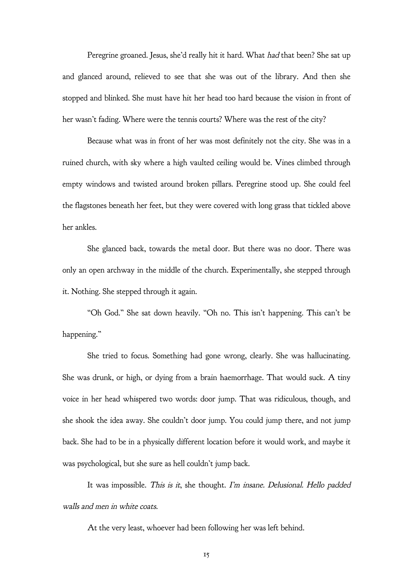Peregrine groaned. Jesus, she'd really hit it hard. What had that been? She sat up and glanced around, relieved to see that she was out of the library. And then she stopped and blinked. She must have hit her head too hard because the vision in front of her wasn't fading. Where were the tennis courts? Where was the rest of the city?

Because what was in front of her was most definitely not the city. She was in a ruined church, with sky where a high vaulted ceiling would be. Vines climbed through empty windows and twisted around broken pillars. Peregrine stood up. She could feel the flagstones beneath her feet, but they were covered with long grass that tickled above her ankles.

She glanced back, towards the metal door. But there was no door. There was only an open archway in the middle of the church. Experimentally, she stepped through it. Nothing. She stepped through it again.

"Oh God." She sat down heavily. "Oh no. This isn't happening. This can't be happening."

She tried to focus. Something had gone wrong, clearly. She was hallucinating. She was drunk, or high, or dying from a brain haemorrhage. That would suck. A tiny voice in her head whispered two words: door jump. That was ridiculous, though, and she shook the idea away. She couldn't door jump. You could jump there, and not jump back. She had to be in a physically different location before it would work, and maybe it was psychological, but she sure as hell couldn't jump back.

It was impossible. This is it, she thought. I'm insane. Delusional. Hello padded walls and men in white coats.

At the very least, whoever had been following her was left behind.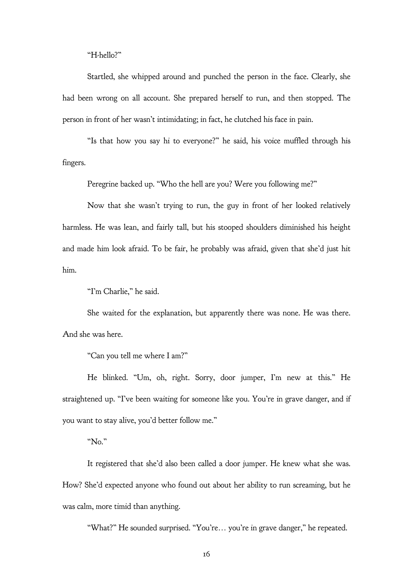"H-hello?"

Startled, she whipped around and punched the person in the face. Clearly, she had been wrong on all account. She prepared herself to run, and then stopped. The person in front of her wasn't intimidating; in fact, he clutched his face in pain.

"Is that how you say hi to everyone?" he said, his voice muffled through his fingers.

Peregrine backed up. "Who the hell are you? Were you following me?"

Now that she wasn't trying to run, the guy in front of her looked relatively harmless. He was lean, and fairly tall, but his stooped shoulders diminished his height and made him look afraid. To be fair, he probably was afraid, given that she'd just hit him.

"I'm Charlie," he said.

She waited for the explanation, but apparently there was none. He was there. And she was here.

"Can you tell me where I am?"

He blinked. "Um, oh, right. Sorry, door jumper, I'm new at this." He straightened up. "I've been waiting for someone like you. You're in grave danger, and if you want to stay alive, you'd better follow me."

"No."

It registered that she'd also been called a door jumper. He knew what she was. How? She'd expected anyone who found out about her ability to run screaming, but he was calm, more timid than anything.

"What?" He sounded surprised. "You're… you're in grave danger," he repeated.

16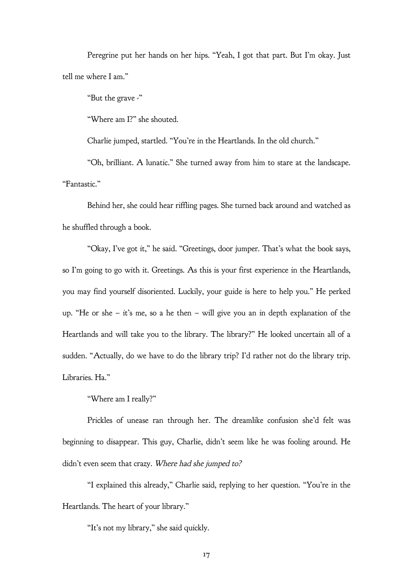Peregrine put her hands on her hips. "Yeah, I got that part. But I'm okay. Just tell me where I am."

"But the grave -"

"Where am I?" she shouted.

Charlie jumped, startled. "You're in the Heartlands. In the old church."

"Oh, brilliant. A lunatic." She turned away from him to stare at the landscape. "Fantastic."

Behind her, she could hear riffling pages. She turned back around and watched as he shuffled through a book.

"Okay, I've got it," he said. "Greetings, door jumper. That's what the book says, so I'm going to go with it. Greetings. As this is your first experience in the Heartlands, you may find yourself disoriented. Luckily, your guide is here to help you." He perked up. "He or she – it's me, so a he then – will give you an in depth explanation of the Heartlands and will take you to the library. The library?" He looked uncertain all of a sudden. "Actually, do we have to do the library trip? I'd rather not do the library trip. Libraries. Ha."

"Where am I really?"

Prickles of unease ran through her. The dreamlike confusion she'd felt was beginning to disappear. This guy, Charlie, didn't seem like he was fooling around. He didn't even seem that crazy. Where had she jumped to?

"I explained this already," Charlie said, replying to her question. "You're in the Heartlands. The heart of your library."

"It's not my library," she said quickly.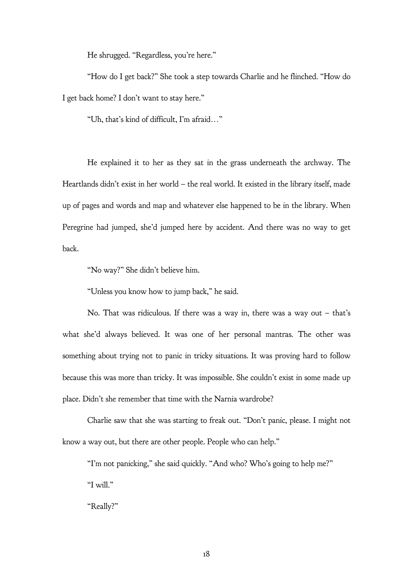He shrugged. "Regardless, you're here."

"How do I get back?" She took a step towards Charlie and he flinched. "How do I get back home? I don't want to stay here."

"Uh, that's kind of difficult, I'm afraid…"

He explained it to her as they sat in the grass underneath the archway. The Heartlands didn't exist in her world – the real world. It existed in the library itself, made up of pages and words and map and whatever else happened to be in the library. When Peregrine had jumped, she'd jumped here by accident. And there was no way to get back.

"No way?" She didn't believe him.

"Unless you know how to jump back," he said.

No. That was ridiculous. If there was a way in, there was a way out – that's what she'd always believed. It was one of her personal mantras. The other was something about trying not to panic in tricky situations. It was proving hard to follow because this was more than tricky. It was impossible. She couldn't exist in some made up place. Didn't she remember that time with the Narnia wardrobe?

Charlie saw that she was starting to freak out. "Don't panic, please. I might not know a way out, but there are other people. People who can help."

"I'm not panicking," she said quickly. "And who? Who's going to help me?" "I will."

"Really?"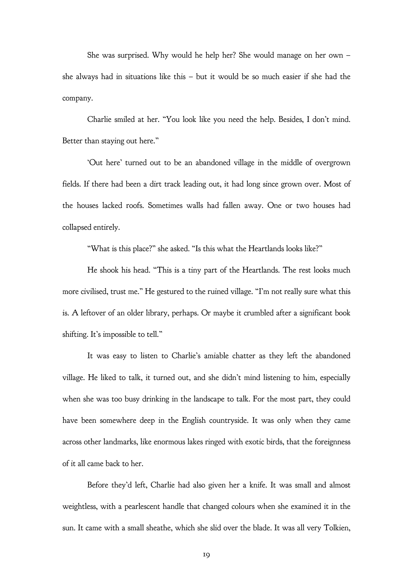She was surprised. Why would he help her? She would manage on her own – she always had in situations like this – but it would be so much easier if she had the company.

Charlie smiled at her. "You look like you need the help. Besides, I don't mind. Better than staying out here."

'Out here' turned out to be an abandoned village in the middle of overgrown fields. If there had been a dirt track leading out, it had long since grown over. Most of the houses lacked roofs. Sometimes walls had fallen away. One or two houses had collapsed entirely.

"What is this place?" she asked. "Is this what the Heartlands looks like?"

He shook his head. "This is a tiny part of the Heartlands. The rest looks much more civilised, trust me." He gestured to the ruined village. "I'm not really sure what this is. A leftover of an older library, perhaps. Or maybe it crumbled after a significant book shifting. It's impossible to tell."

It was easy to listen to Charlie's amiable chatter as they left the abandoned village. He liked to talk, it turned out, and she didn't mind listening to him, especially when she was too busy drinking in the landscape to talk. For the most part, they could have been somewhere deep in the English countryside. It was only when they came across other landmarks, like enormous lakes ringed with exotic birds, that the foreignness of it all came back to her.

Before they'd left, Charlie had also given her a knife. It was small and almost weightless, with a pearlescent handle that changed colours when she examined it in the sun. It came with a small sheathe, which she slid over the blade. It was all very Tolkien,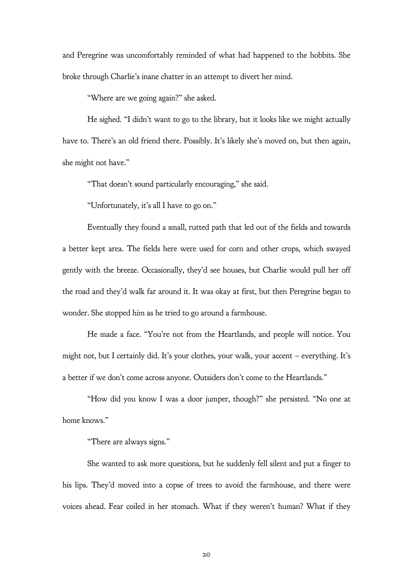and Peregrine was uncomfortably reminded of what had happened to the hobbits. She broke through Charlie's inane chatter in an attempt to divert her mind.

"Where are we going again?" she asked.

He sighed. "I didn't want to go to the library, but it looks like we might actually have to. There's an old friend there. Possibly. It's likely she's moved on, but then again, she might not have."

"That doesn't sound particularly encouraging," she said.

"Unfortunately, it's all I have to go on."

Eventually they found a small, rutted path that led out of the fields and towards a better kept area. The fields here were used for corn and other crops, which swayed gently with the breeze. Occasionally, they'd see houses, but Charlie would pull her off the road and they'd walk far around it. It was okay at first, but then Peregrine began to wonder. She stopped him as he tried to go around a farmhouse.

He made a face. "You're not from the Heartlands, and people will notice. You might not, but I certainly did. It's your clothes, your walk, your accent – everything. It's a better if we don't come across anyone. Outsiders don't come to the Heartlands."

"How did you know I was a door jumper, though?" she persisted. "No one at home knows."

"There are always signs."

She wanted to ask more questions, but he suddenly fell silent and put a finger to his lips. They'd moved into a copse of trees to avoid the farmhouse, and there were voices ahead. Fear coiled in her stomach. What if they weren't human? What if they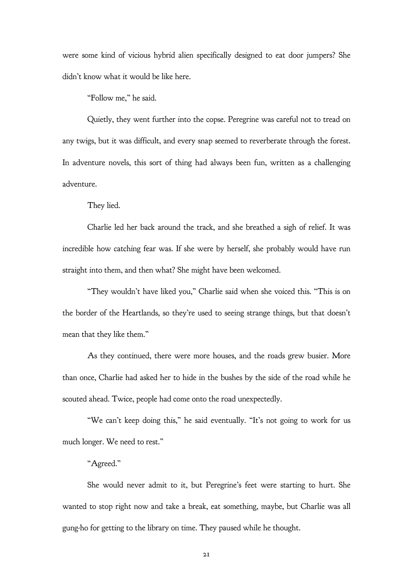were some kind of vicious hybrid alien specifically designed to eat door jumpers? She didn't know what it would be like here.

"Follow me," he said.

Quietly, they went further into the copse. Peregrine was careful not to tread on any twigs, but it was difficult, and every snap seemed to reverberate through the forest. In adventure novels, this sort of thing had always been fun, written as a challenging adventure.

They lied.

Charlie led her back around the track, and she breathed a sigh of relief. It was incredible how catching fear was. If she were by herself, she probably would have run straight into them, and then what? She might have been welcomed.

"They wouldn't have liked you," Charlie said when she voiced this. "This is on the border of the Heartlands, so they're used to seeing strange things, but that doesn't mean that they like them."

As they continued, there were more houses, and the roads grew busier. More than once, Charlie had asked her to hide in the bushes by the side of the road while he scouted ahead. Twice, people had come onto the road unexpectedly.

"We can't keep doing this," he said eventually. "It's not going to work for us much longer. We need to rest."

### "Agreed."

She would never admit to it, but Peregrine's feet were starting to hurt. She wanted to stop right now and take a break, eat something, maybe, but Charlie was all gung-ho for getting to the library on time. They paused while he thought.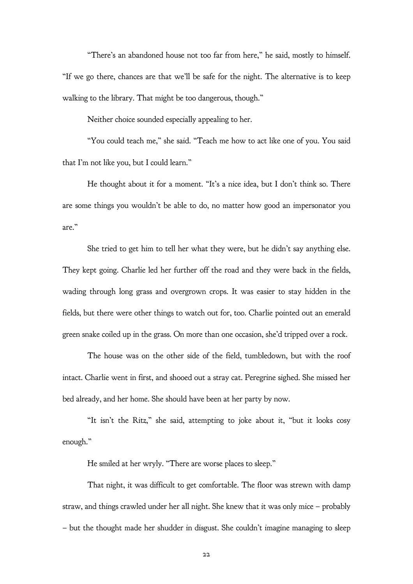"There's an abandoned house not too far from here," he said, mostly to himself. "If we go there, chances are that we'll be safe for the night. The alternative is to keep walking to the library. That might be too dangerous, though."

Neither choice sounded especially appealing to her.

"You could teach me," she said. "Teach me how to act like one of you. You said that I'm not like you, but I could learn."

He thought about it for a moment. "It's a nice idea, but I don't think so. There are some things you wouldn't be able to do, no matter how good an impersonator you are."

She tried to get him to tell her what they were, but he didn't say anything else. They kept going. Charlie led her further off the road and they were back in the fields, wading through long grass and overgrown crops. It was easier to stay hidden in the fields, but there were other things to watch out for, too. Charlie pointed out an emerald green snake coiled up in the grass. On more than one occasion, she'd tripped over a rock.

The house was on the other side of the field, tumbledown, but with the roof intact. Charlie went in first, and shooed out a stray cat. Peregrine sighed. She missed her bed already, and her home. She should have been at her party by now.

"It isn't the Ritz," she said, attempting to joke about it, "but it looks cosy enough."

He smiled at her wryly. "There are worse places to sleep."

That night, it was difficult to get comfortable. The floor was strewn with damp straw, and things crawled under her all night. She knew that it was only mice – probably – but the thought made her shudder in disgust. She couldn't imagine managing to sleep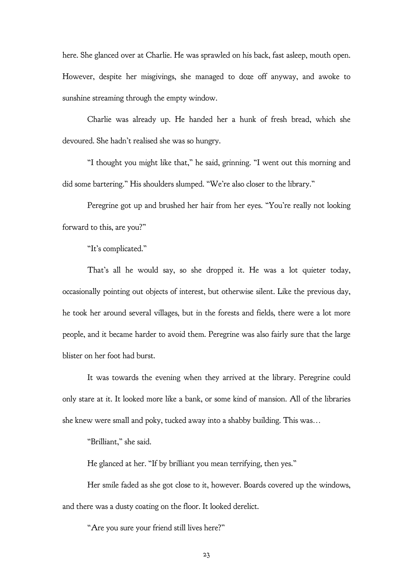here. She glanced over at Charlie. He was sprawled on his back, fast asleep, mouth open. However, despite her misgivings, she managed to doze off anyway, and awoke to sunshine streaming through the empty window.

Charlie was already up. He handed her a hunk of fresh bread, which she devoured. She hadn't realised she was so hungry.

"I thought you might like that," he said, grinning. "I went out this morning and did some bartering." His shoulders slumped. "We're also closer to the library."

Peregrine got up and brushed her hair from her eyes. "You're really not looking forward to this, are you?"

"It's complicated."

That's all he would say, so she dropped it. He was a lot quieter today, occasionally pointing out objects of interest, but otherwise silent. Like the previous day, he took her around several villages, but in the forests and fields, there were a lot more people, and it became harder to avoid them. Peregrine was also fairly sure that the large blister on her foot had burst.

It was towards the evening when they arrived at the library. Peregrine could only stare at it. It looked more like a bank, or some kind of mansion. All of the libraries she knew were small and poky, tucked away into a shabby building. This was…

"Brilliant," she said.

He glanced at her. "If by brilliant you mean terrifying, then yes."

Her smile faded as she got close to it, however. Boards covered up the windows, and there was a dusty coating on the floor. It looked derelict.

"Are you sure your friend still lives here?"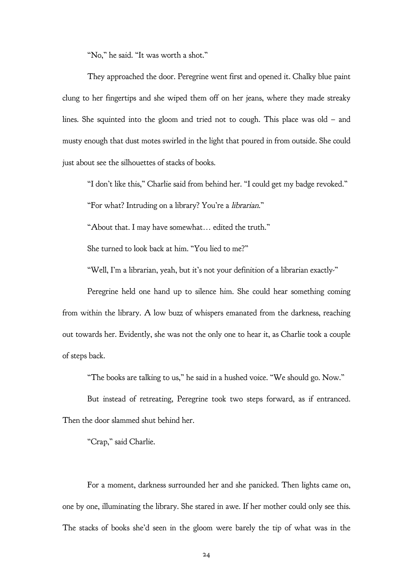"No," he said. "It was worth a shot."

They approached the door. Peregrine went first and opened it. Chalky blue paint clung to her fingertips and she wiped them off on her jeans, where they made streaky lines. She squinted into the gloom and tried not to cough. This place was old – and musty enough that dust motes swirled in the light that poured in from outside. She could just about see the silhouettes of stacks of books.

"I don't like this," Charlie said from behind her. "I could get my badge revoked."

"For what? Intruding on a library? You're a librarian."

"About that. I may have somewhat… edited the truth."

She turned to look back at him. "You lied to me?"

"Well, I'm a librarian, yeah, but it's not your definition of a librarian exactly-"

Peregrine held one hand up to silence him. She could hear something coming from within the library. A low buzz of whispers emanated from the darkness, reaching out towards her. Evidently, she was not the only one to hear it, as Charlie took a couple of steps back.

"The books are talking to us," he said in a hushed voice. "We should go. Now."

But instead of retreating, Peregrine took two steps forward, as if entranced.

Then the door slammed shut behind her.

"Crap," said Charlie.

For a moment, darkness surrounded her and she panicked. Then lights came on, one by one, illuminating the library. She stared in awe. If her mother could only see this. The stacks of books she'd seen in the gloom were barely the tip of what was in the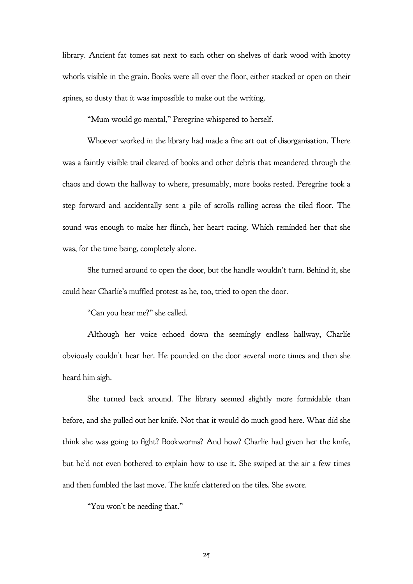library. Ancient fat tomes sat next to each other on shelves of dark wood with knotty whorls visible in the grain. Books were all over the floor, either stacked or open on their spines, so dusty that it was impossible to make out the writing.

"Mum would go mental," Peregrine whispered to herself.

Whoever worked in the library had made a fine art out of disorganisation. There was a faintly visible trail cleared of books and other debris that meandered through the chaos and down the hallway to where, presumably, more books rested. Peregrine took a step forward and accidentally sent a pile of scrolls rolling across the tiled floor. The sound was enough to make her flinch, her heart racing. Which reminded her that she was, for the time being, completely alone.

She turned around to open the door, but the handle wouldn't turn. Behind it, she could hear Charlie's muffled protest as he, too, tried to open the door.

"Can you hear me?" she called.

Although her voice echoed down the seemingly endless hallway, Charlie obviously couldn't hear her. He pounded on the door several more times and then she heard him sigh.

She turned back around. The library seemed slightly more formidable than before, and she pulled out her knife. Not that it would do much good here. What did she think she was going to fight? Bookworms? And how? Charlie had given her the knife, but he'd not even bothered to explain how to use it. She swiped at the air a few times and then fumbled the last move. The knife clattered on the tiles. She swore.

"You won't be needing that."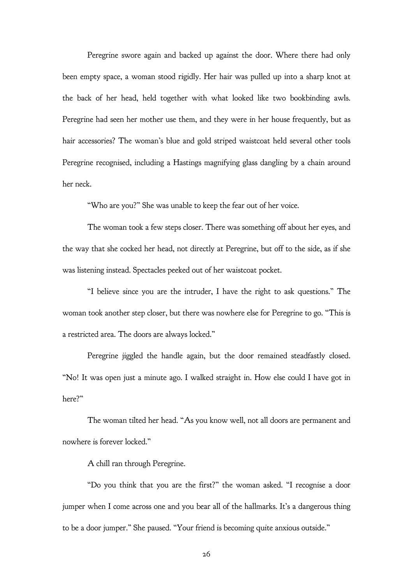Peregrine swore again and backed up against the door. Where there had only been empty space, a woman stood rigidly. Her hair was pulled up into a sharp knot at the back of her head, held together with what looked like two bookbinding awls. Peregrine had seen her mother use them, and they were in her house frequently, but as hair accessories? The woman's blue and gold striped waistcoat held several other tools Peregrine recognised, including a Hastings magnifying glass dangling by a chain around her neck.

"Who are you?" She was unable to keep the fear out of her voice.

The woman took a few steps closer. There was something off about her eyes, and the way that she cocked her head, not directly at Peregrine, but off to the side, as if she was listening instead. Spectacles peeked out of her waistcoat pocket.

"I believe since you are the intruder, I have the right to ask questions." The woman took another step closer, but there was nowhere else for Peregrine to go. "This is a restricted area. The doors are always locked."

Peregrine jiggled the handle again, but the door remained steadfastly closed. "No! It was open just a minute ago. I walked straight in. How else could I have got in here?"

The woman tilted her head. "As you know well, not all doors are permanent and nowhere is forever locked."

A chill ran through Peregrine.

"Do you think that you are the first?" the woman asked. "I recognise a door jumper when I come across one and you bear all of the hallmarks. It's a dangerous thing to be a door jumper." She paused. "Your friend is becoming quite anxious outside."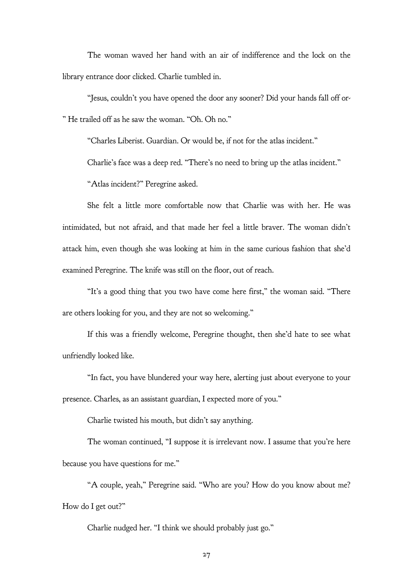The woman waved her hand with an air of indifference and the lock on the library entrance door clicked. Charlie tumbled in.

"Jesus, couldn't you have opened the door any sooner? Did your hands fall off or- " He trailed off as he saw the woman. "Oh. Oh no."

"Charles Liberist. Guardian. Or would be, if not for the atlas incident."

Charlie's face was a deep red. "There's no need to bring up the atlas incident."

"Atlas incident?" Peregrine asked.

She felt a little more comfortable now that Charlie was with her. He was intimidated, but not afraid, and that made her feel a little braver. The woman didn't attack him, even though she was looking at him in the same curious fashion that she'd examined Peregrine. The knife was still on the floor, out of reach.

"It's a good thing that you two have come here first," the woman said. "There are others looking for you, and they are not so welcoming."

If this was a friendly welcome, Peregrine thought, then she'd hate to see what unfriendly looked like.

"In fact, you have blundered your way here, alerting just about everyone to your presence. Charles, as an assistant guardian, I expected more of you."

Charlie twisted his mouth, but didn't say anything.

The woman continued, "I suppose it is irrelevant now. I assume that you're here because you have questions for me."

"A couple, yeah," Peregrine said. "Who are you? How do you know about me? How do I get out?"

Charlie nudged her. "I think we should probably just go."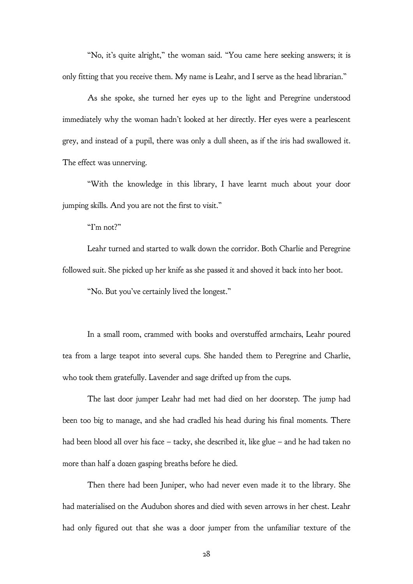"No, it's quite alright," the woman said. "You came here seeking answers; it is only fitting that you receive them. My name is Leahr, and I serve as the head librarian."

As she spoke, she turned her eyes up to the light and Peregrine understood immediately why the woman hadn't looked at her directly. Her eyes were a pearlescent grey, and instead of a pupil, there was only a dull sheen, as if the iris had swallowed it. The effect was unnerving.

"With the knowledge in this library, I have learnt much about your door jumping skills. And you are not the first to visit."

"I'm not?"

Leahr turned and started to walk down the corridor. Both Charlie and Peregrine followed suit. She picked up her knife as she passed it and shoved it back into her boot.

"No. But you've certainly lived the longest."

In a small room, crammed with books and overstuffed armchairs, Leahr poured tea from a large teapot into several cups. She handed them to Peregrine and Charlie, who took them gratefully. Lavender and sage drifted up from the cups.

The last door jumper Leahr had met had died on her doorstep. The jump had been too big to manage, and she had cradled his head during his final moments. There had been blood all over his face – tacky, she described it, like glue – and he had taken no more than half a dozen gasping breaths before he died.

Then there had been Juniper, who had never even made it to the library. She had materialised on the Audubon shores and died with seven arrows in her chest. Leahr had only figured out that she was a door jumper from the unfamiliar texture of the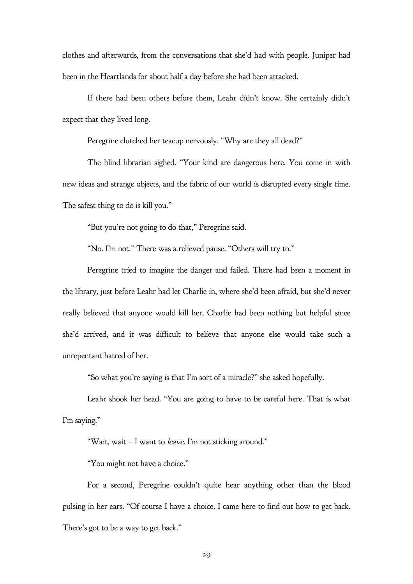clothes and afterwards, from the conversations that she'd had with people. Juniper had been in the Heartlands for about half a day before she had been attacked.

If there had been others before them, Leahr didn't know. She certainly didn't expect that they lived long.

Peregrine clutched her teacup nervously. "Why are they all dead?"

The blind librarian sighed. "Your kind are dangerous here. You come in with new ideas and strange objects, and the fabric of our world is disrupted every single time. The safest thing to do is kill you."

"But you're not going to do that," Peregrine said.

"No. I'm not." There was a relieved pause. "Others will try to."

Peregrine tried to imagine the danger and failed. There had been a moment in the library, just before Leahr had let Charlie in, where she'd been afraid, but she'd never really believed that anyone would kill her. Charlie had been nothing but helpful since she'd arrived, and it was difficult to believe that anyone else would take such a unrepentant hatred of her.

"So what you're saying is that I'm sort of a miracle?" she asked hopefully.

Leahr shook her head. "You are going to have to be careful here. That is what I'm saying."

"Wait, wait – I want to leave. I'm not sticking around."

"You might not have a choice."

For a second, Peregrine couldn't quite hear anything other than the blood pulsing in her ears. "Of course I have a choice. I came here to find out how to get back. There's got to be a way to get back."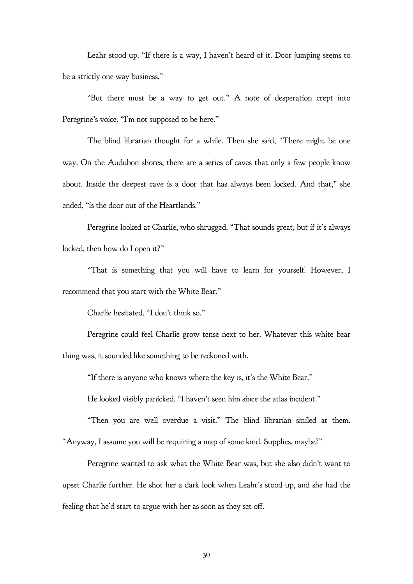Leahr stood up. "If there is a way, I haven't heard of it. Door jumping seems to be a strictly one way business."

"But there must be a way to get out." A note of desperation crept into Peregrine's voice. "I'm not supposed to be here."

The blind librarian thought for a while. Then she said, "There might be one way. On the Audubon shores, there are a series of caves that only a few people know about. Inside the deepest cave is a door that has always been locked. And that," she ended, "is the door out of the Heartlands."

Peregrine looked at Charlie, who shrugged. "That sounds great, but if it's always locked, then how do I open it?"

"That is something that you will have to learn for yourself. However, I recommend that you start with the White Bear."

Charlie hesitated. "I don't think so."

Peregrine could feel Charlie grow tense next to her. Whatever this white bear thing was, it sounded like something to be reckoned with.

"If there is anyone who knows where the key is, it's the White Bear."

He looked visibly panicked. "I haven't seen him since the atlas incident."

"Then you are well overdue a visit." The blind librarian smiled at them. "Anyway, I assume you will be requiring a map of some kind. Supplies, maybe?"

Peregrine wanted to ask what the White Bear was, but she also didn't want to upset Charlie further. He shot her a dark look when Leahr's stood up, and she had the feeling that he'd start to argue with her as soon as they set off.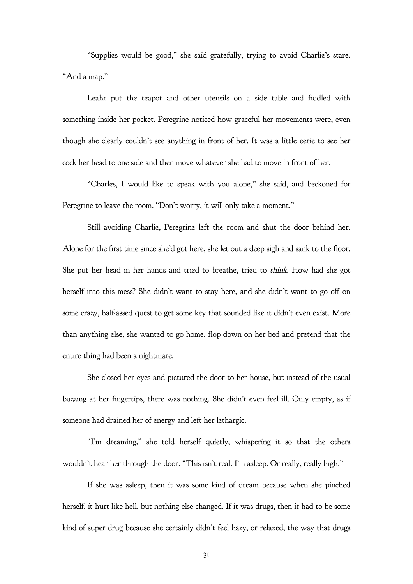"Supplies would be good," she said gratefully, trying to avoid Charlie's stare. "And a map."

Leahr put the teapot and other utensils on a side table and fiddled with something inside her pocket. Peregrine noticed how graceful her movements were, even though she clearly couldn't see anything in front of her. It was a little eerie to see her cock her head to one side and then move whatever she had to move in front of her.

"Charles, I would like to speak with you alone," she said, and beckoned for Peregrine to leave the room. "Don't worry, it will only take a moment."

Still avoiding Charlie, Peregrine left the room and shut the door behind her. Alone for the first time since she'd got here, she let out a deep sigh and sank to the floor. She put her head in her hands and tried to breathe, tried to think. How had she got herself into this mess? She didn't want to stay here, and she didn't want to go off on some crazy, half-assed quest to get some key that sounded like it didn't even exist. More than anything else, she wanted to go home, flop down on her bed and pretend that the entire thing had been a nightmare.

She closed her eyes and pictured the door to her house, but instead of the usual buzzing at her fingertips, there was nothing. She didn't even feel ill. Only empty, as if someone had drained her of energy and left her lethargic.

"I'm dreaming," she told herself quietly, whispering it so that the others wouldn't hear her through the door. "This isn't real. I'm asleep. Or really, really high."

If she was asleep, then it was some kind of dream because when she pinched herself, it hurt like hell, but nothing else changed. If it was drugs, then it had to be some kind of super drug because she certainly didn't feel hazy, or relaxed, the way that drugs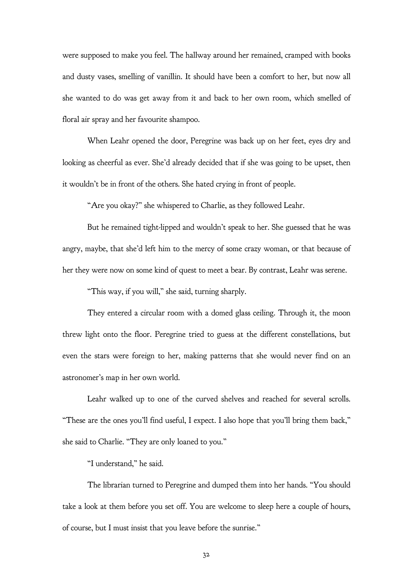were supposed to make you feel. The hallway around her remained, cramped with books and dusty vases, smelling of vanillin. It should have been a comfort to her, but now all she wanted to do was get away from it and back to her own room, which smelled of floral air spray and her favourite shampoo.

When Leahr opened the door, Peregrine was back up on her feet, eyes dry and looking as cheerful as ever. She'd already decided that if she was going to be upset, then it wouldn't be in front of the others. She hated crying in front of people.

"Are you okay?" she whispered to Charlie, as they followed Leahr.

But he remained tight-lipped and wouldn't speak to her. She guessed that he was angry, maybe, that she'd left him to the mercy of some crazy woman, or that because of her they were now on some kind of quest to meet a bear. By contrast, Leahr was serene.

"This way, if you will," she said, turning sharply.

They entered a circular room with a domed glass ceiling. Through it, the moon threw light onto the floor. Peregrine tried to guess at the different constellations, but even the stars were foreign to her, making patterns that she would never find on an astronomer's map in her own world.

Leahr walked up to one of the curved shelves and reached for several scrolls. "These are the ones you'll find useful, I expect. I also hope that you'll bring them back," she said to Charlie. "They are only loaned to you."

"I understand," he said.

The librarian turned to Peregrine and dumped them into her hands. "You should take a look at them before you set off. You are welcome to sleep here a couple of hours, of course, but I must insist that you leave before the sunrise."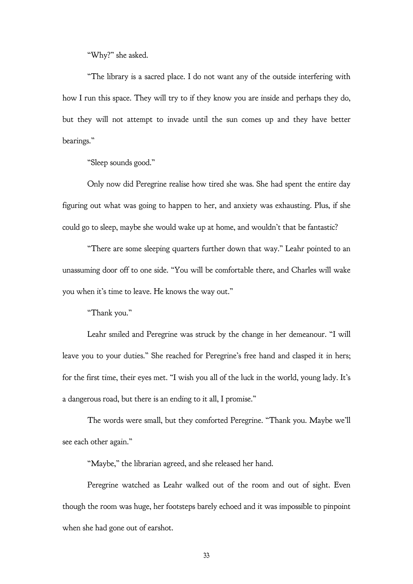"Why?" she asked.

"The library is a sacred place. I do not want any of the outside interfering with how I run this space. They will try to if they know you are inside and perhaps they do, but they will not attempt to invade until the sun comes up and they have better bearings."

"Sleep sounds good."

Only now did Peregrine realise how tired she was. She had spent the entire day figuring out what was going to happen to her, and anxiety was exhausting. Plus, if she could go to sleep, maybe she would wake up at home, and wouldn't that be fantastic?

"There are some sleeping quarters further down that way." Leahr pointed to an unassuming door off to one side. "You will be comfortable there, and Charles will wake you when it's time to leave. He knows the way out."

"Thank you."

Leahr smiled and Peregrine was struck by the change in her demeanour. "I will leave you to your duties." She reached for Peregrine's free hand and clasped it in hers; for the first time, their eyes met. "I wish you all of the luck in the world, young lady. It's a dangerous road, but there is an ending to it all, I promise."

The words were small, but they comforted Peregrine. "Thank you. Maybe we'll see each other again."

"Maybe," the librarian agreed, and she released her hand.

Peregrine watched as Leahr walked out of the room and out of sight. Even though the room was huge, her footsteps barely echoed and it was impossible to pinpoint when she had gone out of earshot.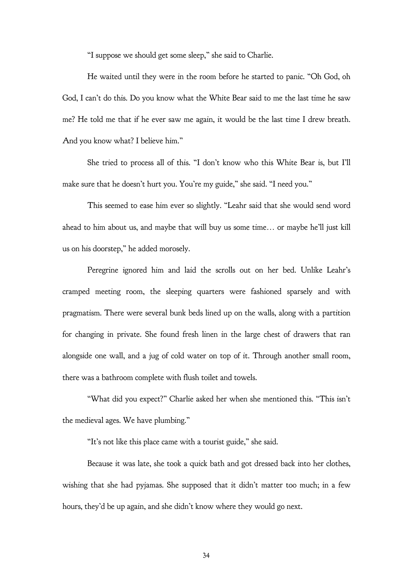"I suppose we should get some sleep," she said to Charlie.

He waited until they were in the room before he started to panic. "Oh God, oh God, I can't do this. Do you know what the White Bear said to me the last time he saw me? He told me that if he ever saw me again, it would be the last time I drew breath. And you know what? I believe him."

She tried to process all of this. "I don't know who this White Bear is, but I'll make sure that he doesn't hurt you. You're my guide," she said. "I need you."

This seemed to ease him ever so slightly. "Leahr said that she would send word ahead to him about us, and maybe that will buy us some time… or maybe he'll just kill us on his doorstep," he added morosely.

Peregrine ignored him and laid the scrolls out on her bed. Unlike Leahr's cramped meeting room, the sleeping quarters were fashioned sparsely and with pragmatism. There were several bunk beds lined up on the walls, along with a partition for changing in private. She found fresh linen in the large chest of drawers that ran alongside one wall, and a jug of cold water on top of it. Through another small room, there was a bathroom complete with flush toilet and towels.

"What did you expect?" Charlie asked her when she mentioned this. "This isn't the medieval ages. We have plumbing."

"It's not like this place came with a tourist guide," she said.

Because it was late, she took a quick bath and got dressed back into her clothes, wishing that she had pyjamas. She supposed that it didn't matter too much; in a few hours, they'd be up again, and she didn't know where they would go next.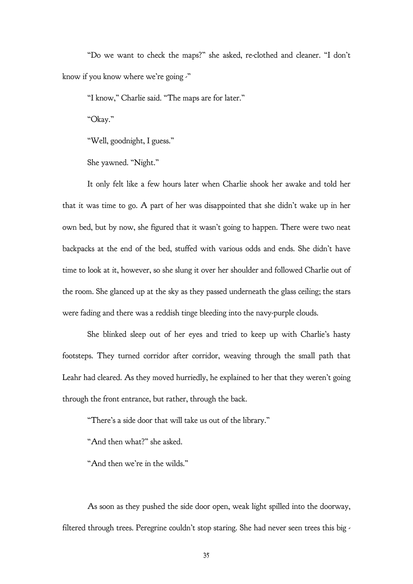"Do we want to check the maps?" she asked, re-clothed and cleaner. "I don't know if you know where we're going  $\cdot$ "

"I know," Charlie said. "The maps are for later."

"Okay."

"Well, goodnight, I guess."

She yawned. "Night."

It only felt like a few hours later when Charlie shook her awake and told her that it was time to go. A part of her was disappointed that she didn't wake up in her own bed, but by now, she figured that it wasn't going to happen. There were two neat backpacks at the end of the bed, stuffed with various odds and ends. She didn't have time to look at it, however, so she slung it over her shoulder and followed Charlie out of the room. She glanced up at the sky as they passed underneath the glass ceiling; the stars were fading and there was a reddish tinge bleeding into the navy-purple clouds.

She blinked sleep out of her eyes and tried to keep up with Charlie's hasty footsteps. They turned corridor after corridor, weaving through the small path that Leahr had cleared. As they moved hurriedly, he explained to her that they weren't going through the front entrance, but rather, through the back.

"There's a side door that will take us out of the library."

"And then what?" she asked.

"And then we're in the wilds."

As soon as they pushed the side door open, weak light spilled into the doorway, filtered through trees. Peregrine couldn't stop staring. She had never seen trees this big -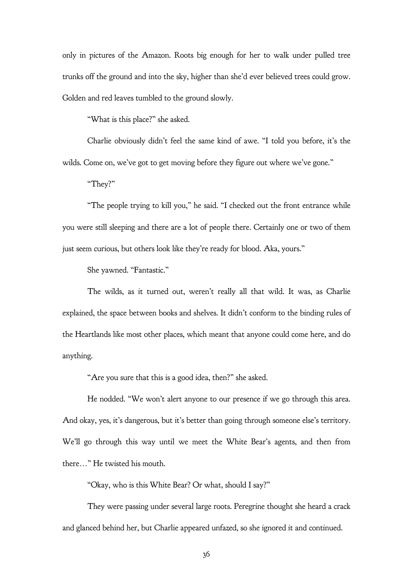only in pictures of the Amazon. Roots big enough for her to walk under pulled tree trunks off the ground and into the sky, higher than she'd ever believed trees could grow. Golden and red leaves tumbled to the ground slowly.

"What is this place?" she asked.

Charlie obviously didn't feel the same kind of awe. "I told you before, it's the wilds. Come on, we've got to get moving before they figure out where we've gone."

"They?"

"The people trying to kill you," he said. "I checked out the front entrance while you were still sleeping and there are a lot of people there. Certainly one or two of them just seem curious, but others look like they're ready for blood. Aka, yours."

She yawned. "Fantastic."

The wilds, as it turned out, weren't really all that wild. It was, as Charlie explained, the space between books and shelves. It didn't conform to the binding rules of the Heartlands like most other places, which meant that anyone could come here, and do anything.

"Are you sure that this is a good idea, then?" she asked.

He nodded. "We won't alert anyone to our presence if we go through this area. And okay, yes, it's dangerous, but it's better than going through someone else's territory. We'll go through this way until we meet the White Bear's agents, and then from there…" He twisted his mouth.

"Okay, who is this White Bear? Or what, should I say?"

They were passing under several large roots. Peregrine thought she heard a crack and glanced behind her, but Charlie appeared unfazed, so she ignored it and continued.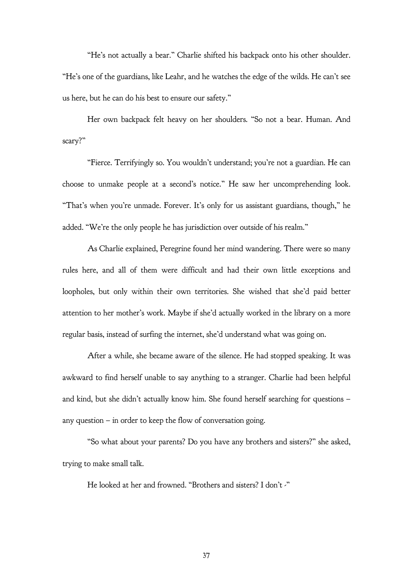"He's not actually a bear." Charlie shifted his backpack onto his other shoulder. "He's one of the guardians, like Leahr, and he watches the edge of the wilds. He can't see us here, but he can do his best to ensure our safety."

Her own backpack felt heavy on her shoulders. "So not a bear. Human. And scary?"

"Fierce. Terrifyingly so. You wouldn't understand; you're not a guardian. He can choose to unmake people at a second's notice." He saw her uncomprehending look. "That's when you're unmade. Forever. It's only for us assistant guardians, though," he added. "We're the only people he has jurisdiction over outside of his realm."

As Charlie explained, Peregrine found her mind wandering. There were so many rules here, and all of them were difficult and had their own little exceptions and loopholes, but only within their own territories. She wished that she'd paid better attention to her mother's work. Maybe if she'd actually worked in the library on a more regular basis, instead of surfing the internet, she'd understand what was going on.

After a while, she became aware of the silence. He had stopped speaking. It was awkward to find herself unable to say anything to a stranger. Charlie had been helpful and kind, but she didn't actually know him. She found herself searching for questions – any question  $-$  in order to keep the flow of conversation going.

"So what about your parents? Do you have any brothers and sisters?" she asked, trying to make small talk.

He looked at her and frowned. "Brothers and sisters? I don't -"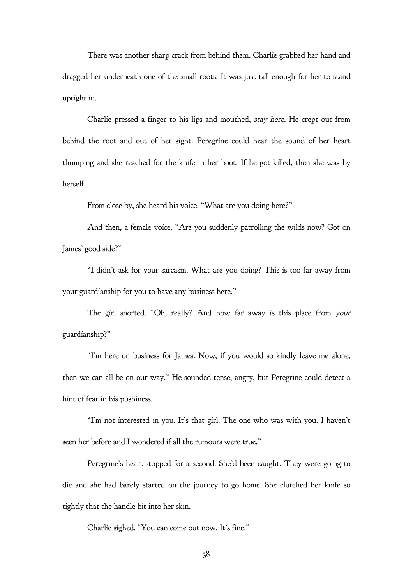There was another sharp crack from behind them. Charlie grabbed her hand and dragged her underneath one of the small roots. It was just tall enough for her to stand upright in.

Charlie pressed a finger to his lips and mouthed, stay here. He crept out from behind the root and out of her sight. Peregrine could hear the sound of her heart thumping and she reached for the knife in her boot. If he got killed, then she was by herself.

From close by, she heard his voice. "What are you doing here?"

And then, a female voice. "Are you suddenly patrolling the wilds now? Got on James' good side?"

"I didn't ask for your sarcasm. What are you doing? This is too far away from your guardianship for you to have any business here."

The girl snorted. "Oh, really? And how far away is this place from your guardianship?"

"I'm here on business for James. Now, if you would so kindly leave me alone, then we can all be on our way." He sounded tense, angry, but Peregrine could detect a hint of fear in his pushiness.

"I'm not interested in you. It's that girl. The one who was with you. I haven't seen her before and I wondered if all the rumours were true."

Peregrine's heart stopped for a second. She'd been caught. They were going to die and she had barely started on the journey to go home. She clutched her knife so tightly that the handle bit into her skin.

Charlie sighed. "You can come out now. It's fine."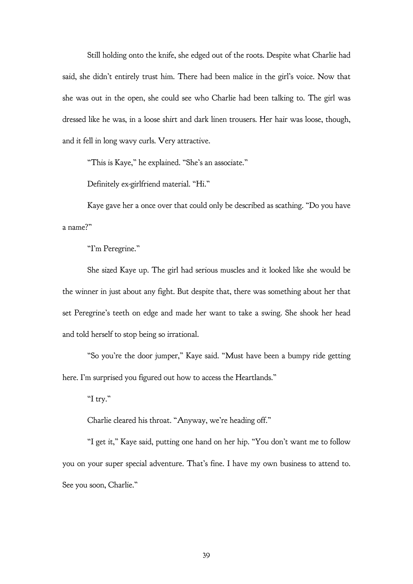Still holding onto the knife, she edged out of the roots. Despite what Charlie had said, she didn't entirely trust him. There had been malice in the girl's voice. Now that she was out in the open, she could see who Charlie had been talking to. The girl was dressed like he was, in a loose shirt and dark linen trousers. Her hair was loose, though, and it fell in long wavy curls. Very attractive.

"This is Kaye," he explained. "She's an associate."

Definitely ex-girlfriend material. "Hi."

Kaye gave her a once over that could only be described as scathing. "Do you have a name?"

"I'm Peregrine."

She sized Kaye up. The girl had serious muscles and it looked like she would be the winner in just about any fight. But despite that, there was something about her that set Peregrine's teeth on edge and made her want to take a swing. She shook her head and told herself to stop being so irrational.

"So you're the door jumper," Kaye said. "Must have been a bumpy ride getting here. I'm surprised you figured out how to access the Heartlands."

"I try."

Charlie cleared his throat. "Anyway, we're heading off."

"I get it," Kaye said, putting one hand on her hip. "You don't want me to follow you on your super special adventure. That's fine. I have my own business to attend to. See you soon, Charlie."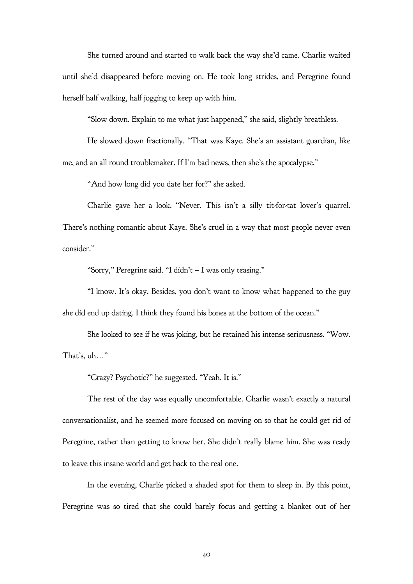She turned around and started to walk back the way she'd came. Charlie waited until she'd disappeared before moving on. He took long strides, and Peregrine found herself half walking, half jogging to keep up with him.

"Slow down. Explain to me what just happened," she said, slightly breathless.

He slowed down fractionally. "That was Kaye. She's an assistant guardian, like

me, and an all round troublemaker. If I'm bad news, then she's the apocalypse."

"And how long did you date her for?" she asked.

Charlie gave her a look. "Never. This isn't a silly tit-for-tat lover's quarrel. There's nothing romantic about Kaye. She's cruel in a way that most people never even consider."

"Sorry," Peregrine said. "I didn't – I was only teasing."

"I know. It's okay. Besides, you don't want to know what happened to the guy she did end up dating. I think they found his bones at the bottom of the ocean."

She looked to see if he was joking, but he retained his intense seriousness. "Wow. That's, uh…"

"Crazy? Psychotic?" he suggested. "Yeah. It is."

The rest of the day was equally uncomfortable. Charlie wasn't exactly a natural conversationalist, and he seemed more focused on moving on so that he could get rid of Peregrine, rather than getting to know her. She didn't really blame him. She was ready to leave this insane world and get back to the real one.

In the evening, Charlie picked a shaded spot for them to sleep in. By this point, Peregrine was so tired that she could barely focus and getting a blanket out of her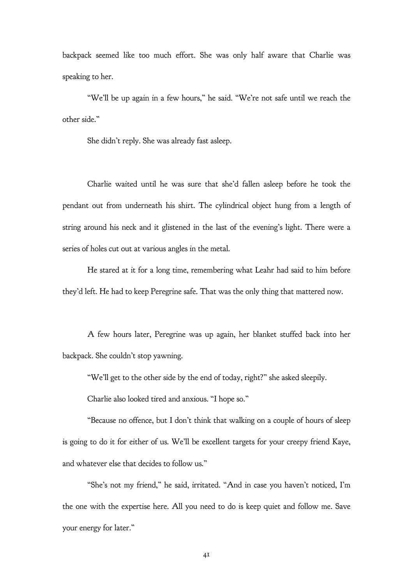backpack seemed like too much effort. She was only half aware that Charlie was speaking to her.

"We'll be up again in a few hours," he said. "We're not safe until we reach the other side."

She didn't reply. She was already fast asleep.

Charlie waited until he was sure that she'd fallen asleep before he took the pendant out from underneath his shirt. The cylindrical object hung from a length of string around his neck and it glistened in the last of the evening's light. There were a series of holes cut out at various angles in the metal.

He stared at it for a long time, remembering what Leahr had said to him before they'd left. He had to keep Peregrine safe. That was the only thing that mattered now.

A few hours later, Peregrine was up again, her blanket stuffed back into her backpack. She couldn't stop yawning.

"We'll get to the other side by the end of today, right?" she asked sleepily.

Charlie also looked tired and anxious. "I hope so."

"Because no offence, but I don't think that walking on a couple of hours of sleep is going to do it for either of us. We'll be excellent targets for your creepy friend Kaye, and whatever else that decides to follow us."

"She's not my friend," he said, irritated. "And in case you haven't noticed, I'm the one with the expertise here. All you need to do is keep quiet and follow me. Save your energy for later."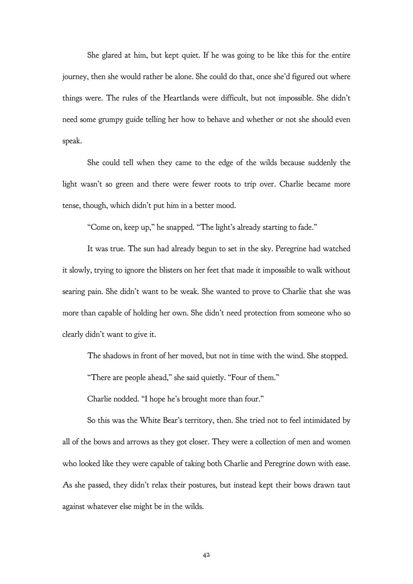She glared at him, but kept quiet. If he was going to be like this for the entire journey, then she would rather be alone. She could do that, once she'd figured out where things were. The rules of the Heartlands were difficult, but not impossible. She didn't need some grumpy guide telling her how to behave and whether or not she should even speak.

She could tell when they came to the edge of the wilds because suddenly the light wasn't so green and there were fewer roots to trip over. Charlie became more tense, though, which didn't put him in a better mood.

"Come on, keep up," he snapped. "The light's already starting to fade."

It was true. The sun had already begun to set in the sky. Peregrine had watched it slowly, trying to ignore the blisters on her feet that made it impossible to walk without searing pain. She didn't want to be weak. She wanted to prove to Charlie that she was more than capable of holding her own. She didn't need protection from someone who so clearly didn't want to give it.

The shadows in front of her moved, but not in time with the wind. She stopped.

"There are people ahead," she said quietly. "Four of them."

Charlie nodded. "I hope he's brought more than four."

So this was the White Bear's territory, then. She tried not to feel intimidated by all of the bows and arrows as they got closer. They were a collection of men and women who looked like they were capable of taking both Charlie and Peregrine down with ease. As she passed, they didn't relax their postures, but instead kept their bows drawn taut against whatever else might be in the wilds.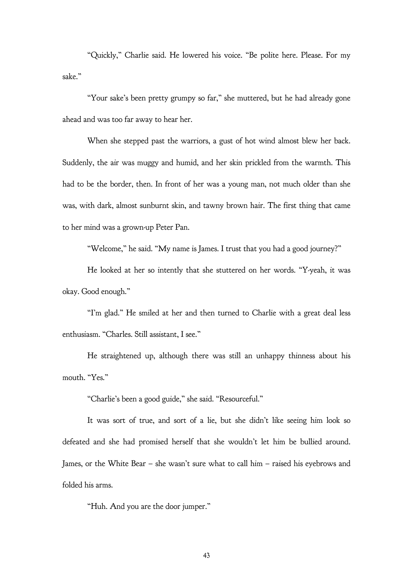"Quickly," Charlie said. He lowered his voice. "Be polite here. Please. For my sake."

"Your sake's been pretty grumpy so far," she muttered, but he had already gone ahead and was too far away to hear her.

When she stepped past the warriors, a gust of hot wind almost blew her back. Suddenly, the air was muggy and humid, and her skin prickled from the warmth. This had to be the border, then. In front of her was a young man, not much older than she was, with dark, almost sunburnt skin, and tawny brown hair. The first thing that came to her mind was a grown-up Peter Pan.

"Welcome," he said. "My name is James. I trust that you had a good journey?"

He looked at her so intently that she stuttered on her words. "Y-yeah, it was okay. Good enough."

"I'm glad." He smiled at her and then turned to Charlie with a great deal less enthusiasm. "Charles. Still assistant, I see."

He straightened up, although there was still an unhappy thinness about his mouth. "Yes."

"Charlie's been a good guide," she said. "Resourceful."

It was sort of true, and sort of a lie, but she didn't like seeing him look so defeated and she had promised herself that she wouldn't let him be bullied around. James, or the White Bear – she wasn't sure what to call him – raised his eyebrows and folded his arms.

"Huh. And you are the door jumper."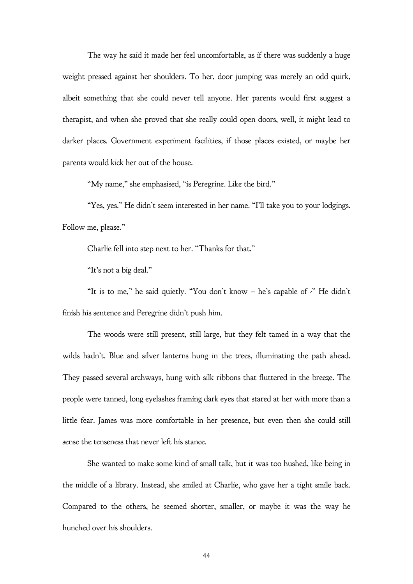The way he said it made her feel uncomfortable, as if there was suddenly a huge weight pressed against her shoulders. To her, door jumping was merely an odd quirk, albeit something that she could never tell anyone. Her parents would first suggest a therapist, and when she proved that she really could open doors, well, it might lead to darker places. Government experiment facilities, if those places existed, or maybe her parents would kick her out of the house.

"My name," she emphasised, "is Peregrine. Like the bird."

"Yes, yes." He didn't seem interested in her name. "I'll take you to your lodgings. Follow me, please."

Charlie fell into step next to her. "Thanks for that."

"It's not a big deal."

"It is to me," he said quietly. "You don't know – he's capable of -" He didn't finish his sentence and Peregrine didn't push him.

The woods were still present, still large, but they felt tamed in a way that the wilds hadn't. Blue and silver lanterns hung in the trees, illuminating the path ahead. They passed several archways, hung with silk ribbons that fluttered in the breeze. The people were tanned, long eyelashes framing dark eyes that stared at her with more than a little fear. James was more comfortable in her presence, but even then she could still sense the tenseness that never left his stance.

She wanted to make some kind of small talk, but it was too hushed, like being in the middle of a library. Instead, she smiled at Charlie, who gave her a tight smile back. Compared to the others, he seemed shorter, smaller, or maybe it was the way he hunched over his shoulders.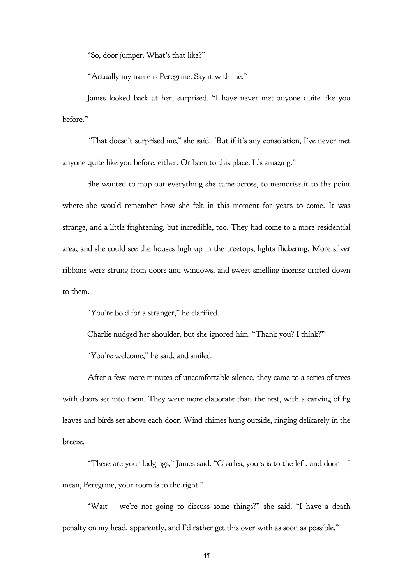"So, door jumper. What's that like?"

"Actually my name is Peregrine. Say it with me."

James looked back at her, surprised. "I have never met anyone quite like you before."

"That doesn't surprised me," she said. "But if it's any consolation, I've never met anyone quite like you before, either. Or been to this place. It's amazing."

She wanted to map out everything she came across, to memorise it to the point where she would remember how she felt in this moment for years to come. It was strange, and a little frightening, but incredible, too. They had come to a more residential area, and she could see the houses high up in the treetops, lights flickering. More silver ribbons were strung from doors and windows, and sweet smelling incense drifted down to them.

"You're bold for a stranger," he clarified.

Charlie nudged her shoulder, but she ignored him. "Thank you? I think?"

"You're welcome," he said, and smiled.

After a few more minutes of uncomfortable silence, they came to a series of trees with doors set into them. They were more elaborate than the rest, with a carving of fig leaves and birds set above each door. Wind chimes hung outside, ringing delicately in the breeze.

"These are your lodgings," James said. "Charles, yours is to the left, and door – I mean, Peregrine, your room is to the right."

"Wait – we're not going to discuss some things?" she said. "I have a death penalty on my head, apparently, and I'd rather get this over with as soon as possible."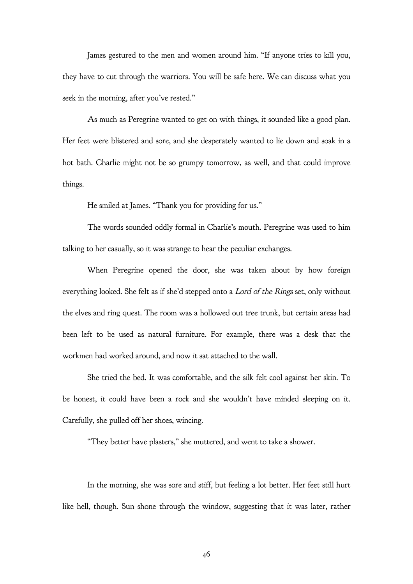James gestured to the men and women around him. "If anyone tries to kill you, they have to cut through the warriors. You will be safe here. We can discuss what you seek in the morning, after you've rested."

As much as Peregrine wanted to get on with things, it sounded like a good plan. Her feet were blistered and sore, and she desperately wanted to lie down and soak in a hot bath. Charlie might not be so grumpy tomorrow, as well, and that could improve things.

He smiled at James. "Thank you for providing for us."

The words sounded oddly formal in Charlie's mouth. Peregrine was used to him talking to her casually, so it was strange to hear the peculiar exchanges.

When Peregrine opened the door, she was taken about by how foreign everything looked. She felt as if she'd stepped onto a Lord of the Rings set, only without the elves and ring quest. The room was a hollowed out tree trunk, but certain areas had been left to be used as natural furniture. For example, there was a desk that the workmen had worked around, and now it sat attached to the wall.

She tried the bed. It was comfortable, and the silk felt cool against her skin. To be honest, it could have been a rock and she wouldn't have minded sleeping on it. Carefully, she pulled off her shoes, wincing.

"They better have plasters," she muttered, and went to take a shower.

In the morning, she was sore and stiff, but feeling a lot better. Her feet still hurt like hell, though. Sun shone through the window, suggesting that it was later, rather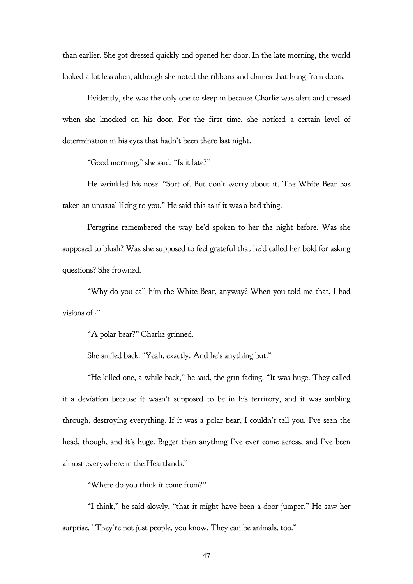than earlier. She got dressed quickly and opened her door. In the late morning, the world looked a lot less alien, although she noted the ribbons and chimes that hung from doors.

Evidently, she was the only one to sleep in because Charlie was alert and dressed when she knocked on his door. For the first time, she noticed a certain level of determination in his eyes that hadn't been there last night.

"Good morning," she said. "Is it late?"

He wrinkled his nose. "Sort of. But don't worry about it. The White Bear has taken an unusual liking to you." He said this as if it was a bad thing.

Peregrine remembered the way he'd spoken to her the night before. Was she supposed to blush? Was she supposed to feel grateful that he'd called her bold for asking questions? She frowned.

"Why do you call him the White Bear, anyway? When you told me that, I had visions of  $\cdot$ "

"A polar bear?" Charlie grinned.

She smiled back. "Yeah, exactly. And he's anything but."

"He killed one, a while back," he said, the grin fading. "It was huge. They called it a deviation because it wasn't supposed to be in his territory, and it was ambling through, destroying everything. If it was a polar bear, I couldn't tell you. I've seen the head, though, and it's huge. Bigger than anything I've ever come across, and I've been almost everywhere in the Heartlands."

"Where do you think it come from?"

"I think," he said slowly, "that it might have been a door jumper." He saw her surprise. "They're not just people, you know. They can be animals, too."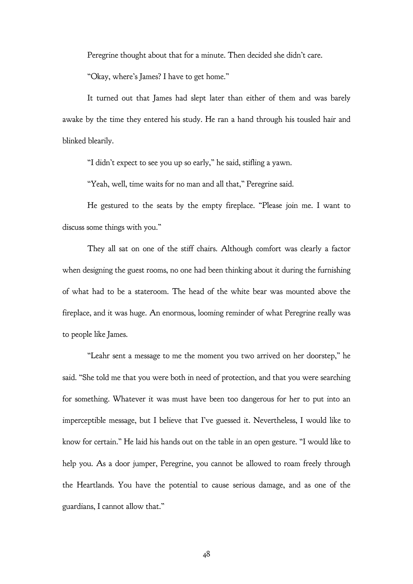Peregrine thought about that for a minute. Then decided she didn't care.

"Okay, where's James? I have to get home."

It turned out that James had slept later than either of them and was barely awake by the time they entered his study. He ran a hand through his tousled hair and blinked blearily.

"I didn't expect to see you up so early," he said, stifling a yawn.

"Yeah, well, time waits for no man and all that," Peregrine said.

He gestured to the seats by the empty fireplace. "Please join me. I want to discuss some things with you."

They all sat on one of the stiff chairs. Although comfort was clearly a factor when designing the guest rooms, no one had been thinking about it during the furnishing of what had to be a stateroom. The head of the white bear was mounted above the fireplace, and it was huge. An enormous, looming reminder of what Peregrine really was to people like James.

"Leahr sent a message to me the moment you two arrived on her doorstep," he said. "She told me that you were both in need of protection, and that you were searching for something. Whatever it was must have been too dangerous for her to put into an imperceptible message, but I believe that I've guessed it. Nevertheless, I would like to know for certain." He laid his hands out on the table in an open gesture. "I would like to help you. As a door jumper, Peregrine, you cannot be allowed to roam freely through the Heartlands. You have the potential to cause serious damage, and as one of the guardians, I cannot allow that."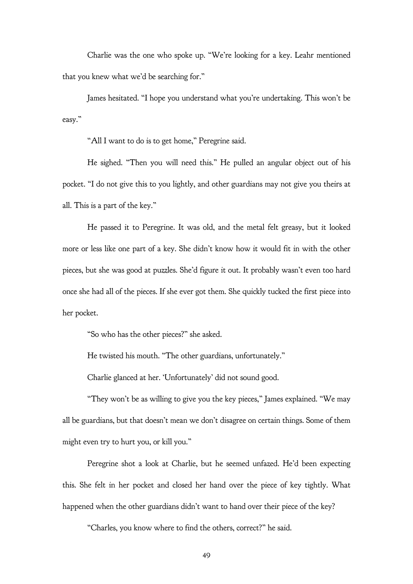Charlie was the one who spoke up. "We're looking for a key. Leahr mentioned that you knew what we'd be searching for."

James hesitated. "I hope you understand what you're undertaking. This won't be easy."

"All I want to do is to get home," Peregrine said.

He sighed. "Then you will need this." He pulled an angular object out of his pocket. "I do not give this to you lightly, and other guardians may not give you theirs at all. This is a part of the key."

He passed it to Peregrine. It was old, and the metal felt greasy, but it looked more or less like one part of a key. She didn't know how it would fit in with the other pieces, but she was good at puzzles. She'd figure it out. It probably wasn't even too hard once she had all of the pieces. If she ever got them. She quickly tucked the first piece into her pocket.

"So who has the other pieces?" she asked.

He twisted his mouth. "The other guardians, unfortunately."

Charlie glanced at her. 'Unfortunately' did not sound good.

"They won't be as willing to give you the key pieces," James explained. "We may all be guardians, but that doesn't mean we don't disagree on certain things. Some of them might even try to hurt you, or kill you."

Peregrine shot a look at Charlie, but he seemed unfazed. He'd been expecting this. She felt in her pocket and closed her hand over the piece of key tightly. What happened when the other guardians didn't want to hand over their piece of the key?

"Charles, you know where to find the others, correct?" he said.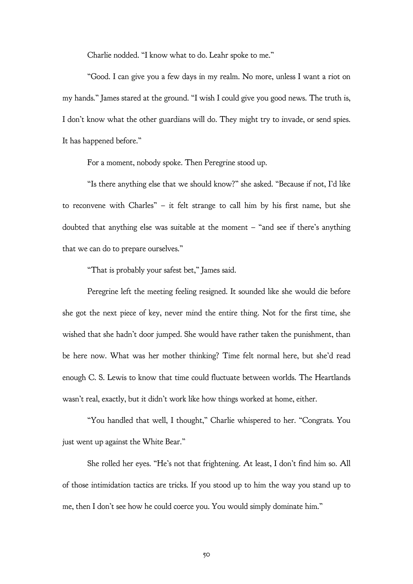Charlie nodded. "I know what to do. Leahr spoke to me."

"Good. I can give you a few days in my realm. No more, unless I want a riot on my hands." James stared at the ground. "I wish I could give you good news. The truth is, I don't know what the other guardians will do. They might try to invade, or send spies. It has happened before."

For a moment, nobody spoke. Then Peregrine stood up.

"Is there anything else that we should know?" she asked. "Because if not, I'd like to reconvene with Charles" – it felt strange to call him by his first name, but she doubted that anything else was suitable at the moment – "and see if there's anything that we can do to prepare ourselves."

"That is probably your safest bet," James said.

Peregrine left the meeting feeling resigned. It sounded like she would die before she got the next piece of key, never mind the entire thing. Not for the first time, she wished that she hadn't door jumped. She would have rather taken the punishment, than be here now. What was her mother thinking? Time felt normal here, but she'd read enough C. S. Lewis to know that time could fluctuate between worlds. The Heartlands wasn't real, exactly, but it didn't work like how things worked at home, either.

"You handled that well, I thought," Charlie whispered to her. "Congrats. You just went up against the White Bear."

She rolled her eyes. "He's not that frightening. At least, I don't find him so. All of those intimidation tactics are tricks. If you stood up to him the way you stand up to me, then I don't see how he could coerce you. You would simply dominate him."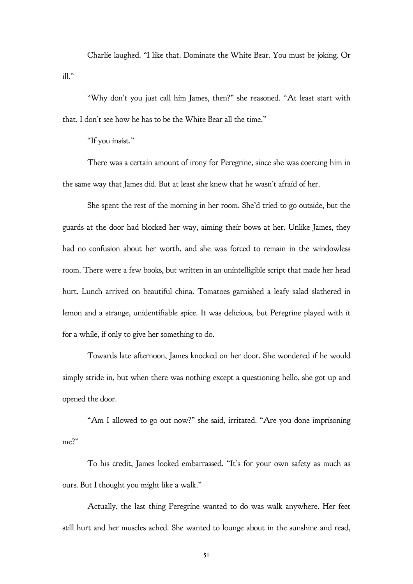Charlie laughed. "I like that. Dominate the White Bear. You must be joking. Or  $i11$ "

"Why don't you just call him James, then?" she reasoned. "At least start with that. I don't see how he has to be the White Bear all the time."

"If you insist."

There was a certain amount of irony for Peregrine, since she was coercing him in the same way that James did. But at least she knew that he wasn't afraid of her.

She spent the rest of the morning in her room. She'd tried to go outside, but the guards at the door had blocked her way, aiming their bows at her. Unlike James, they had no confusion about her worth, and she was forced to remain in the windowless room. There were a few books, but written in an unintelligible script that made her head hurt. Lunch arrived on beautiful china. Tomatoes garnished a leafy salad slathered in lemon and a strange, unidentifiable spice. It was delicious, but Peregrine played with it for a while, if only to give her something to do.

Towards late afternoon, James knocked on her door. She wondered if he would simply stride in, but when there was nothing except a questioning hello, she got up and opened the door.

"Am I allowed to go out now?" she said, irritated. "Are you done imprisoning me?"

To his credit, James looked embarrassed. "It's for your own safety as much as ours. But I thought you might like a walk."

Actually, the last thing Peregrine wanted to do was walk anywhere. Her feet still hurt and her muscles ached. She wanted to lounge about in the sunshine and read,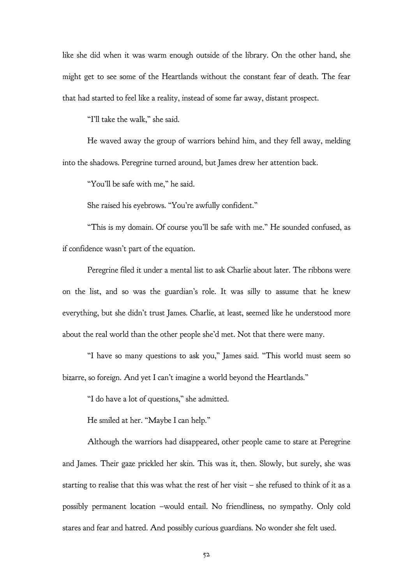like she did when it was warm enough outside of the library. On the other hand, she might get to see some of the Heartlands without the constant fear of death. The fear that had started to feel like a reality, instead of some far away, distant prospect.

"I'll take the walk," she said.

He waved away the group of warriors behind him, and they fell away, melding into the shadows. Peregrine turned around, but James drew her attention back.

"You'll be safe with me," he said.

She raised his eyebrows. "You're awfully confident."

"This is my domain. Of course you'll be safe with me." He sounded confused, as if confidence wasn't part of the equation.

Peregrine filed it under a mental list to ask Charlie about later. The ribbons were on the list, and so was the guardian's role. It was silly to assume that he knew everything, but she didn't trust James. Charlie, at least, seemed like he understood more about the real world than the other people she'd met. Not that there were many.

"I have so many questions to ask you," James said. "This world must seem so bizarre, so foreign. And yet I can't imagine a world beyond the Heartlands."

"I do have a lot of questions," she admitted.

He smiled at her. "Maybe I can help."

Although the warriors had disappeared, other people came to stare at Peregrine and James. Their gaze prickled her skin. This was it, then. Slowly, but surely, she was starting to realise that this was what the rest of her visit – she refused to think of it as a possibly permanent location –would entail. No friendliness, no sympathy. Only cold stares and fear and hatred. And possibly curious guardians. No wonder she felt used.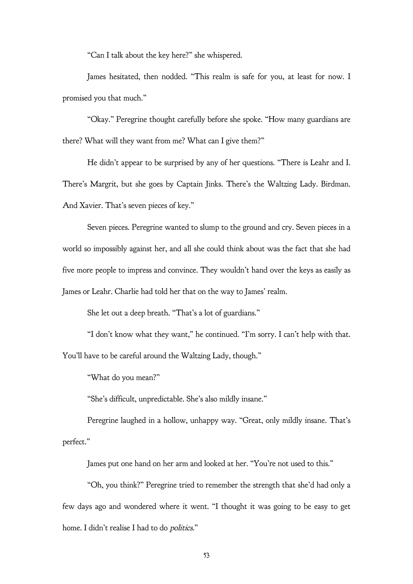"Can I talk about the key here?" she whispered.

James hesitated, then nodded. "This realm is safe for you, at least for now. I promised you that much."

"Okay." Peregrine thought carefully before she spoke. "How many guardians are there? What will they want from me? What can I give them?"

He didn't appear to be surprised by any of her questions. "There is Leahr and I. There's Margrit, but she goes by Captain Jinks. There's the Waltzing Lady. Birdman. And Xavier. That's seven pieces of key."

Seven pieces. Peregrine wanted to slump to the ground and cry. Seven pieces in a world so impossibly against her, and all she could think about was the fact that she had five more people to impress and convince. They wouldn't hand over the keys as easily as James or Leahr. Charlie had told her that on the way to James' realm.

She let out a deep breath. "That's a lot of guardians."

"I don't know what they want," he continued. "I'm sorry. I can't help with that. You'll have to be careful around the Waltzing Lady, though."

"What do you mean?"

"She's difficult, unpredictable. She's also mildly insane."

Peregrine laughed in a hollow, unhappy way. "Great, only mildly insane. That's perfect."

James put one hand on her arm and looked at her. "You're not used to this."

"Oh, you think?" Peregrine tried to remember the strength that she'd had only a few days ago and wondered where it went. "I thought it was going to be easy to get home. I didn't realise I had to do politics."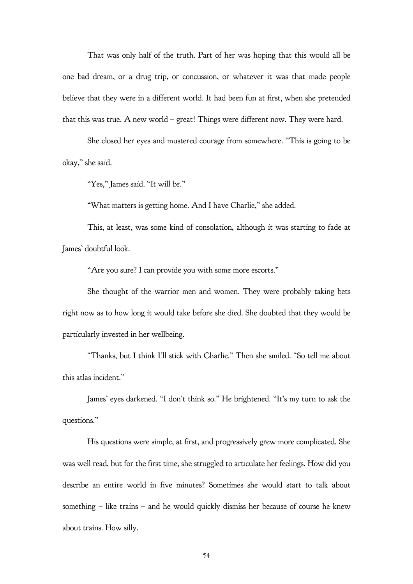That was only half of the truth. Part of her was hoping that this would all be one bad dream, or a drug trip, or concussion, or whatever it was that made people believe that they were in a different world. It had been fun at first, when she pretended that this was true. A new world – great! Things were different now. They were hard.

She closed her eyes and mustered courage from somewhere. "This is going to be okay," she said.

"Yes," James said. "It will be."

"What matters is getting home. And I have Charlie," she added.

This, at least, was some kind of consolation, although it was starting to fade at James' doubtful look.

"Are you sure? I can provide you with some more escorts."

She thought of the warrior men and women. They were probably taking bets right now as to how long it would take before she died. She doubted that they would be particularly invested in her wellbeing.

"Thanks, but I think I'll stick with Charlie." Then she smiled. "So tell me about this atlas incident."

James' eyes darkened. "I don't think so." He brightened. "It's my turn to ask the questions."

His questions were simple, at first, and progressively grew more complicated. She was well read, but for the first time, she struggled to articulate her feelings. How did you describe an entire world in five minutes? Sometimes she would start to talk about something – like trains – and he would quickly dismiss her because of course he knew about trains. How silly.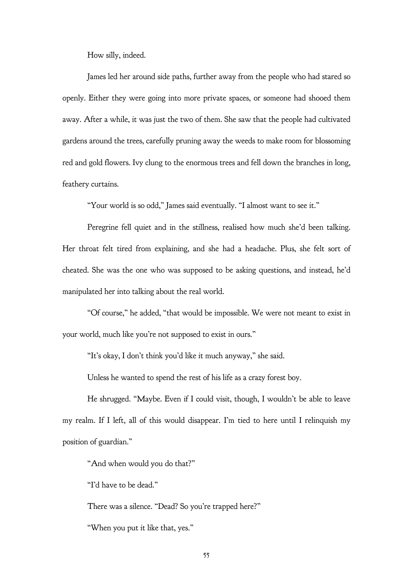How silly, indeed.

James led her around side paths, further away from the people who had stared so openly. Either they were going into more private spaces, or someone had shooed them away. After a while, it was just the two of them. She saw that the people had cultivated gardens around the trees, carefully pruning away the weeds to make room for blossoming red and gold flowers. Ivy clung to the enormous trees and fell down the branches in long, feathery curtains.

"Your world is so odd," James said eventually. "I almost want to see it."

Peregrine fell quiet and in the stillness, realised how much she'd been talking. Her throat felt tired from explaining, and she had a headache. Plus, she felt sort of cheated. She was the one who was supposed to be asking questions, and instead, he'd manipulated her into talking about the real world.

"Of course," he added, "that would be impossible. We were not meant to exist in your world, much like you're not supposed to exist in ours."

"It's okay, I don't think you'd like it much anyway," she said.

Unless he wanted to spend the rest of his life as a crazy forest boy.

He shrugged. "Maybe. Even if I could visit, though, I wouldn't be able to leave my realm. If I left, all of this would disappear. I'm tied to here until I relinquish my position of guardian."

"And when would you do that?"

"I'd have to be dead."

There was a silence. "Dead? So you're trapped here?"

"When you put it like that, yes."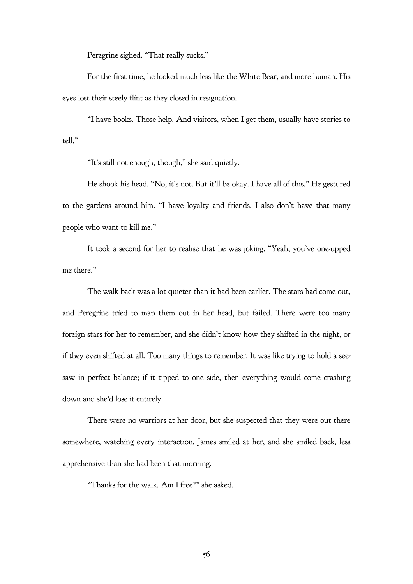Peregrine sighed. "That really sucks."

For the first time, he looked much less like the White Bear, and more human. His eyes lost their steely flint as they closed in resignation.

"I have books. Those help. And visitors, when I get them, usually have stories to tell."

"It's still not enough, though," she said quietly.

He shook his head. "No, it's not. But it'll be okay. I have all of this." He gestured to the gardens around him. "I have loyalty and friends. I also don't have that many people who want to kill me."

It took a second for her to realise that he was joking. "Yeah, you've one-upped me there."

The walk back was a lot quieter than it had been earlier. The stars had come out, and Peregrine tried to map them out in her head, but failed. There were too many foreign stars for her to remember, and she didn't know how they shifted in the night, or if they even shifted at all. Too many things to remember. It was like trying to hold a seesaw in perfect balance; if it tipped to one side, then everything would come crashing down and she'd lose it entirely.

There were no warriors at her door, but she suspected that they were out there somewhere, watching every interaction. James smiled at her, and she smiled back, less apprehensive than she had been that morning.

"Thanks for the walk. Am I free?" she asked.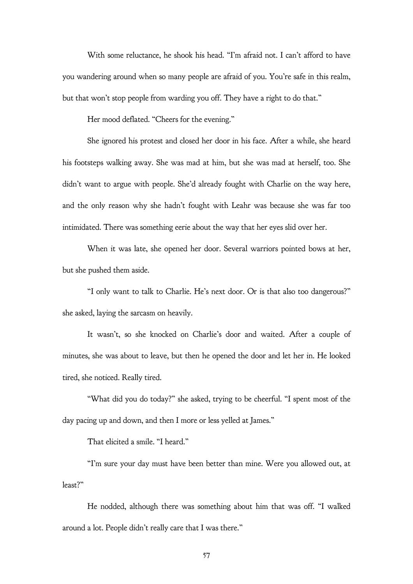With some reluctance, he shook his head. "I'm afraid not. I can't afford to have you wandering around when so many people are afraid of you. You're safe in this realm, but that won't stop people from warding you off. They have a right to do that."

Her mood deflated. "Cheers for the evening."

She ignored his protest and closed her door in his face. After a while, she heard his footsteps walking away. She was mad at him, but she was mad at herself, too. She didn't want to argue with people. She'd already fought with Charlie on the way here, and the only reason why she hadn't fought with Leahr was because she was far too intimidated. There was something eerie about the way that her eyes slid over her.

When it was late, she opened her door. Several warriors pointed bows at her, but she pushed them aside.

"I only want to talk to Charlie. He's next door. Or is that also too dangerous?" she asked, laying the sarcasm on heavily.

It wasn't, so she knocked on Charlie's door and waited. After a couple of minutes, she was about to leave, but then he opened the door and let her in. He looked tired, she noticed. Really tired.

"What did you do today?" she asked, trying to be cheerful. "I spent most of the day pacing up and down, and then I more or less yelled at James."

That elicited a smile. "I heard."

"I'm sure your day must have been better than mine. Were you allowed out, at least?"

He nodded, although there was something about him that was off. "I walked around a lot. People didn't really care that I was there."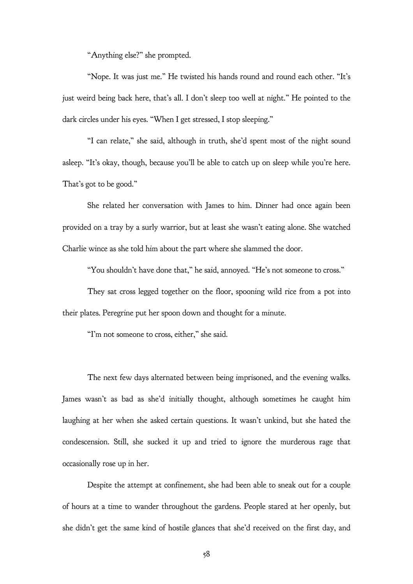"Anything else?" she prompted.

"Nope. It was just me." He twisted his hands round and round each other. "It's just weird being back here, that's all. I don't sleep too well at night." He pointed to the dark circles under his eyes. "When I get stressed, I stop sleeping."

"I can relate," she said, although in truth, she'd spent most of the night sound asleep. "It's okay, though, because you'll be able to catch up on sleep while you're here. That's got to be good."

She related her conversation with James to him. Dinner had once again been provided on a tray by a surly warrior, but at least she wasn't eating alone. She watched Charlie wince as she told him about the part where she slammed the door.

"You shouldn't have done that," he said, annoyed. "He's not someone to cross."

They sat cross legged together on the floor, spooning wild rice from a pot into their plates. Peregrine put her spoon down and thought for a minute.

"I'm not someone to cross, either," she said.

The next few days alternated between being imprisoned, and the evening walks. James wasn't as bad as she'd initially thought, although sometimes he caught him laughing at her when she asked certain questions. It wasn't unkind, but she hated the condescension. Still, she sucked it up and tried to ignore the murderous rage that occasionally rose up in her.

Despite the attempt at confinement, she had been able to sneak out for a couple of hours at a time to wander throughout the gardens. People stared at her openly, but she didn't get the same kind of hostile glances that she'd received on the first day, and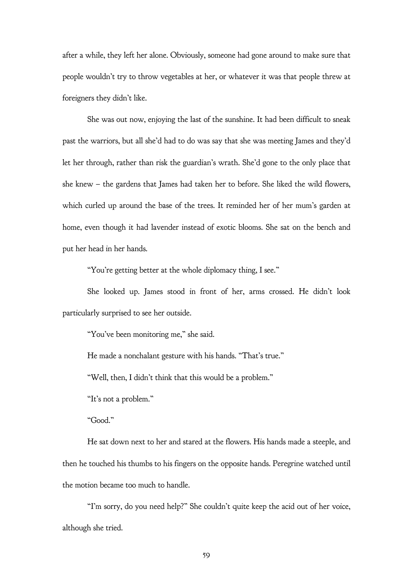after a while, they left her alone. Obviously, someone had gone around to make sure that people wouldn't try to throw vegetables at her, or whatever it was that people threw at foreigners they didn't like.

She was out now, enjoying the last of the sunshine. It had been difficult to sneak past the warriors, but all she'd had to do was say that she was meeting James and they'd let her through, rather than risk the guardian's wrath. She'd gone to the only place that she knew – the gardens that James had taken her to before. She liked the wild flowers, which curled up around the base of the trees. It reminded her of her mum's garden at home, even though it had lavender instead of exotic blooms. She sat on the bench and put her head in her hands.

"You're getting better at the whole diplomacy thing, I see."

She looked up. James stood in front of her, arms crossed. He didn't look particularly surprised to see her outside.

"You've been monitoring me," she said.

He made a nonchalant gesture with his hands. "That's true."

"Well, then, I didn't think that this would be a problem."

"It's not a problem."

"Good."

He sat down next to her and stared at the flowers. His hands made a steeple, and then he touched his thumbs to his fingers on the opposite hands. Peregrine watched until the motion became too much to handle.

"I'm sorry, do you need help?" She couldn't quite keep the acid out of her voice, although she tried.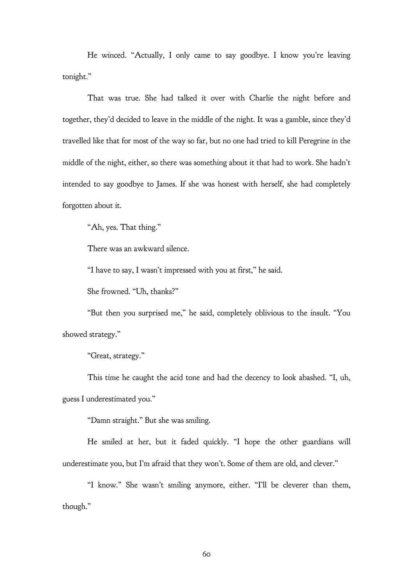He winced. "Actually, I only came to say goodbye. I know you're leaving tonight."

That was true. She had talked it over with Charlie the night before and together, they'd decided to leave in the middle of the night. It was a gamble, since they'd travelled like that for most of the way so far, but no one had tried to kill Peregrine in the middle of the night, either, so there was something about it that had to work. She hadn't intended to say goodbye to James. If she was honest with herself, she had completely forgotten about it.

"Ah, yes. That thing."

There was an awkward silence.

"I have to say, I wasn't impressed with you at first," he said.

She frowned. "Uh, thanks?"

"But then you surprised me," he said, completely oblivious to the insult. "You showed strategy."

"Great, strategy."

This time he caught the acid tone and had the decency to look abashed. "I, uh, guess I underestimated you."

"Damn straight." But she was smiling.

He smiled at her, but it faded quickly. "I hope the other guardians will underestimate you, but I'm afraid that they won't. Some of them are old, and clever."

"I know." She wasn't smiling anymore, either. "I'll be cleverer than them, though."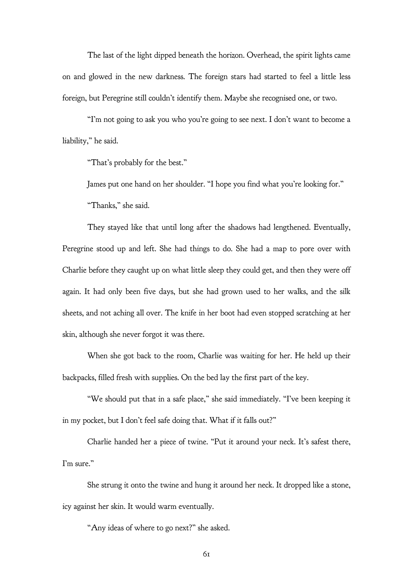The last of the light dipped beneath the horizon. Overhead, the spirit lights came on and glowed in the new darkness. The foreign stars had started to feel a little less foreign, but Peregrine still couldn't identify them. Maybe she recognised one, or two.

"I'm not going to ask you who you're going to see next. I don't want to become a liability," he said.

"That's probably for the best."

James put one hand on her shoulder. "I hope you find what you're looking for."

"Thanks," she said.

They stayed like that until long after the shadows had lengthened. Eventually, Peregrine stood up and left. She had things to do. She had a map to pore over with Charlie before they caught up on what little sleep they could get, and then they were off again. It had only been five days, but she had grown used to her walks, and the silk sheets, and not aching all over. The knife in her boot had even stopped scratching at her skin, although she never forgot it was there.

When she got back to the room, Charlie was waiting for her. He held up their backpacks, filled fresh with supplies. On the bed lay the first part of the key.

"We should put that in a safe place," she said immediately. "I've been keeping it in my pocket, but I don't feel safe doing that. What if it falls out?"

Charlie handed her a piece of twine. "Put it around your neck. It's safest there, I'm sure."

She strung it onto the twine and hung it around her neck. It dropped like a stone, icy against her skin. It would warm eventually.

"Any ideas of where to go next?" she asked.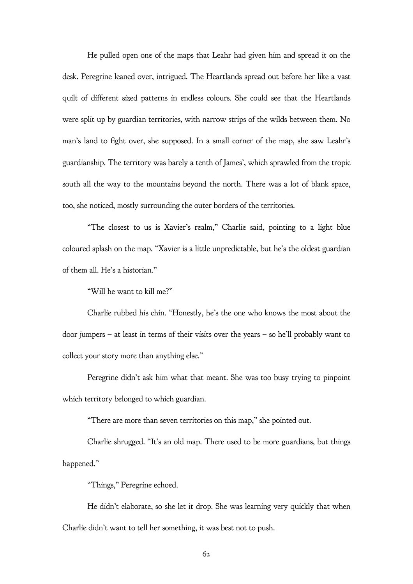He pulled open one of the maps that Leahr had given him and spread it on the desk. Peregrine leaned over, intrigued. The Heartlands spread out before her like a vast quilt of different sized patterns in endless colours. She could see that the Heartlands were split up by guardian territories, with narrow strips of the wilds between them. No man's land to fight over, she supposed. In a small corner of the map, she saw Leahr's guardianship. The territory was barely a tenth of James', which sprawled from the tropic south all the way to the mountains beyond the north. There was a lot of blank space, too, she noticed, mostly surrounding the outer borders of the territories.

"The closest to us is Xavier's realm," Charlie said, pointing to a light blue coloured splash on the map. "Xavier is a little unpredictable, but he's the oldest guardian of them all. He's a historian."

"Will he want to kill me?"

Charlie rubbed his chin. "Honestly, he's the one who knows the most about the door jumpers – at least in terms of their visits over the years – so he'll probably want to collect your story more than anything else."

Peregrine didn't ask him what that meant. She was too busy trying to pinpoint which territory belonged to which guardian.

"There are more than seven territories on this map," she pointed out.

Charlie shrugged. "It's an old map. There used to be more guardians, but things happened."

"Things," Peregrine echoed.

He didn't elaborate, so she let it drop. She was learning very quickly that when Charlie didn't want to tell her something, it was best not to push.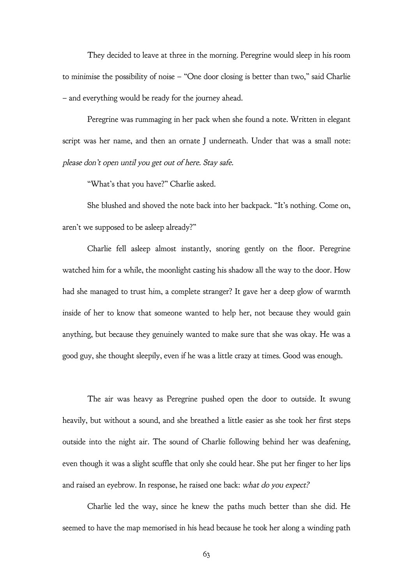They decided to leave at three in the morning. Peregrine would sleep in his room to minimise the possibility of noise – "One door closing is better than two," said Charlie – and everything would be ready for the journey ahead.

Peregrine was rummaging in her pack when she found a note. Written in elegant script was her name, and then an ornate J underneath. Under that was a small note: please don't open until you get out of here. Stay safe.

"What's that you have?" Charlie asked.

She blushed and shoved the note back into her backpack. "It's nothing. Come on, aren't we supposed to be asleep already?"

Charlie fell asleep almost instantly, snoring gently on the floor. Peregrine watched him for a while, the moonlight casting his shadow all the way to the door. How had she managed to trust him, a complete stranger? It gave her a deep glow of warmth inside of her to know that someone wanted to help her, not because they would gain anything, but because they genuinely wanted to make sure that she was okay. He was a good guy, she thought sleepily, even if he was a little crazy at times. Good was enough.

The air was heavy as Peregrine pushed open the door to outside. It swung heavily, but without a sound, and she breathed a little easier as she took her first steps outside into the night air. The sound of Charlie following behind her was deafening, even though it was a slight scuffle that only she could hear. She put her finger to her lips and raised an eyebrow. In response, he raised one back: what do you expect?

Charlie led the way, since he knew the paths much better than she did. He seemed to have the map memorised in his head because he took her along a winding path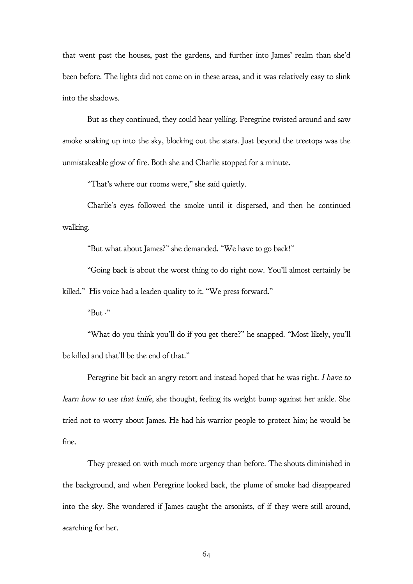that went past the houses, past the gardens, and further into James' realm than she'd been before. The lights did not come on in these areas, and it was relatively easy to slink into the shadows.

But as they continued, they could hear yelling. Peregrine twisted around and saw smoke snaking up into the sky, blocking out the stars. Just beyond the treetops was the unmistakeable glow of fire. Both she and Charlie stopped for a minute.

"That's where our rooms were," she said quietly.

Charlie's eyes followed the smoke until it dispersed, and then he continued walking.

"But what about James?" she demanded. "We have to go back!"

"Going back is about the worst thing to do right now. You'll almost certainly be

killed." His voice had a leaden quality to it. "We press forward."

"But  $\cdot$ "

"What do you think you'll do if you get there?" he snapped. "Most likely, you'll be killed and that'll be the end of that."

Peregrine bit back an angry retort and instead hoped that he was right. I have to learn how to use that knife, she thought, feeling its weight bump against her ankle. She tried not to worry about James. He had his warrior people to protect him; he would be fine.

They pressed on with much more urgency than before. The shouts diminished in the background, and when Peregrine looked back, the plume of smoke had disappeared into the sky. She wondered if James caught the arsonists, of if they were still around, searching for her.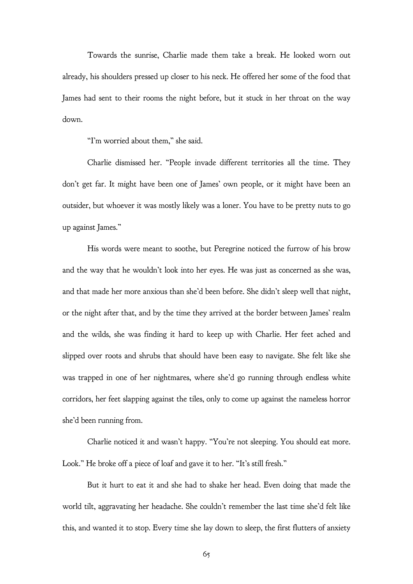Towards the sunrise, Charlie made them take a break. He looked worn out already, his shoulders pressed up closer to his neck. He offered her some of the food that James had sent to their rooms the night before, but it stuck in her throat on the way down.

"I'm worried about them," she said.

Charlie dismissed her. "People invade different territories all the time. They don't get far. It might have been one of James' own people, or it might have been an outsider, but whoever it was mostly likely was a loner. You have to be pretty nuts to go up against James."

His words were meant to soothe, but Peregrine noticed the furrow of his brow and the way that he wouldn't look into her eyes. He was just as concerned as she was, and that made her more anxious than she'd been before. She didn't sleep well that night, or the night after that, and by the time they arrived at the border between James' realm and the wilds, she was finding it hard to keep up with Charlie. Her feet ached and slipped over roots and shrubs that should have been easy to navigate. She felt like she was trapped in one of her nightmares, where she'd go running through endless white corridors, her feet slapping against the tiles, only to come up against the nameless horror she'd been running from.

Charlie noticed it and wasn't happy. "You're not sleeping. You should eat more. Look." He broke off a piece of loaf and gave it to her. "It's still fresh."

But it hurt to eat it and she had to shake her head. Even doing that made the world tilt, aggravating her headache. She couldn't remember the last time she'd felt like this, and wanted it to stop. Every time she lay down to sleep, the first flutters of anxiety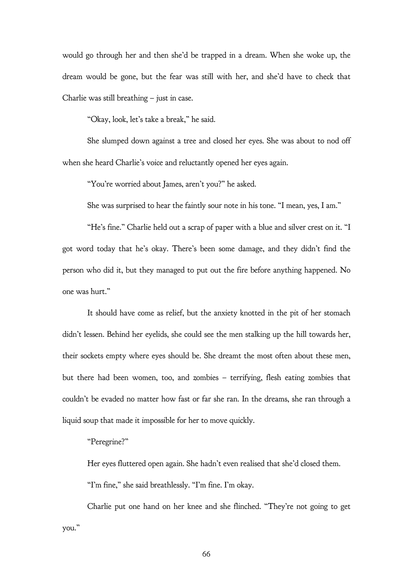would go through her and then she'd be trapped in a dream. When she woke up, the dream would be gone, but the fear was still with her, and she'd have to check that Charlie was still breathing – just in case.

"Okay, look, let's take a break," he said.

She slumped down against a tree and closed her eyes. She was about to nod off when she heard Charlie's voice and reluctantly opened her eyes again.

"You're worried about James, aren't you?" he asked.

She was surprised to hear the faintly sour note in his tone. "I mean, yes, I am."

"He's fine." Charlie held out a scrap of paper with a blue and silver crest on it. "I got word today that he's okay. There's been some damage, and they didn't find the person who did it, but they managed to put out the fire before anything happened. No one was hurt."

It should have come as relief, but the anxiety knotted in the pit of her stomach didn't lessen. Behind her eyelids, she could see the men stalking up the hill towards her, their sockets empty where eyes should be. She dreamt the most often about these men, but there had been women, too, and zombies – terrifying, flesh eating zombies that couldn't be evaded no matter how fast or far she ran. In the dreams, she ran through a liquid soup that made it impossible for her to move quickly.

## "Peregrine?"

Her eyes fluttered open again. She hadn't even realised that she'd closed them.

"I'm fine," she said breathlessly. "I'm fine. I'm okay.

Charlie put one hand on her knee and she flinched. "They're not going to get you."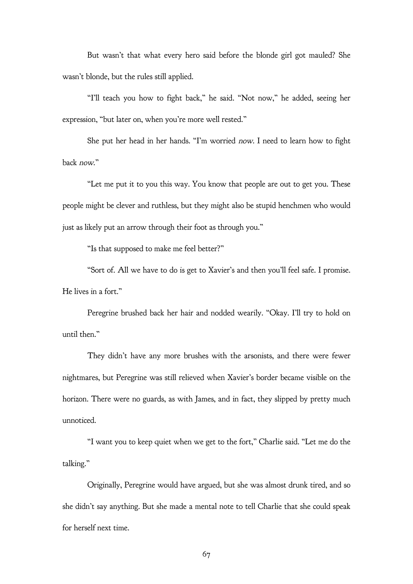But wasn't that what every hero said before the blonde girl got mauled? She wasn't blonde, but the rules still applied.

"I'll teach you how to fight back," he said. "Not now," he added, seeing her expression, "but later on, when you're more well rested."

She put her head in her hands. "I'm worried now. I need to learn how to fight back now."

"Let me put it to you this way. You know that people are out to get you. These people might be clever and ruthless, but they might also be stupid henchmen who would just as likely put an arrow through their foot as through you."

"Is that supposed to make me feel better?"

"Sort of. All we have to do is get to Xavier's and then you'll feel safe. I promise. He lives in a fort."

Peregrine brushed back her hair and nodded wearily. "Okay. I'll try to hold on until then."

They didn't have any more brushes with the arsonists, and there were fewer nightmares, but Peregrine was still relieved when Xavier's border became visible on the horizon. There were no guards, as with James, and in fact, they slipped by pretty much unnoticed.

"I want you to keep quiet when we get to the fort," Charlie said. "Let me do the talking."

Originally, Peregrine would have argued, but she was almost drunk tired, and so she didn't say anything. But she made a mental note to tell Charlie that she could speak for herself next time.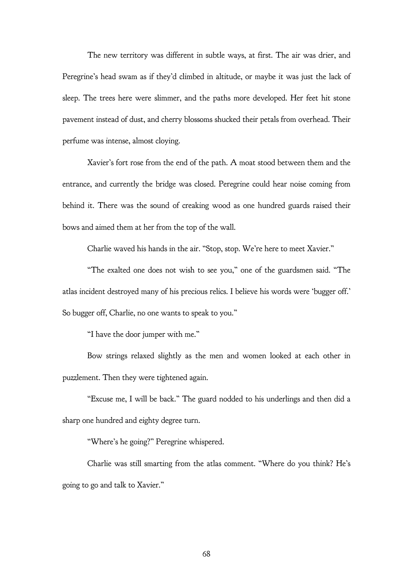The new territory was different in subtle ways, at first. The air was drier, and Peregrine's head swam as if they'd climbed in altitude, or maybe it was just the lack of sleep. The trees here were slimmer, and the paths more developed. Her feet hit stone pavement instead of dust, and cherry blossoms shucked their petals from overhead. Their perfume was intense, almost cloying.

Xavier's fort rose from the end of the path. A moat stood between them and the entrance, and currently the bridge was closed. Peregrine could hear noise coming from behind it. There was the sound of creaking wood as one hundred guards raised their bows and aimed them at her from the top of the wall.

Charlie waved his hands in the air. "Stop, stop. We're here to meet Xavier."

"The exalted one does not wish to see you," one of the guardsmen said. "The atlas incident destroyed many of his precious relics. I believe his words were 'bugger off.' So bugger off, Charlie, no one wants to speak to you."

"I have the door jumper with me."

Bow strings relaxed slightly as the men and women looked at each other in puzzlement. Then they were tightened again.

"Excuse me, I will be back." The guard nodded to his underlings and then did a sharp one hundred and eighty degree turn.

"Where's he going?" Peregrine whispered.

Charlie was still smarting from the atlas comment. "Where do you think? He's going to go and talk to Xavier."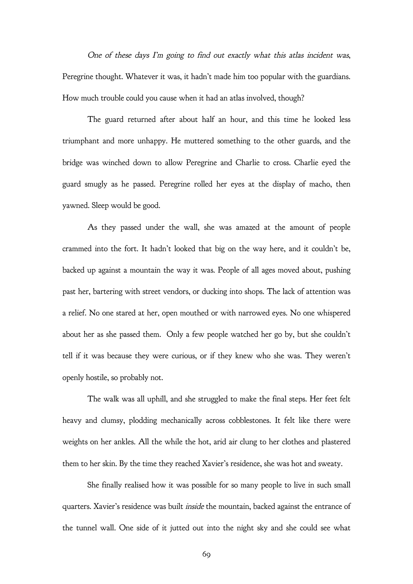One of these days I'm going to find out exactly what this atlas incident was, Peregrine thought. Whatever it was, it hadn't made him too popular with the guardians. How much trouble could you cause when it had an atlas involved, though?

The guard returned after about half an hour, and this time he looked less triumphant and more unhappy. He muttered something to the other guards, and the bridge was winched down to allow Peregrine and Charlie to cross. Charlie eyed the guard smugly as he passed. Peregrine rolled her eyes at the display of macho, then yawned. Sleep would be good.

As they passed under the wall, she was amazed at the amount of people crammed into the fort. It hadn't looked that big on the way here, and it couldn't be, backed up against a mountain the way it was. People of all ages moved about, pushing past her, bartering with street vendors, or ducking into shops. The lack of attention was a relief. No one stared at her, open mouthed or with narrowed eyes. No one whispered about her as she passed them. Only a few people watched her go by, but she couldn't tell if it was because they were curious, or if they knew who she was. They weren't openly hostile, so probably not.

The walk was all uphill, and she struggled to make the final steps. Her feet felt heavy and clumsy, plodding mechanically across cobblestones. It felt like there were weights on her ankles. All the while the hot, arid air clung to her clothes and plastered them to her skin. By the time they reached Xavier's residence, she was hot and sweaty.

She finally realised how it was possible for so many people to live in such small quarters. Xavier's residence was built inside the mountain, backed against the entrance of the tunnel wall. One side of it jutted out into the night sky and she could see what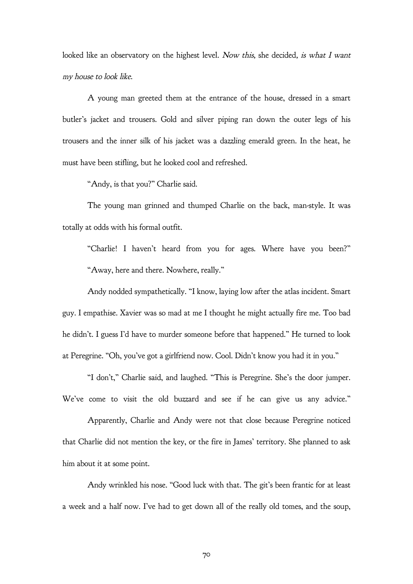looked like an observatory on the highest level. Now this, she decided, is what I want my house to look like.

A young man greeted them at the entrance of the house, dressed in a smart butler's jacket and trousers. Gold and silver piping ran down the outer legs of his trousers and the inner silk of his jacket was a dazzling emerald green. In the heat, he must have been stifling, but he looked cool and refreshed.

"Andy, is that you?" Charlie said.

The young man grinned and thumped Charlie on the back, man-style. It was totally at odds with his formal outfit.

"Charlie! I haven't heard from you for ages. Where have you been?" "Away, here and there. Nowhere, really."

Andy nodded sympathetically. "I know, laying low after the atlas incident. Smart guy. I empathise. Xavier was so mad at me I thought he might actually fire me. Too bad he didn't. I guess I'd have to murder someone before that happened." He turned to look at Peregrine. "Oh, you've got a girlfriend now. Cool. Didn't know you had it in you."

"I don't," Charlie said, and laughed. "This is Peregrine. She's the door jumper. We've come to visit the old buzzard and see if he can give us any advice."

Apparently, Charlie and Andy were not that close because Peregrine noticed that Charlie did not mention the key, or the fire in James' territory. She planned to ask him about it at some point.

Andy wrinkled his nose. "Good luck with that. The git's been frantic for at least a week and a half now. I've had to get down all of the really old tomes, and the soup,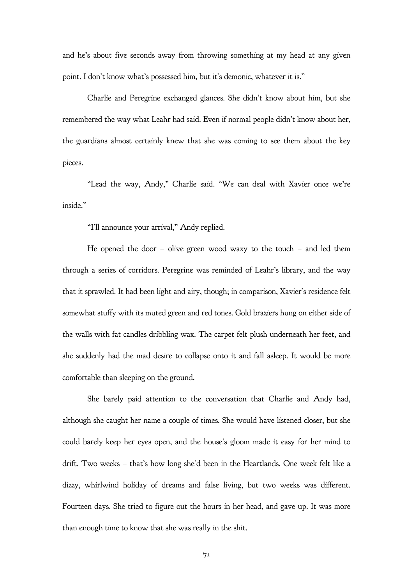and he's about five seconds away from throwing something at my head at any given point. I don't know what's possessed him, but it's demonic, whatever it is."

Charlie and Peregrine exchanged glances. She didn't know about him, but she remembered the way what Leahr had said. Even if normal people didn't know about her, the guardians almost certainly knew that she was coming to see them about the key pieces.

"Lead the way, Andy," Charlie said. "We can deal with Xavier once we're inside."

"I'll announce your arrival," Andy replied.

He opened the door – olive green wood waxy to the touch – and led them through a series of corridors. Peregrine was reminded of Leahr's library, and the way that it sprawled. It had been light and airy, though; in comparison, Xavier's residence felt somewhat stuffy with its muted green and red tones. Gold braziers hung on either side of the walls with fat candles dribbling wax. The carpet felt plush underneath her feet, and she suddenly had the mad desire to collapse onto it and fall asleep. It would be more comfortable than sleeping on the ground.

She barely paid attention to the conversation that Charlie and Andy had, although she caught her name a couple of times. She would have listened closer, but she could barely keep her eyes open, and the house's gloom made it easy for her mind to drift. Two weeks – that's how long she'd been in the Heartlands. One week felt like a dizzy, whirlwind holiday of dreams and false living, but two weeks was different. Fourteen days. She tried to figure out the hours in her head, and gave up. It was more than enough time to know that she was really in the shit.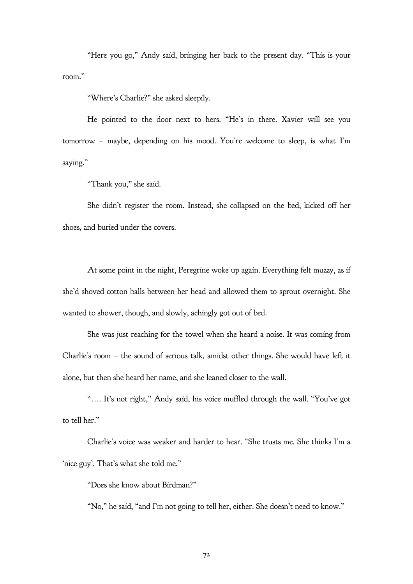"Here you go," Andy said, bringing her back to the present day. "This is your room."

"Where's Charlie?" she asked sleepily.

He pointed to the door next to hers. "He's in there. Xavier will see you tomorrow – maybe, depending on his mood. You're welcome to sleep, is what I'm saying."

"Thank you," she said.

She didn't register the room. Instead, she collapsed on the bed, kicked off her shoes, and buried under the covers.

At some point in the night, Peregrine woke up again. Everything felt muzzy, as if she'd shoved cotton balls between her head and allowed them to sprout overnight. She wanted to shower, though, and slowly, achingly got out of bed.

She was just reaching for the towel when she heard a noise. It was coming from Charlie's room – the sound of serious talk, amidst other things. She would have left it alone, but then she heard her name, and she leaned closer to the wall.

"…. It's not right," Andy said, his voice muffled through the wall. "You've got to tell her."

Charlie's voice was weaker and harder to hear. "She trusts me. She thinks I'm a 'nice guy'. That's what she told me."

"Does she know about Birdman?"

"No," he said, "and I'm not going to tell her, either. She doesn't need to know."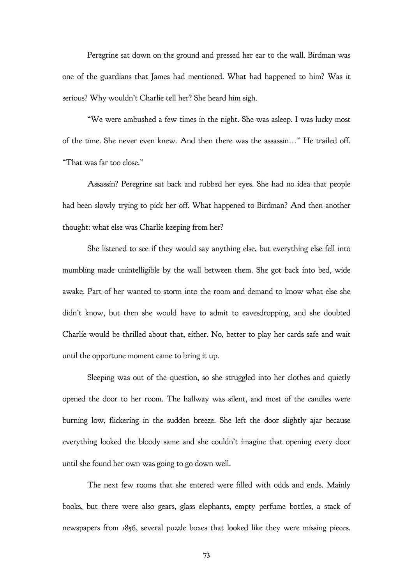Peregrine sat down on the ground and pressed her ear to the wall. Birdman was one of the guardians that James had mentioned. What had happened to him? Was it serious? Why wouldn't Charlie tell her? She heard him sigh.

"We were ambushed a few times in the night. She was asleep. I was lucky most of the time. She never even knew. And then there was the assassin…" He trailed off. "That was far too close."

Assassin? Peregrine sat back and rubbed her eyes. She had no idea that people had been slowly trying to pick her off. What happened to Birdman? And then another thought: what else was Charlie keeping from her?

She listened to see if they would say anything else, but everything else fell into mumbling made unintelligible by the wall between them. She got back into bed, wide awake. Part of her wanted to storm into the room and demand to know what else she didn't know, but then she would have to admit to eavesdropping, and she doubted Charlie would be thrilled about that, either. No, better to play her cards safe and wait until the opportune moment came to bring it up.

Sleeping was out of the question, so she struggled into her clothes and quietly opened the door to her room. The hallway was silent, and most of the candles were burning low, flickering in the sudden breeze. She left the door slightly ajar because everything looked the bloody same and she couldn't imagine that opening every door until she found her own was going to go down well.

The next few rooms that she entered were filled with odds and ends. Mainly books, but there were also gears, glass elephants, empty perfume bottles, a stack of newspapers from 1856, several puzzle boxes that looked like they were missing pieces.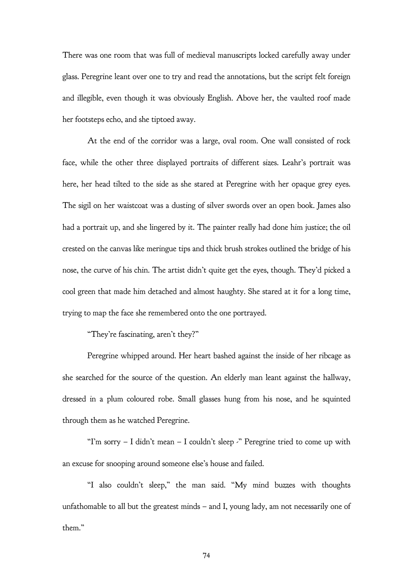There was one room that was full of medieval manuscripts locked carefully away under glass. Peregrine leant over one to try and read the annotations, but the script felt foreign and illegible, even though it was obviously English. Above her, the vaulted roof made her footsteps echo, and she tiptoed away.

At the end of the corridor was a large, oval room. One wall consisted of rock face, while the other three displayed portraits of different sizes. Leahr's portrait was here, her head tilted to the side as she stared at Peregrine with her opaque grey eyes. The sigil on her waistcoat was a dusting of silver swords over an open book. James also had a portrait up, and she lingered by it. The painter really had done him justice; the oil crested on the canvas like meringue tips and thick brush strokes outlined the bridge of his nose, the curve of his chin. The artist didn't quite get the eyes, though. They'd picked a cool green that made him detached and almost haughty. She stared at it for a long time, trying to map the face she remembered onto the one portrayed.

"They're fascinating, aren't they?"

Peregrine whipped around. Her heart bashed against the inside of her ribcage as she searched for the source of the question. An elderly man leant against the hallway, dressed in a plum coloured robe. Small glasses hung from his nose, and he squinted through them as he watched Peregrine.

"I'm sorry  $-$  I didn't mean  $-$  I couldn't sleep  $\cdot$ " Peregrine tried to come up with an excuse for snooping around someone else's house and failed.

"I also couldn't sleep," the man said. "My mind buzzes with thoughts unfathomable to all but the greatest minds – and I, young lady, am not necessarily one of them."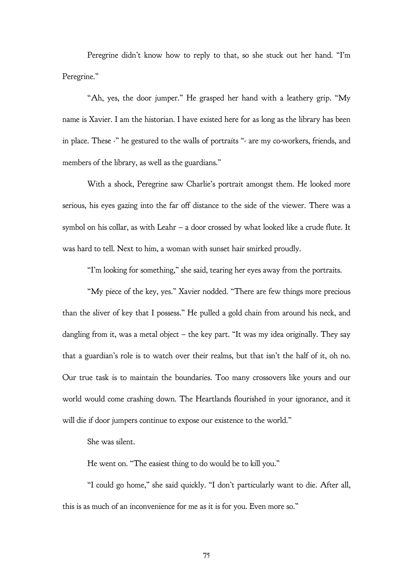Peregrine didn't know how to reply to that, so she stuck out her hand. "I'm Peregrine."

"Ah, yes, the door jumper." He grasped her hand with a leathery grip. "My name is Xavier. I am the historian. I have existed here for as long as the library has been in place. These  $\cdot$ " he gestured to the walls of portraits " $\cdot$  are my co-workers, friends, and members of the library, as well as the guardians."

With a shock, Peregrine saw Charlie's portrait amongst them. He looked more serious, his eyes gazing into the far off distance to the side of the viewer. There was a symbol on his collar, as with Leahr – a door crossed by what looked like a crude flute. It was hard to tell. Next to him, a woman with sunset hair smirked proudly.

"I'm looking for something," she said, tearing her eyes away from the portraits.

"My piece of the key, yes." Xavier nodded. "There are few things more precious than the sliver of key that I possess." He pulled a gold chain from around his neck, and dangling from it, was a metal object – the key part. "It was my idea originally. They say that a guardian's role is to watch over their realms, but that isn't the half of it, oh no. Our true task is to maintain the boundaries. Too many crossovers like yours and our world would come crashing down. The Heartlands flourished in your ignorance, and it will die if door jumpers continue to expose our existence to the world."

She was silent.

He went on. "The easiest thing to do would be to kill you."

"I could go home," she said quickly. "I don't particularly want to die. After all, this is as much of an inconvenience for me as it is for you. Even more so."

75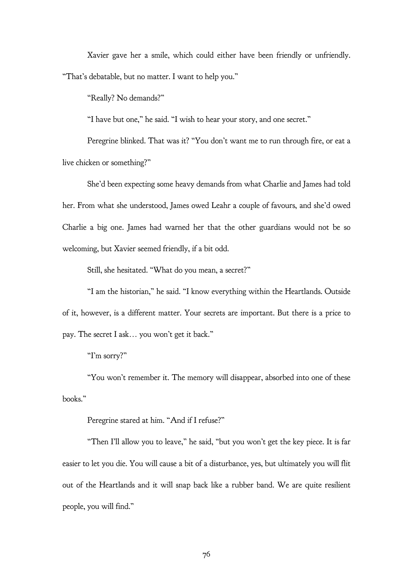Xavier gave her a smile, which could either have been friendly or unfriendly. "That's debatable, but no matter. I want to help you."

"Really? No demands?"

"I have but one," he said. "I wish to hear your story, and one secret."

Peregrine blinked. That was it? "You don't want me to run through fire, or eat a live chicken or something?"

She'd been expecting some heavy demands from what Charlie and James had told her. From what she understood, James owed Leahr a couple of favours, and she'd owed Charlie a big one. James had warned her that the other guardians would not be so welcoming, but Xavier seemed friendly, if a bit odd.

Still, she hesitated. "What do you mean, a secret?"

"I am the historian," he said. "I know everything within the Heartlands. Outside of it, however, is a different matter. Your secrets are important. But there is a price to pay. The secret I ask… you won't get it back."

"I'm sorry?"

"You won't remember it. The memory will disappear, absorbed into one of these books."

Peregrine stared at him. "And if I refuse?"

"Then I'll allow you to leave," he said, "but you won't get the key piece. It is far easier to let you die. You will cause a bit of a disturbance, yes, but ultimately you will flit out of the Heartlands and it will snap back like a rubber band. We are quite resilient people, you will find."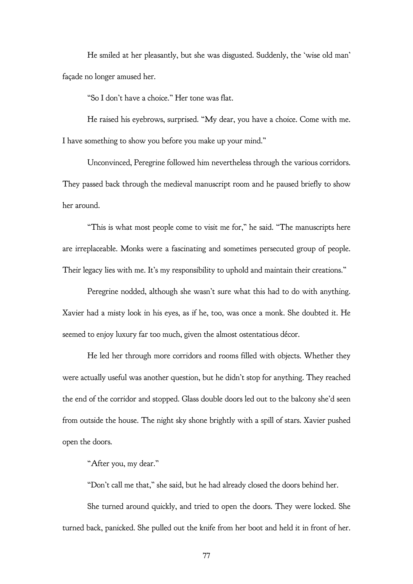He smiled at her pleasantly, but she was disgusted. Suddenly, the 'wise old man' façade no longer amused her.

"So I don't have a choice." Her tone was flat.

He raised his eyebrows, surprised. "My dear, you have a choice. Come with me. I have something to show you before you make up your mind."

Unconvinced, Peregrine followed him nevertheless through the various corridors. They passed back through the medieval manuscript room and he paused briefly to show her around.

"This is what most people come to visit me for," he said. "The manuscripts here are irreplaceable. Monks were a fascinating and sometimes persecuted group of people. Their legacy lies with me. It's my responsibility to uphold and maintain their creations."

Peregrine nodded, although she wasn't sure what this had to do with anything. Xavier had a misty look in his eyes, as if he, too, was once a monk. She doubted it. He seemed to enjoy luxury far too much, given the almost ostentatious décor.

He led her through more corridors and rooms filled with objects. Whether they were actually useful was another question, but he didn't stop for anything. They reached the end of the corridor and stopped. Glass double doors led out to the balcony she'd seen from outside the house. The night sky shone brightly with a spill of stars. Xavier pushed open the doors.

"After you, my dear."

"Don't call me that," she said, but he had already closed the doors behind her.

She turned around quickly, and tried to open the doors. They were locked. She turned back, panicked. She pulled out the knife from her boot and held it in front of her.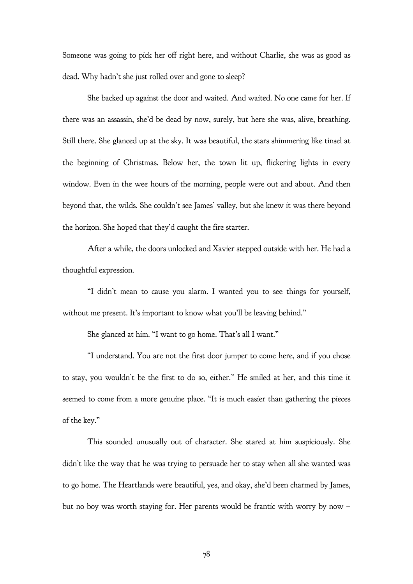Someone was going to pick her off right here, and without Charlie, she was as good as dead. Why hadn't she just rolled over and gone to sleep?

She backed up against the door and waited. And waited. No one came for her. If there was an assassin, she'd be dead by now, surely, but here she was, alive, breathing. Still there. She glanced up at the sky. It was beautiful, the stars shimmering like tinsel at the beginning of Christmas. Below her, the town lit up, flickering lights in every window. Even in the wee hours of the morning, people were out and about. And then beyond that, the wilds. She couldn't see James' valley, but she knew it was there beyond the horizon. She hoped that they'd caught the fire starter.

After a while, the doors unlocked and Xavier stepped outside with her. He had a thoughtful expression.

"I didn't mean to cause you alarm. I wanted you to see things for yourself, without me present. It's important to know what you'll be leaving behind."

She glanced at him. "I want to go home. That's all I want."

"I understand. You are not the first door jumper to come here, and if you chose to stay, you wouldn't be the first to do so, either." He smiled at her, and this time it seemed to come from a more genuine place. "It is much easier than gathering the pieces of the key."

This sounded unusually out of character. She stared at him suspiciously. She didn't like the way that he was trying to persuade her to stay when all she wanted was to go home. The Heartlands were beautiful, yes, and okay, she'd been charmed by James, but no boy was worth staying for. Her parents would be frantic with worry by now –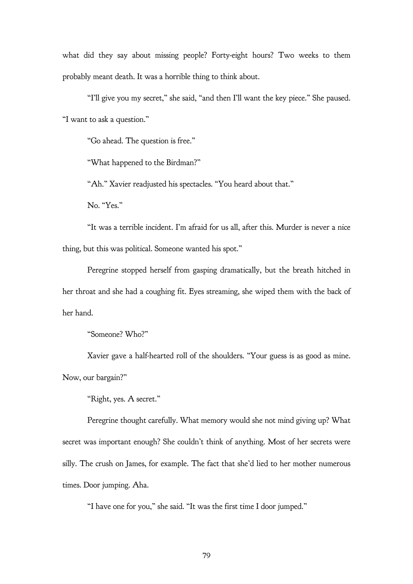what did they say about missing people? Forty-eight hours? Two weeks to them probably meant death. It was a horrible thing to think about.

"I'll give you my secret," she said, "and then I'll want the key piece." She paused. "I want to ask a question."

"Go ahead. The question is free."

"What happened to the Birdman?"

"Ah." Xavier readjusted his spectacles. "You heard about that."

No. "Yes."

"It was a terrible incident. I'm afraid for us all, after this. Murder is never a nice thing, but this was political. Someone wanted his spot."

Peregrine stopped herself from gasping dramatically, but the breath hitched in her throat and she had a coughing fit. Eyes streaming, she wiped them with the back of her hand.

"Someone? Who?"

Xavier gave a half-hearted roll of the shoulders. "Your guess is as good as mine. Now, our bargain?"

"Right, yes. A secret."

Peregrine thought carefully. What memory would she not mind giving up? What secret was important enough? She couldn't think of anything. Most of her secrets were silly. The crush on James, for example. The fact that she'd lied to her mother numerous times. Door jumping. Aha.

"I have one for you," she said. "It was the first time I door jumped."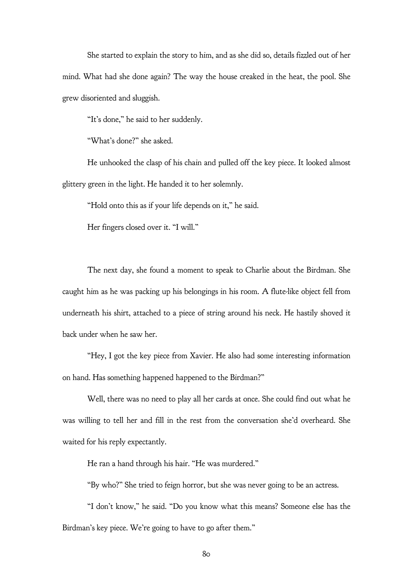She started to explain the story to him, and as she did so, details fizzled out of her mind. What had she done again? The way the house creaked in the heat, the pool. She grew disoriented and sluggish.

"It's done," he said to her suddenly.

"What's done?" she asked.

He unhooked the clasp of his chain and pulled off the key piece. It looked almost glittery green in the light. He handed it to her solemnly.

"Hold onto this as if your life depends on it," he said.

Her fingers closed over it. "I will."

The next day, she found a moment to speak to Charlie about the Birdman. She caught him as he was packing up his belongings in his room. A flute-like object fell from underneath his shirt, attached to a piece of string around his neck. He hastily shoved it back under when he saw her.

"Hey, I got the key piece from Xavier. He also had some interesting information on hand. Has something happened happened to the Birdman?"

Well, there was no need to play all her cards at once. She could find out what he was willing to tell her and fill in the rest from the conversation she'd overheard. She waited for his reply expectantly.

He ran a hand through his hair. "He was murdered."

"By who?" She tried to feign horror, but she was never going to be an actress.

"I don't know," he said. "Do you know what this means? Someone else has the Birdman's key piece. We're going to have to go after them."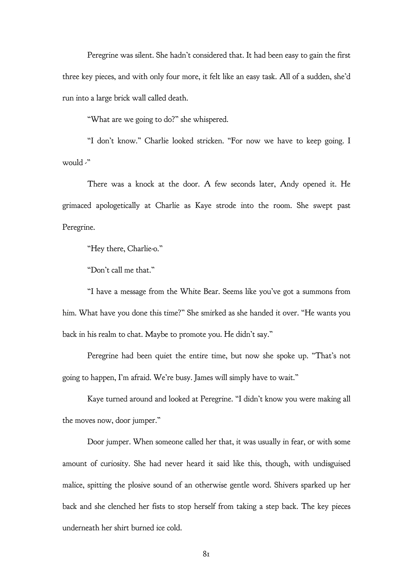Peregrine was silent. She hadn't considered that. It had been easy to gain the first three key pieces, and with only four more, it felt like an easy task. All of a sudden, she'd run into a large brick wall called death.

"What are we going to do?" she whispered.

"I don't know." Charlie looked stricken. "For now we have to keep going. I would -"

There was a knock at the door. A few seconds later, Andy opened it. He grimaced apologetically at Charlie as Kaye strode into the room. She swept past Peregrine.

"Hey there, Charlie-o."

"Don't call me that."

"I have a message from the White Bear. Seems like you've got a summons from him. What have you done this time?" She smirked as she handed it over. "He wants you back in his realm to chat. Maybe to promote you. He didn't say."

Peregrine had been quiet the entire time, but now she spoke up. "That's not going to happen, I'm afraid. We're busy. James will simply have to wait."

Kaye turned around and looked at Peregrine. "I didn't know you were making all the moves now, door jumper."

Door jumper. When someone called her that, it was usually in fear, or with some amount of curiosity. She had never heard it said like this, though, with undisguised malice, spitting the plosive sound of an otherwise gentle word. Shivers sparked up her back and she clenched her fists to stop herself from taking a step back. The key pieces underneath her shirt burned ice cold.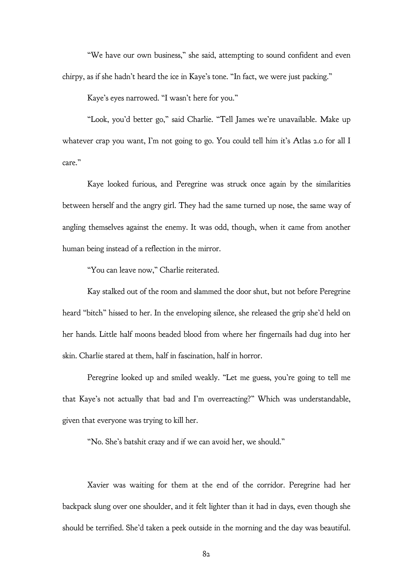"We have our own business," she said, attempting to sound confident and even chirpy, as if she hadn't heard the ice in Kaye's tone. "In fact, we were just packing."

Kaye's eyes narrowed. "I wasn't here for you."

"Look, you'd better go," said Charlie. "Tell James we're unavailable. Make up whatever crap you want, I'm not going to go. You could tell him it's Atlas 2.0 for all I care."

Kaye looked furious, and Peregrine was struck once again by the similarities between herself and the angry girl. They had the same turned up nose, the same way of angling themselves against the enemy. It was odd, though, when it came from another human being instead of a reflection in the mirror.

"You can leave now," Charlie reiterated.

Kay stalked out of the room and slammed the door shut, but not before Peregrine heard "bitch" hissed to her. In the enveloping silence, she released the grip she'd held on her hands. Little half moons beaded blood from where her fingernails had dug into her skin. Charlie stared at them, half in fascination, half in horror.

Peregrine looked up and smiled weakly. "Let me guess, you're going to tell me that Kaye's not actually that bad and I'm overreacting?" Which was understandable, given that everyone was trying to kill her.

"No. She's batshit crazy and if we can avoid her, we should."

Xavier was waiting for them at the end of the corridor. Peregrine had her backpack slung over one shoulder, and it felt lighter than it had in days, even though she should be terrified. She'd taken a peek outside in the morning and the day was beautiful.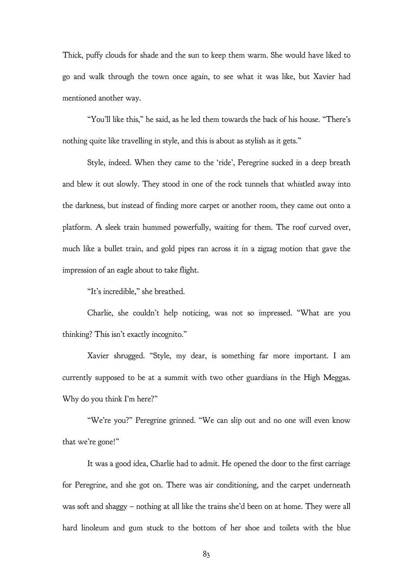Thick, puffy clouds for shade and the sun to keep them warm. She would have liked to go and walk through the town once again, to see what it was like, but Xavier had mentioned another way.

"You'll like this," he said, as he led them towards the back of his house. "There's nothing quite like travelling in style, and this is about as stylish as it gets."

Style, indeed. When they came to the 'ride', Peregrine sucked in a deep breath and blew it out slowly. They stood in one of the rock tunnels that whistled away into the darkness, but instead of finding more carpet or another room, they came out onto a platform. A sleek train hummed powerfully, waiting for them. The roof curved over, much like a bullet train, and gold pipes ran across it in a zigzag motion that gave the impression of an eagle about to take flight.

"It's incredible," she breathed.

Charlie, she couldn't help noticing, was not so impressed. "What are you thinking? This isn't exactly incognito."

Xavier shrugged. "Style, my dear, is something far more important. I am currently supposed to be at a summit with two other guardians in the High Meggas. Why do you think I'm here?"

"We're you?" Peregrine grinned. "We can slip out and no one will even know that we're gone!"

It was a good idea, Charlie had to admit. He opened the door to the first carriage for Peregrine, and she got on. There was air conditioning, and the carpet underneath was soft and shaggy – nothing at all like the trains she'd been on at home. They were all hard linoleum and gum stuck to the bottom of her shoe and toilets with the blue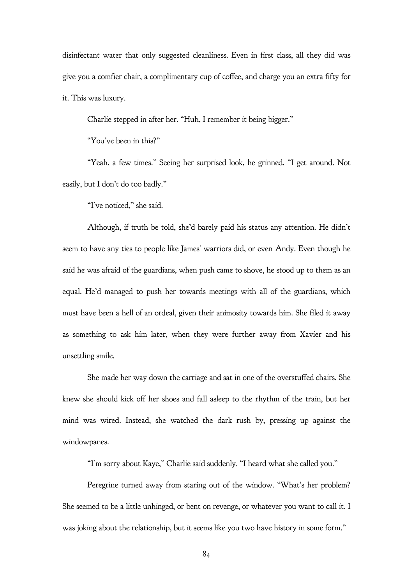disinfectant water that only suggested cleanliness. Even in first class, all they did was give you a comfier chair, a complimentary cup of coffee, and charge you an extra fifty for it. This was luxury.

Charlie stepped in after her. "Huh, I remember it being bigger."

"You've been in this?"

"Yeah, a few times." Seeing her surprised look, he grinned. "I get around. Not easily, but I don't do too badly."

"I've noticed," she said.

Although, if truth be told, she'd barely paid his status any attention. He didn't seem to have any ties to people like James' warriors did, or even Andy. Even though he said he was afraid of the guardians, when push came to shove, he stood up to them as an equal. He'd managed to push her towards meetings with all of the guardians, which must have been a hell of an ordeal, given their animosity towards him. She filed it away as something to ask him later, when they were further away from Xavier and his unsettling smile.

She made her way down the carriage and sat in one of the overstuffed chairs. She knew she should kick off her shoes and fall asleep to the rhythm of the train, but her mind was wired. Instead, she watched the dark rush by, pressing up against the windowpanes.

"I'm sorry about Kaye," Charlie said suddenly. "I heard what she called you."

Peregrine turned away from staring out of the window. "What's her problem? She seemed to be a little unhinged, or bent on revenge, or whatever you want to call it. I was joking about the relationship, but it seems like you two have history in some form."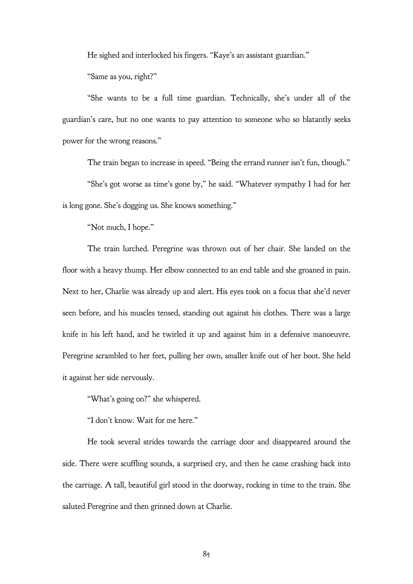He sighed and interlocked his fingers. "Kaye's an assistant guardian."

"Same as you, right?"

"She wants to be a full time guardian. Technically, she's under all of the guardian's care, but no one wants to pay attention to someone who so blatantly seeks power for the wrong reasons."

The train began to increase in speed. "Being the errand runner isn't fun, though."

"She's got worse as time's gone by," he said. "Whatever sympathy I had for her is long gone. She's dogging us. She knows something."

"Not much, I hope."

The train lurched. Peregrine was thrown out of her chair. She landed on the floor with a heavy thump. Her elbow connected to an end table and she groaned in pain. Next to her, Charlie was already up and alert. His eyes took on a focus that she'd never seen before, and his muscles tensed, standing out against his clothes. There was a large knife in his left hand, and he twirled it up and against him in a defensive manoeuvre. Peregrine scrambled to her feet, pulling her own, smaller knife out of her boot. She held it against her side nervously.

"What's going on?" she whispered.

"I don't know. Wait for me here."

He took several strides towards the carriage door and disappeared around the side. There were scuffling sounds, a surprised cry, and then he came crashing back into the carriage. A tall, beautiful girl stood in the doorway, rocking in time to the train. She saluted Peregrine and then grinned down at Charlie.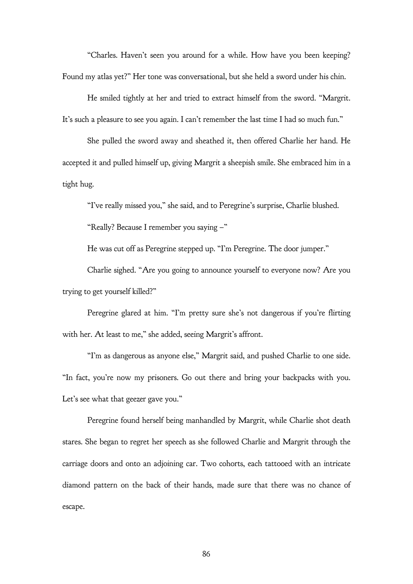"Charles. Haven't seen you around for a while. How have you been keeping? Found my atlas yet?" Her tone was conversational, but she held a sword under his chin.

He smiled tightly at her and tried to extract himself from the sword. "Margrit. It's such a pleasure to see you again. I can't remember the last time I had so much fun."

She pulled the sword away and sheathed it, then offered Charlie her hand. He accepted it and pulled himself up, giving Margrit a sheepish smile. She embraced him in a tight hug.

"I've really missed you," she said, and to Peregrine's surprise, Charlie blushed. "Really? Because I remember you saying –"

He was cut off as Peregrine stepped up. "I'm Peregrine. The door jumper."

Charlie sighed. "Are you going to announce yourself to everyone now? Are you trying to get yourself killed?"

Peregrine glared at him. "I'm pretty sure she's not dangerous if you're flirting with her. At least to me," she added, seeing Margrit's affront.

"I'm as dangerous as anyone else," Margrit said, and pushed Charlie to one side. "In fact, you're now my prisoners. Go out there and bring your backpacks with you. Let's see what that geezer gave you."

Peregrine found herself being manhandled by Margrit, while Charlie shot death stares. She began to regret her speech as she followed Charlie and Margrit through the carriage doors and onto an adjoining car. Two cohorts, each tattooed with an intricate diamond pattern on the back of their hands, made sure that there was no chance of escape.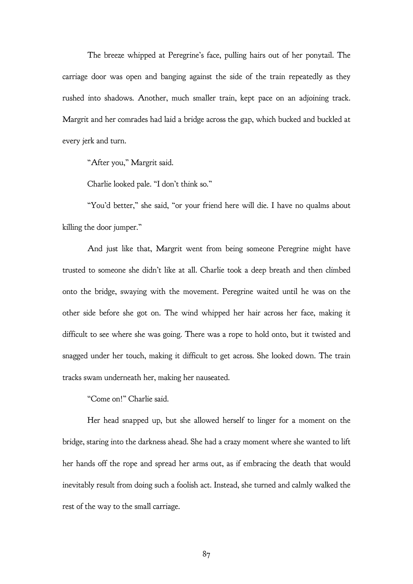The breeze whipped at Peregrine's face, pulling hairs out of her ponytail. The carriage door was open and banging against the side of the train repeatedly as they rushed into shadows. Another, much smaller train, kept pace on an adjoining track. Margrit and her comrades had laid a bridge across the gap, which bucked and buckled at every jerk and turn.

"After you," Margrit said.

Charlie looked pale. "I don't think so."

"You'd better," she said, "or your friend here will die. I have no qualms about killing the door jumper."

And just like that, Margrit went from being someone Peregrine might have trusted to someone she didn't like at all. Charlie took a deep breath and then climbed onto the bridge, swaying with the movement. Peregrine waited until he was on the other side before she got on. The wind whipped her hair across her face, making it difficult to see where she was going. There was a rope to hold onto, but it twisted and snagged under her touch, making it difficult to get across. She looked down. The train tracks swam underneath her, making her nauseated.

"Come on!" Charlie said.

Her head snapped up, but she allowed herself to linger for a moment on the bridge, staring into the darkness ahead. She had a crazy moment where she wanted to lift her hands off the rope and spread her arms out, as if embracing the death that would inevitably result from doing such a foolish act. Instead, she turned and calmly walked the rest of the way to the small carriage.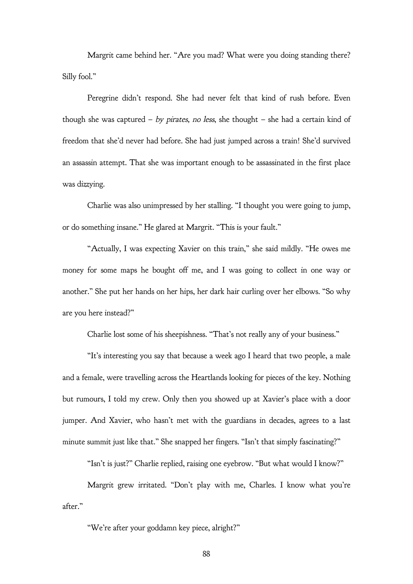Margrit came behind her. "Are you mad? What were you doing standing there? Silly fool."

Peregrine didn't respond. She had never felt that kind of rush before. Even though she was captured – by pirates, no less, she thought – she had a certain kind of freedom that she'd never had before. She had just jumped across a train! She'd survived an assassin attempt. That she was important enough to be assassinated in the first place was dizzying.

Charlie was also unimpressed by her stalling. "I thought you were going to jump, or do something insane." He glared at Margrit. "This is your fault."

"Actually, I was expecting Xavier on this train," she said mildly. "He owes me money for some maps he bought off me, and I was going to collect in one way or another." She put her hands on her hips, her dark hair curling over her elbows. "So why are you here instead?"

Charlie lost some of his sheepishness. "That's not really any of your business."

"It's interesting you say that because a week ago I heard that two people, a male and a female, were travelling across the Heartlands looking for pieces of the key. Nothing but rumours, I told my crew. Only then you showed up at Xavier's place with a door jumper. And Xavier, who hasn't met with the guardians in decades, agrees to a last minute summit just like that." She snapped her fingers. "Isn't that simply fascinating?"

"Isn't is just?" Charlie replied, raising one eyebrow. "But what would I know?"

Margrit grew irritated. "Don't play with me, Charles. I know what you're after."

"We're after your goddamn key piece, alright?"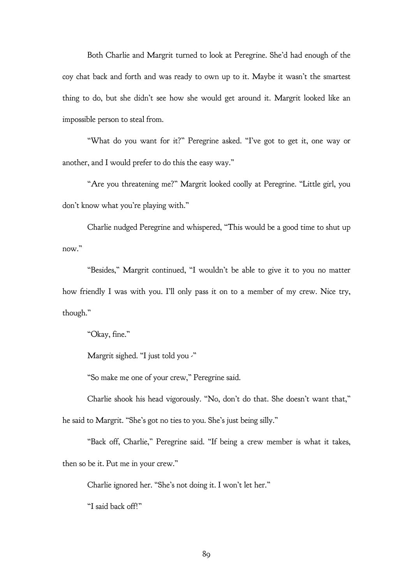Both Charlie and Margrit turned to look at Peregrine. She'd had enough of the coy chat back and forth and was ready to own up to it. Maybe it wasn't the smartest thing to do, but she didn't see how she would get around it. Margrit looked like an impossible person to steal from.

"What do you want for it?" Peregrine asked. "I've got to get it, one way or another, and I would prefer to do this the easy way."

"Are you threatening me?" Margrit looked coolly at Peregrine. "Little girl, you don't know what you're playing with."

Charlie nudged Peregrine and whispered, "This would be a good time to shut up now."

"Besides," Margrit continued, "I wouldn't be able to give it to you no matter how friendly I was with you. I'll only pass it on to a member of my crew. Nice try, though."

"Okay, fine."

Margrit sighed. "I just told you -"

"So make me one of your crew," Peregrine said.

Charlie shook his head vigorously. "No, don't do that. She doesn't want that,"

he said to Margrit. "She's got no ties to you. She's just being silly."

"Back off, Charlie," Peregrine said. "If being a crew member is what it takes, then so be it. Put me in your crew."

Charlie ignored her. "She's not doing it. I won't let her."

"I said back off!"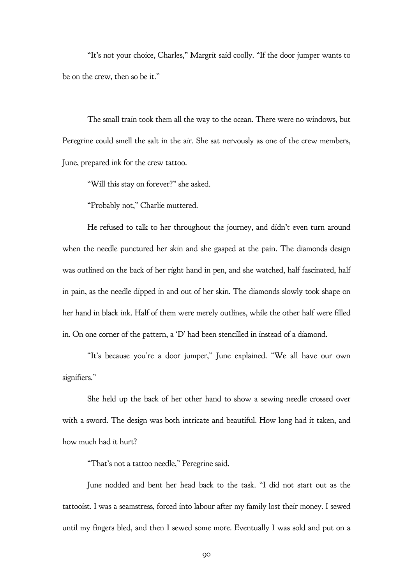"It's not your choice, Charles," Margrit said coolly. "If the door jumper wants to be on the crew, then so be it."

The small train took them all the way to the ocean. There were no windows, but Peregrine could smell the salt in the air. She sat nervously as one of the crew members, June, prepared ink for the crew tattoo.

"Will this stay on forever?" she asked.

"Probably not," Charlie muttered.

He refused to talk to her throughout the journey, and didn't even turn around when the needle punctured her skin and she gasped at the pain. The diamonds design was outlined on the back of her right hand in pen, and she watched, half fascinated, half in pain, as the needle dipped in and out of her skin. The diamonds slowly took shape on her hand in black ink. Half of them were merely outlines, while the other half were filled in. On one corner of the pattern, a 'D' had been stencilled in instead of a diamond.

"It's because you're a door jumper," June explained. "We all have our own signifiers."

She held up the back of her other hand to show a sewing needle crossed over with a sword. The design was both intricate and beautiful. How long had it taken, and how much had it hurt?

"That's not a tattoo needle," Peregrine said.

June nodded and bent her head back to the task. "I did not start out as the tattooist. I was a seamstress, forced into labour after my family lost their money. I sewed until my fingers bled, and then I sewed some more. Eventually I was sold and put on a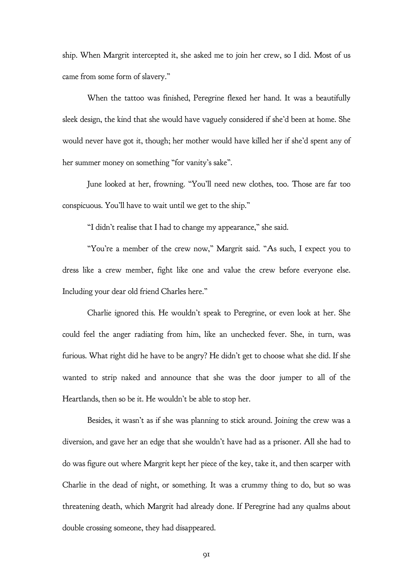ship. When Margrit intercepted it, she asked me to join her crew, so I did. Most of us came from some form of slavery."

When the tattoo was finished, Peregrine flexed her hand. It was a beautifully sleek design, the kind that she would have vaguely considered if she'd been at home. She would never have got it, though; her mother would have killed her if she'd spent any of her summer money on something "for vanity's sake".

June looked at her, frowning. "You'll need new clothes, too. Those are far too conspicuous. You'll have to wait until we get to the ship."

"I didn't realise that I had to change my appearance," she said.

"You're a member of the crew now," Margrit said. "As such, I expect you to dress like a crew member, fight like one and value the crew before everyone else. Including your dear old friend Charles here."

Charlie ignored this. He wouldn't speak to Peregrine, or even look at her. She could feel the anger radiating from him, like an unchecked fever. She, in turn, was furious. What right did he have to be angry? He didn't get to choose what she did. If she wanted to strip naked and announce that she was the door jumper to all of the Heartlands, then so be it. He wouldn't be able to stop her.

Besides, it wasn't as if she was planning to stick around. Joining the crew was a diversion, and gave her an edge that she wouldn't have had as a prisoner. All she had to do was figure out where Margrit kept her piece of the key, take it, and then scarper with Charlie in the dead of night, or something. It was a crummy thing to do, but so was threatening death, which Margrit had already done. If Peregrine had any qualms about double crossing someone, they had disappeared.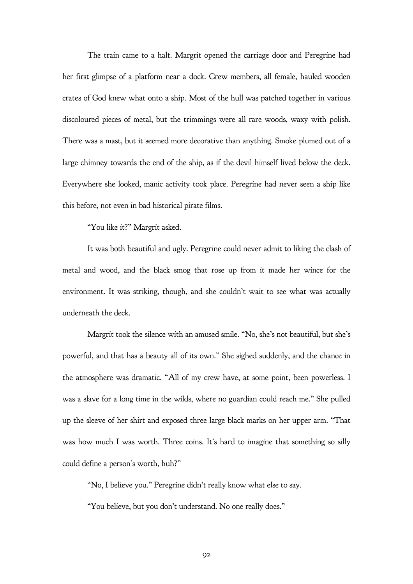The train came to a halt. Margrit opened the carriage door and Peregrine had her first glimpse of a platform near a dock. Crew members, all female, hauled wooden crates of God knew what onto a ship. Most of the hull was patched together in various discoloured pieces of metal, but the trimmings were all rare woods, waxy with polish. There was a mast, but it seemed more decorative than anything. Smoke plumed out of a large chimney towards the end of the ship, as if the devil himself lived below the deck. Everywhere she looked, manic activity took place. Peregrine had never seen a ship like this before, not even in bad historical pirate films.

"You like it?" Margrit asked.

It was both beautiful and ugly. Peregrine could never admit to liking the clash of metal and wood, and the black smog that rose up from it made her wince for the environment. It was striking, though, and she couldn't wait to see what was actually underneath the deck.

Margrit took the silence with an amused smile. "No, she's not beautiful, but she's powerful, and that has a beauty all of its own." She sighed suddenly, and the chance in the atmosphere was dramatic. "All of my crew have, at some point, been powerless. I was a slave for a long time in the wilds, where no guardian could reach me." She pulled up the sleeve of her shirt and exposed three large black marks on her upper arm. "That was how much I was worth. Three coins. It's hard to imagine that something so silly could define a person's worth, huh?"

"No, I believe you." Peregrine didn't really know what else to say.

"You believe, but you don't understand. No one really does."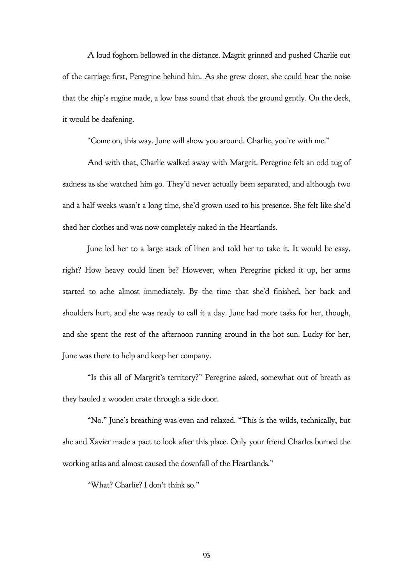A loud foghorn bellowed in the distance. Magrit grinned and pushed Charlie out of the carriage first, Peregrine behind him. As she grew closer, she could hear the noise that the ship's engine made, a low bass sound that shook the ground gently. On the deck, it would be deafening.

"Come on, this way. June will show you around. Charlie, you're with me."

And with that, Charlie walked away with Margrit. Peregrine felt an odd tug of sadness as she watched him go. They'd never actually been separated, and although two and a half weeks wasn't a long time, she'd grown used to his presence. She felt like she'd shed her clothes and was now completely naked in the Heartlands.

June led her to a large stack of linen and told her to take it. It would be easy, right? How heavy could linen be? However, when Peregrine picked it up, her arms started to ache almost immediately. By the time that she'd finished, her back and shoulders hurt, and she was ready to call it a day. June had more tasks for her, though, and she spent the rest of the afternoon running around in the hot sun. Lucky for her, June was there to help and keep her company.

"Is this all of Margrit's territory?" Peregrine asked, somewhat out of breath as they hauled a wooden crate through a side door.

"No." June's breathing was even and relaxed. "This is the wilds, technically, but she and Xavier made a pact to look after this place. Only your friend Charles burned the working atlas and almost caused the downfall of the Heartlands."

"What? Charlie? I don't think so."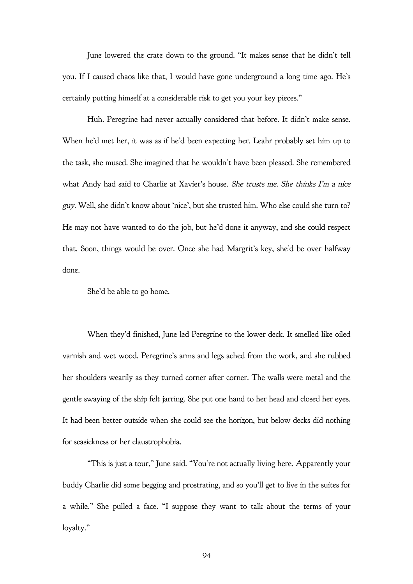June lowered the crate down to the ground. "It makes sense that he didn't tell you. If I caused chaos like that, I would have gone underground a long time ago. He's certainly putting himself at a considerable risk to get you your key pieces."

Huh. Peregrine had never actually considered that before. It didn't make sense. When he'd met her, it was as if he'd been expecting her. Leahr probably set him up to the task, she mused. She imagined that he wouldn't have been pleased. She remembered what Andy had said to Charlie at Xavier's house. She trusts me. She thinks I'm a nice guy. Well, she didn't know about 'nice', but she trusted him. Who else could she turn to? He may not have wanted to do the job, but he'd done it anyway, and she could respect that. Soon, things would be over. Once she had Margrit's key, she'd be over halfway done.

She'd be able to go home.

When they'd finished, June led Peregrine to the lower deck. It smelled like oiled varnish and wet wood. Peregrine's arms and legs ached from the work, and she rubbed her shoulders wearily as they turned corner after corner. The walls were metal and the gentle swaying of the ship felt jarring. She put one hand to her head and closed her eyes. It had been better outside when she could see the horizon, but below decks did nothing for seasickness or her claustrophobia.

"This is just a tour," June said. "You're not actually living here. Apparently your buddy Charlie did some begging and prostrating, and so you'll get to live in the suites for a while." She pulled a face. "I suppose they want to talk about the terms of your loyalty."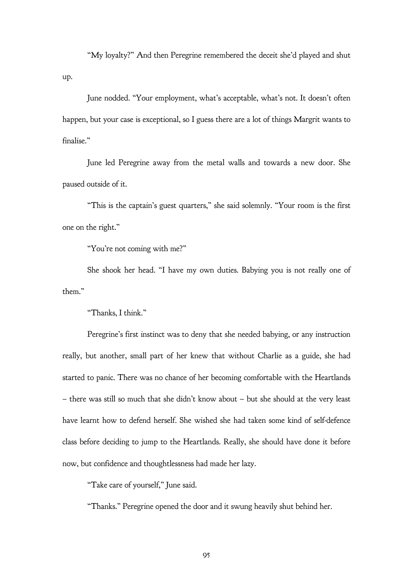"My loyalty?" And then Peregrine remembered the deceit she'd played and shut up.

June nodded. "Your employment, what's acceptable, what's not. It doesn't often happen, but your case is exceptional, so I guess there are a lot of things Margrit wants to finalise."

June led Peregrine away from the metal walls and towards a new door. She paused outside of it.

"This is the captain's guest quarters," she said solemnly. "Your room is the first one on the right."

"You're not coming with me?"

She shook her head. "I have my own duties. Babying you is not really one of them."

"Thanks, I think."

Peregrine's first instinct was to deny that she needed babying, or any instruction really, but another, small part of her knew that without Charlie as a guide, she had started to panic. There was no chance of her becoming comfortable with the Heartlands – there was still so much that she didn't know about – but she should at the very least have learnt how to defend herself. She wished she had taken some kind of self-defence class before deciding to jump to the Heartlands. Really, she should have done it before now, but confidence and thoughtlessness had made her lazy.

"Take care of yourself," June said.

"Thanks." Peregrine opened the door and it swung heavily shut behind her.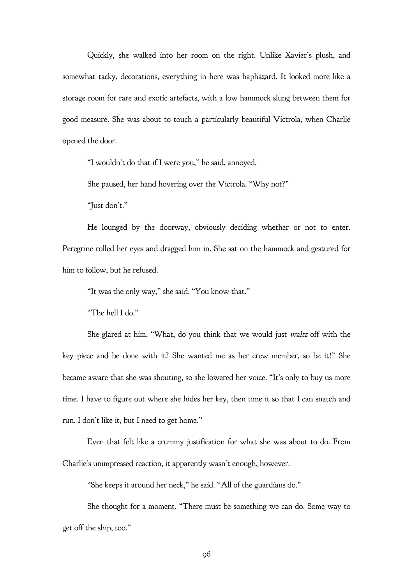Quickly, she walked into her room on the right. Unlike Xavier's plush, and somewhat tacky, decorations, everything in here was haphazard. It looked more like a storage room for rare and exotic artefacts, with a low hammock slung between them for good measure. She was about to touch a particularly beautiful Victrola, when Charlie opened the door.

"I wouldn't do that if I were you," he said, annoyed.

She paused, her hand hovering over the Victrola. "Why not?"

"Just don't."

He lounged by the doorway, obviously deciding whether or not to enter. Peregrine rolled her eyes and dragged him in. She sat on the hammock and gestured for him to follow, but he refused.

"It was the only way," she said. "You know that."

"The hell I do."

She glared at him. "What, do you think that we would just waltz off with the key piece and be done with it? She wanted me as her crew member, so be it!" She became aware that she was shouting, so she lowered her voice. "It's only to buy us more time. I have to figure out where she hides her key, then time it so that I can snatch and run. I don't like it, but I need to get home."

Even that felt like a crummy justification for what she was about to do. From Charlie's unimpressed reaction, it apparently wasn't enough, however.

"She keeps it around her neck," he said. "All of the guardians do."

She thought for a moment. "There must be something we can do. Some way to get off the ship, too."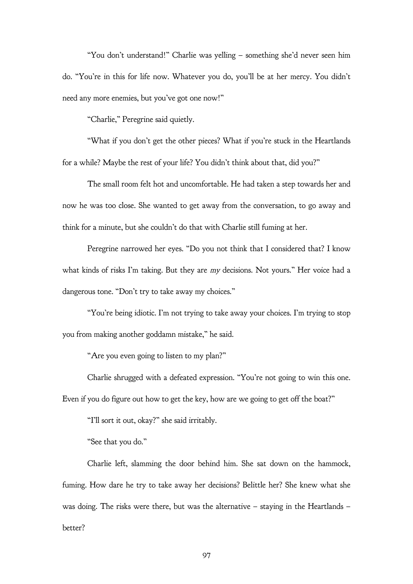"You don't understand!" Charlie was yelling – something she'd never seen him do. "You're in this for life now. Whatever you do, you'll be at her mercy. You didn't need any more enemies, but you've got one now!"

"Charlie," Peregrine said quietly.

"What if you don't get the other pieces? What if you're stuck in the Heartlands for a while? Maybe the rest of your life? You didn't think about that, did you?"

The small room felt hot and uncomfortable. He had taken a step towards her and now he was too close. She wanted to get away from the conversation, to go away and think for a minute, but she couldn't do that with Charlie still fuming at her.

Peregrine narrowed her eyes. "Do you not think that I considered that? I know what kinds of risks I'm taking. But they are my decisions. Not yours." Her voice had a dangerous tone. "Don't try to take away my choices."

"You're being idiotic. I'm not trying to take away your choices. I'm trying to stop you from making another goddamn mistake," he said.

"Are you even going to listen to my plan?"

Charlie shrugged with a defeated expression. "You're not going to win this one.

Even if you do figure out how to get the key, how are we going to get off the boat?"

"I'll sort it out, okay?" she said irritably.

"See that you do."

Charlie left, slamming the door behind him. She sat down on the hammock, fuming. How dare he try to take away her decisions? Belittle her? She knew what she was doing. The risks were there, but was the alternative – staying in the Heartlands – better?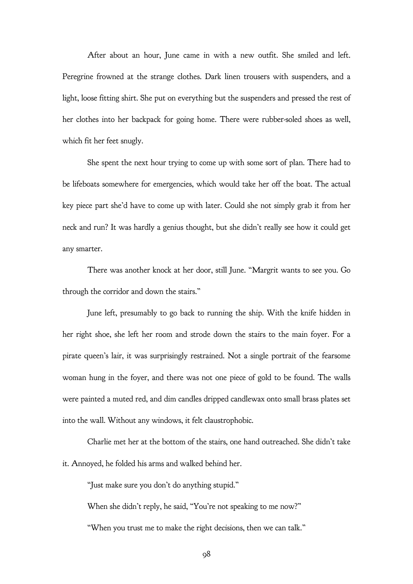After about an hour, June came in with a new outfit. She smiled and left. Peregrine frowned at the strange clothes. Dark linen trousers with suspenders, and a light, loose fitting shirt. She put on everything but the suspenders and pressed the rest of her clothes into her backpack for going home. There were rubber-soled shoes as well, which fit her feet snugly.

She spent the next hour trying to come up with some sort of plan. There had to be lifeboats somewhere for emergencies, which would take her off the boat. The actual key piece part she'd have to come up with later. Could she not simply grab it from her neck and run? It was hardly a genius thought, but she didn't really see how it could get any smarter.

There was another knock at her door, still June. "Margrit wants to see you. Go through the corridor and down the stairs."

June left, presumably to go back to running the ship. With the knife hidden in her right shoe, she left her room and strode down the stairs to the main foyer. For a pirate queen's lair, it was surprisingly restrained. Not a single portrait of the fearsome woman hung in the foyer, and there was not one piece of gold to be found. The walls were painted a muted red, and dim candles dripped candlewax onto small brass plates set into the wall. Without any windows, it felt claustrophobic.

Charlie met her at the bottom of the stairs, one hand outreached. She didn't take it. Annoyed, he folded his arms and walked behind her.

"Just make sure you don't do anything stupid."

When she didn't reply, he said, "You're not speaking to me now?"

"When you trust me to make the right decisions, then we can talk."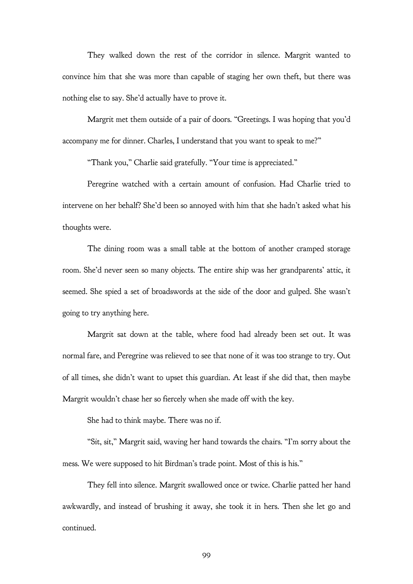They walked down the rest of the corridor in silence. Margrit wanted to convince him that she was more than capable of staging her own theft, but there was nothing else to say. She'd actually have to prove it.

Margrit met them outside of a pair of doors. "Greetings. I was hoping that you'd accompany me for dinner. Charles, I understand that you want to speak to me?"

"Thank you," Charlie said gratefully. "Your time is appreciated."

Peregrine watched with a certain amount of confusion. Had Charlie tried to intervene on her behalf? She'd been so annoyed with him that she hadn't asked what his thoughts were.

The dining room was a small table at the bottom of another cramped storage room. She'd never seen so many objects. The entire ship was her grandparents' attic, it seemed. She spied a set of broadswords at the side of the door and gulped. She wasn't going to try anything here.

Margrit sat down at the table, where food had already been set out. It was normal fare, and Peregrine was relieved to see that none of it was too strange to try. Out of all times, she didn't want to upset this guardian. At least if she did that, then maybe Margrit wouldn't chase her so fiercely when she made off with the key.

She had to think maybe. There was no if.

"Sit, sit," Margrit said, waving her hand towards the chairs. "I'm sorry about the mess. We were supposed to hit Birdman's trade point. Most of this is his."

They fell into silence. Margrit swallowed once or twice. Charlie patted her hand awkwardly, and instead of brushing it away, she took it in hers. Then she let go and continued.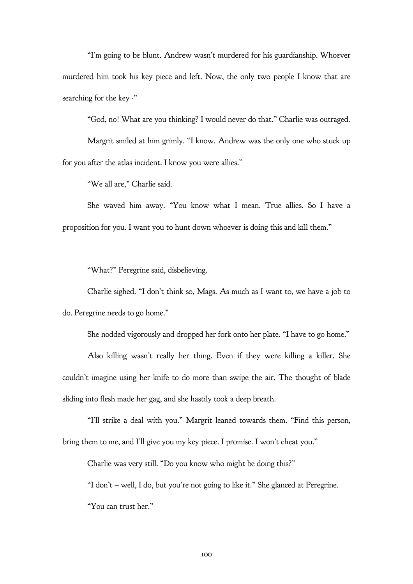"I'm going to be blunt. Andrew wasn't murdered for his guardianship. Whoever murdered him took his key piece and left. Now, the only two people I know that are searching for the key  $\cdot$ "

"God, no! What are you thinking? I would never do that." Charlie was outraged.

Margrit smiled at him grimly. "I know. Andrew was the only one who stuck up for you after the atlas incident. I know you were allies."

"We all are," Charlie said.

She waved him away. "You know what I mean. True allies. So I have a proposition for you. I want you to hunt down whoever is doing this and kill them."

"What?" Peregrine said, disbelieving.

Charlie sighed. "I don't think so, Mags. As much as I want to, we have a job to do. Peregrine needs to go home."

She nodded vigorously and dropped her fork onto her plate. "I have to go home."

Also killing wasn't really her thing. Even if they were killing a killer. She couldn't imagine using her knife to do more than swipe the air. The thought of blade sliding into flesh made her gag, and she hastily took a deep breath.

"I'll strike a deal with you." Margrit leaned towards them. "Find this person, bring them to me, and I'll give you my key piece. I promise. I won't cheat you."

Charlie was very still. "Do you know who might be doing this?"

"I don't – well, I do, but you're not going to like it." She glanced at Peregrine.

"You can trust her."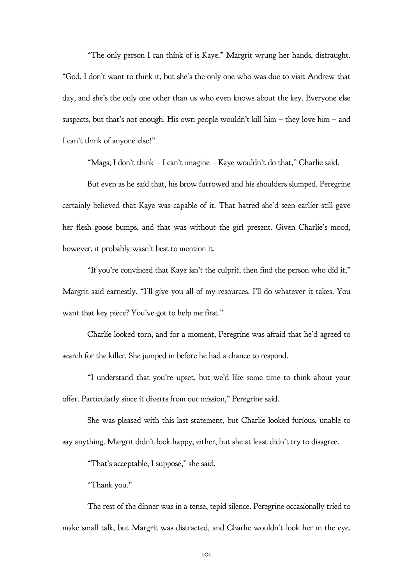"The only person I can think of is Kaye." Margrit wrung her hands, distraught. "God, I don't want to think it, but she's the only one who was due to visit Andrew that day, and she's the only one other than us who even knows about the key. Everyone else suspects, but that's not enough. His own people wouldn't kill him – they love him – and I can't think of anyone else!"

"Mags, I don't think – I can't imagine – Kaye wouldn't do that," Charlie said.

But even as he said that, his brow furrowed and his shoulders slumped. Peregrine certainly believed that Kaye was capable of it. That hatred she'd seen earlier still gave her flesh goose bumps, and that was without the girl present. Given Charlie's mood, however, it probably wasn't best to mention it.

"If you're convinced that Kaye isn't the culprit, then find the person who did it," Margrit said earnestly. "I'll give you all of my resources. I'll do whatever it takes. You want that key piece? You've got to help me first."

Charlie looked torn, and for a moment, Peregrine was afraid that he'd agreed to search for the killer. She jumped in before he had a chance to respond.

"I understand that you're upset, but we'd like some time to think about your offer. Particularly since it diverts from our mission," Peregrine said.

She was pleased with this last statement, but Charlie looked furious, unable to say anything. Margrit didn't look happy, either, but she at least didn't try to disagree.

"That's acceptable, I suppose," she said.

"Thank you."

The rest of the dinner was in a tense, tepid silence. Peregrine occasionally tried to make small talk, but Margrit was distracted, and Charlie wouldn't look her in the eye.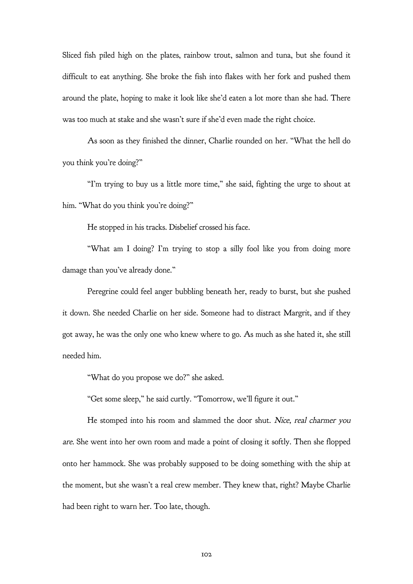Sliced fish piled high on the plates, rainbow trout, salmon and tuna, but she found it difficult to eat anything. She broke the fish into flakes with her fork and pushed them around the plate, hoping to make it look like she'd eaten a lot more than she had. There was too much at stake and she wasn't sure if she'd even made the right choice.

As soon as they finished the dinner, Charlie rounded on her. "What the hell do you think you're doing?"

"I'm trying to buy us a little more time," she said, fighting the urge to shout at him. "What do you think you're doing?"

He stopped in his tracks. Disbelief crossed his face.

"What am I doing? I'm trying to stop a silly fool like you from doing more damage than you've already done."

Peregrine could feel anger bubbling beneath her, ready to burst, but she pushed it down. She needed Charlie on her side. Someone had to distract Margrit, and if they got away, he was the only one who knew where to go. As much as she hated it, she still needed him.

"What do you propose we do?" she asked.

"Get some sleep," he said curtly. "Tomorrow, we'll figure it out."

He stomped into his room and slammed the door shut. Nice, real charmer you are. She went into her own room and made a point of closing it softly. Then she flopped onto her hammock. She was probably supposed to be doing something with the ship at the moment, but she wasn't a real crew member. They knew that, right? Maybe Charlie had been right to warn her. Too late, though.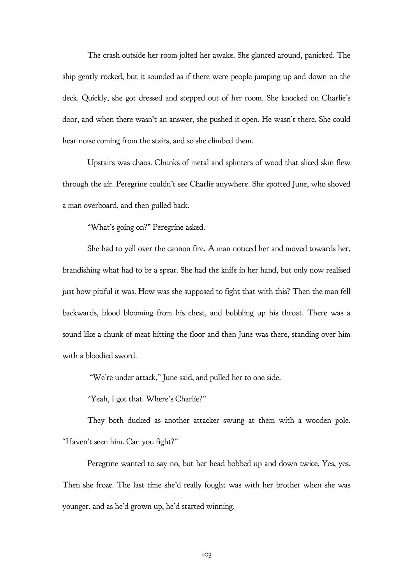The crash outside her room jolted her awake. She glanced around, panicked. The ship gently rocked, but it sounded as if there were people jumping up and down on the deck. Quickly, she got dressed and stepped out of her room. She knocked on Charlie's door, and when there wasn't an answer, she pushed it open. He wasn't there. She could hear noise coming from the stairs, and so she climbed them.

Upstairs was chaos. Chunks of metal and splinters of wood that sliced skin flew through the air. Peregrine couldn't see Charlie anywhere. She spotted June, who shoved a man overboard, and then pulled back.

"What's going on?" Peregrine asked.

She had to yell over the cannon fire. A man noticed her and moved towards her, brandishing what had to be a spear. She had the knife in her hand, but only now realised just how pitiful it was. How was she supposed to fight that with this? Then the man fell backwards, blood blooming from his chest, and bubbling up his throat. There was a sound like a chunk of meat hitting the floor and then June was there, standing over him with a bloodied sword.

"We're under attack," June said, and pulled her to one side.

"Yeah, I got that. Where's Charlie?"

They both ducked as another attacker swung at them with a wooden pole. "Haven't seen him. Can you fight?"

Peregrine wanted to say no, but her head bobbed up and down twice. Yes, yes. Then she froze. The last time she'd really fought was with her brother when she was younger, and as he'd grown up, he'd started winning.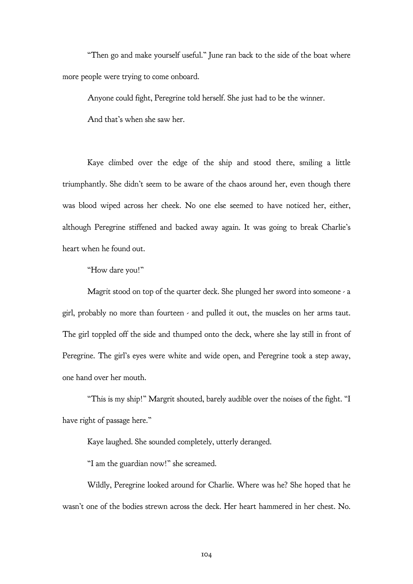"Then go and make yourself useful." June ran back to the side of the boat where more people were trying to come onboard.

Anyone could fight, Peregrine told herself. She just had to be the winner.

And that's when she saw her.

Kaye climbed over the edge of the ship and stood there, smiling a little triumphantly. She didn't seem to be aware of the chaos around her, even though there was blood wiped across her cheek. No one else seemed to have noticed her, either, although Peregrine stiffened and backed away again. It was going to break Charlie's heart when he found out.

"How dare you!"

Magrit stood on top of the quarter deck. She plunged her sword into someone - a girl, probably no more than fourteen  $\cdot$  and pulled it out, the muscles on her arms taut. The girl toppled off the side and thumped onto the deck, where she lay still in front of Peregrine. The girl's eyes were white and wide open, and Peregrine took a step away, one hand over her mouth.

"This is my ship!" Margrit shouted, barely audible over the noises of the fight. "I have right of passage here."

Kaye laughed. She sounded completely, utterly deranged.

"I am the guardian now!" she screamed.

Wildly, Peregrine looked around for Charlie. Where was he? She hoped that he wasn't one of the bodies strewn across the deck. Her heart hammered in her chest. No.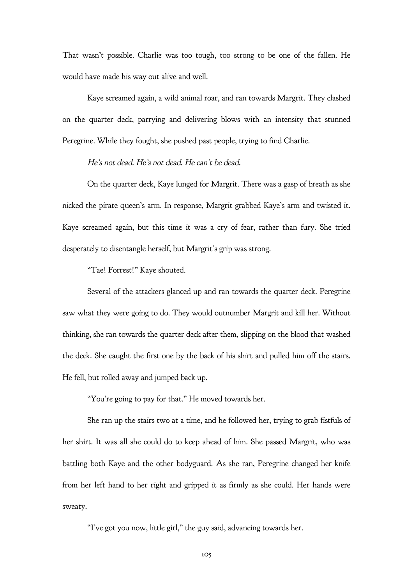That wasn't possible. Charlie was too tough, too strong to be one of the fallen. He would have made his way out alive and well.

Kaye screamed again, a wild animal roar, and ran towards Margrit. They clashed on the quarter deck, parrying and delivering blows with an intensity that stunned Peregrine. While they fought, she pushed past people, trying to find Charlie.

## He's not dead. He's not dead. He can't be dead.

On the quarter deck, Kaye lunged for Margrit. There was a gasp of breath as she nicked the pirate queen's arm. In response, Margrit grabbed Kaye's arm and twisted it. Kaye screamed again, but this time it was a cry of fear, rather than fury. She tried desperately to disentangle herself, but Margrit's grip was strong.

"Tae! Forrest!" Kaye shouted.

Several of the attackers glanced up and ran towards the quarter deck. Peregrine saw what they were going to do. They would outnumber Margrit and kill her. Without thinking, she ran towards the quarter deck after them, slipping on the blood that washed the deck. She caught the first one by the back of his shirt and pulled him off the stairs. He fell, but rolled away and jumped back up.

"You're going to pay for that." He moved towards her.

She ran up the stairs two at a time, and he followed her, trying to grab fistfuls of her shirt. It was all she could do to keep ahead of him. She passed Margrit, who was battling both Kaye and the other bodyguard. As she ran, Peregrine changed her knife from her left hand to her right and gripped it as firmly as she could. Her hands were sweaty.

"I've got you now, little girl," the guy said, advancing towards her.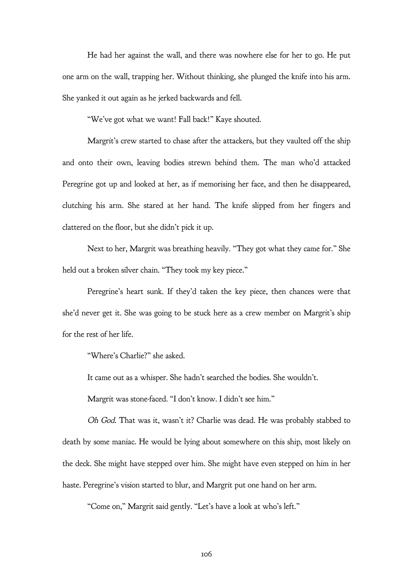He had her against the wall, and there was nowhere else for her to go. He put one arm on the wall, trapping her. Without thinking, she plunged the knife into his arm. She yanked it out again as he jerked backwards and fell.

"We've got what we want! Fall back!" Kaye shouted.

Margrit's crew started to chase after the attackers, but they vaulted off the ship and onto their own, leaving bodies strewn behind them. The man who'd attacked Peregrine got up and looked at her, as if memorising her face, and then he disappeared, clutching his arm. She stared at her hand. The knife slipped from her fingers and clattered on the floor, but she didn't pick it up.

Next to her, Margrit was breathing heavily. "They got what they came for." She held out a broken silver chain. "They took my key piece."

Peregrine's heart sunk. If they'd taken the key piece, then chances were that she'd never get it. She was going to be stuck here as a crew member on Margrit's ship for the rest of her life.

"Where's Charlie?" she asked.

It came out as a whisper. She hadn't searched the bodies. She wouldn't.

Margrit was stone-faced. "I don't know. I didn't see him."

Oh God. That was it, wasn't it? Charlie was dead. He was probably stabbed to death by some maniac. He would be lying about somewhere on this ship, most likely on the deck. She might have stepped over him. She might have even stepped on him in her haste. Peregrine's vision started to blur, and Margrit put one hand on her arm.

"Come on," Margrit said gently. "Let's have a look at who's left."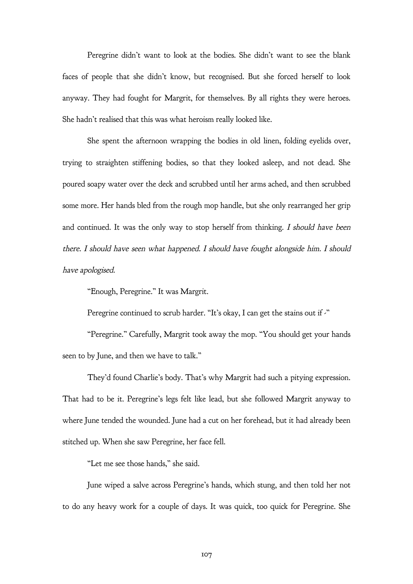Peregrine didn't want to look at the bodies. She didn't want to see the blank faces of people that she didn't know, but recognised. But she forced herself to look anyway. They had fought for Margrit, for themselves. By all rights they were heroes. She hadn't realised that this was what heroism really looked like.

She spent the afternoon wrapping the bodies in old linen, folding eyelids over, trying to straighten stiffening bodies, so that they looked asleep, and not dead. She poured soapy water over the deck and scrubbed until her arms ached, and then scrubbed some more. Her hands bled from the rough mop handle, but she only rearranged her grip and continued. It was the only way to stop herself from thinking. I should have been there. I should have seen what happened. I should have fought alongside him. I should have apologised.

"Enough, Peregrine." It was Margrit.

Peregrine continued to scrub harder. "It's okay, I can get the stains out if  $\cdot$ "

"Peregrine." Carefully, Margrit took away the mop. "You should get your hands seen to by June, and then we have to talk."

They'd found Charlie's body. That's why Margrit had such a pitying expression. That had to be it. Peregrine's legs felt like lead, but she followed Margrit anyway to where June tended the wounded. June had a cut on her forehead, but it had already been stitched up. When she saw Peregrine, her face fell.

"Let me see those hands," she said.

June wiped a salve across Peregrine's hands, which stung, and then told her not to do any heavy work for a couple of days. It was quick, too quick for Peregrine. She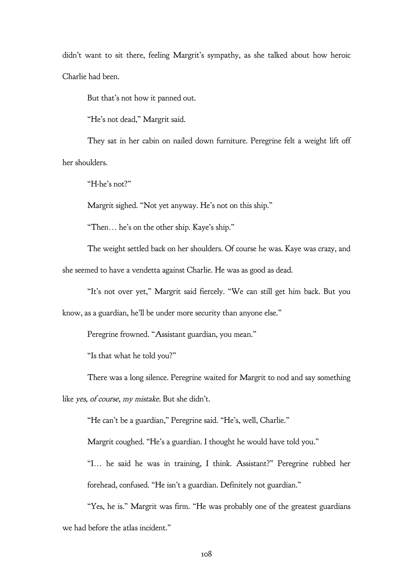didn't want to sit there, feeling Margrit's sympathy, as she talked about how heroic Charlie had been.

But that's not how it panned out.

"He's not dead," Margrit said.

They sat in her cabin on nailed down furniture. Peregrine felt a weight lift off her shoulders.

"H-he's not?"

Margrit sighed. "Not yet anyway. He's not on this ship."

"Then… he's on the other ship. Kaye's ship."

The weight settled back on her shoulders. Of course he was. Kaye was crazy, and she seemed to have a vendetta against Charlie. He was as good as dead.

"It's not over yet," Margrit said fiercely. "We can still get him back. But you

know, as a guardian, he'll be under more security than anyone else."

Peregrine frowned. "Assistant guardian, you mean."

"Is that what he told you?"

There was a long silence. Peregrine waited for Margrit to nod and say something

like yes, of course, my mistake. But she didn't.

"He can't be a guardian," Peregrine said. "He's, well, Charlie."

Margrit coughed. "He's a guardian. I thought he would have told you."

"I… he said he was in training, I think. Assistant?" Peregrine rubbed her forehead, confused. "He isn't a guardian. Definitely not guardian."

"Yes, he is." Margrit was firm. "He was probably one of the greatest guardians we had before the atlas incident."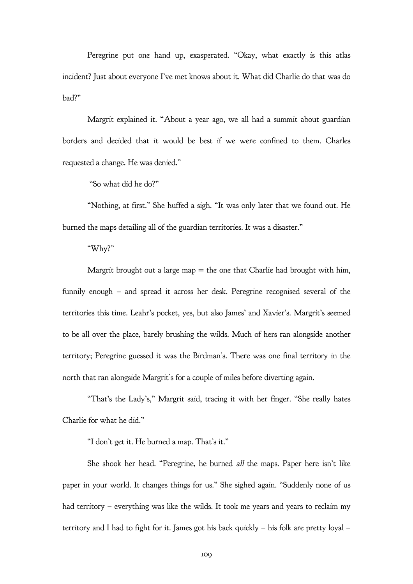Peregrine put one hand up, exasperated. "Okay, what exactly is this atlas incident? Just about everyone I've met knows about it. What did Charlie do that was do bad?"

Margrit explained it. "About a year ago, we all had a summit about guardian borders and decided that it would be best if we were confined to them. Charles requested a change. He was denied."

"So what did he do?"

"Nothing, at first." She huffed a sigh. "It was only later that we found out. He burned the maps detailing all of the guardian territories. It was a disaster."

"Why?"

Margrit brought out a large map  $=$  the one that Charlie had brought with him, funnily enough – and spread it across her desk. Peregrine recognised several of the territories this time. Leahr's pocket, yes, but also James' and Xavier's. Margrit's seemed to be all over the place, barely brushing the wilds. Much of hers ran alongside another territory; Peregrine guessed it was the Birdman's. There was one final territory in the north that ran alongside Margrit's for a couple of miles before diverting again.

"That's the Lady's," Margrit said, tracing it with her finger. "She really hates Charlie for what he did."

"I don't get it. He burned a map. That's it."

She shook her head. "Peregrine, he burned all the maps. Paper here isn't like paper in your world. It changes things for us." She sighed again. "Suddenly none of us had territory – everything was like the wilds. It took me years and years to reclaim my territory and I had to fight for it. James got his back quickly – his folk are pretty loyal –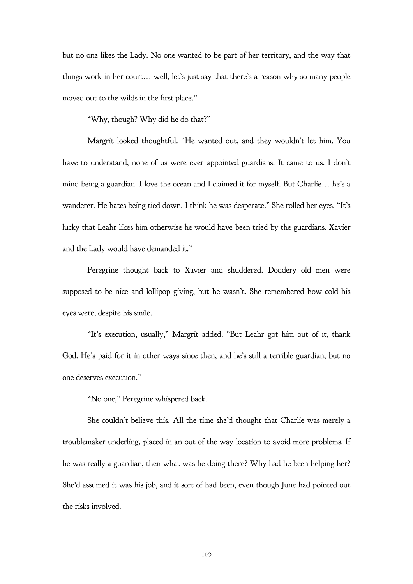but no one likes the Lady. No one wanted to be part of her territory, and the way that things work in her court… well, let's just say that there's a reason why so many people moved out to the wilds in the first place."

"Why, though? Why did he do that?"

Margrit looked thoughtful. "He wanted out, and they wouldn't let him. You have to understand, none of us were ever appointed guardians. It came to us. I don't mind being a guardian. I love the ocean and I claimed it for myself. But Charlie… he's a wanderer. He hates being tied down. I think he was desperate." She rolled her eyes. "It's lucky that Leahr likes him otherwise he would have been tried by the guardians. Xavier and the Lady would have demanded it."

Peregrine thought back to Xavier and shuddered. Doddery old men were supposed to be nice and lollipop giving, but he wasn't. She remembered how cold his eyes were, despite his smile.

"It's execution, usually," Margrit added. "But Leahr got him out of it, thank God. He's paid for it in other ways since then, and he's still a terrible guardian, but no one deserves execution."

"No one," Peregrine whispered back.

She couldn't believe this. All the time she'd thought that Charlie was merely a troublemaker underling, placed in an out of the way location to avoid more problems. If he was really a guardian, then what was he doing there? Why had he been helping her? She'd assumed it was his job, and it sort of had been, even though June had pointed out the risks involved.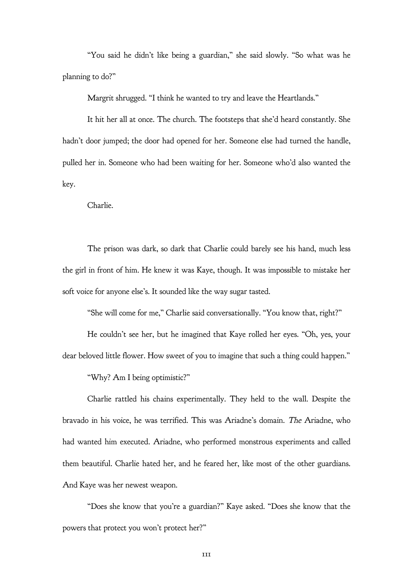"You said he didn't like being a guardian," she said slowly. "So what was he planning to do?"

Margrit shrugged. "I think he wanted to try and leave the Heartlands."

It hit her all at once. The church. The footsteps that she'd heard constantly. She hadn't door jumped; the door had opened for her. Someone else had turned the handle, pulled her in. Someone who had been waiting for her. Someone who'd also wanted the key.

Charlie.

The prison was dark, so dark that Charlie could barely see his hand, much less the girl in front of him. He knew it was Kaye, though. It was impossible to mistake her soft voice for anyone else's. It sounded like the way sugar tasted.

"She will come for me," Charlie said conversationally. "You know that, right?"

He couldn't see her, but he imagined that Kaye rolled her eyes. "Oh, yes, your dear beloved little flower. How sweet of you to imagine that such a thing could happen."

"Why? Am I being optimistic?"

Charlie rattled his chains experimentally. They held to the wall. Despite the bravado in his voice, he was terrified. This was Ariadne's domain. The Ariadne, who had wanted him executed. Ariadne, who performed monstrous experiments and called them beautiful. Charlie hated her, and he feared her, like most of the other guardians. And Kaye was her newest weapon.

"Does she know that you're a guardian?" Kaye asked. "Does she know that the powers that protect you won't protect her?"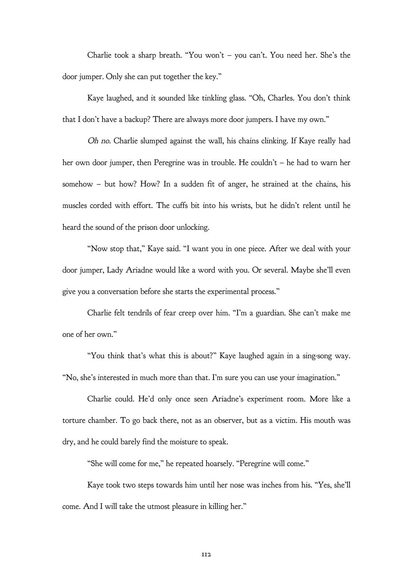Charlie took a sharp breath. "You won't – you can't. You need her. She's the door jumper. Only she can put together the key."

Kaye laughed, and it sounded like tinkling glass. "Oh, Charles. You don't think that I don't have a backup? There are always more door jumpers. I have my own."

Oh no. Charlie slumped against the wall, his chains clinking. If Kaye really had her own door jumper, then Peregrine was in trouble. He couldn't – he had to warn her somehow – but how? How? In a sudden fit of anger, he strained at the chains, his muscles corded with effort. The cuffs bit into his wrists, but he didn't relent until he heard the sound of the prison door unlocking.

"Now stop that," Kaye said. "I want you in one piece. After we deal with your door jumper, Lady Ariadne would like a word with you. Or several. Maybe she'll even give you a conversation before she starts the experimental process."

Charlie felt tendrils of fear creep over him. "I'm a guardian. She can't make me one of her own."

"You think that's what this is about?" Kaye laughed again in a sing-song way. "No, she's interested in much more than that. I'm sure you can use your imagination."

Charlie could. He'd only once seen Ariadne's experiment room. More like a torture chamber. To go back there, not as an observer, but as a victim. His mouth was dry, and he could barely find the moisture to speak.

"She will come for me," he repeated hoarsely. "Peregrine will come."

Kaye took two steps towards him until her nose was inches from his. "Yes, she'll come. And I will take the utmost pleasure in killing her."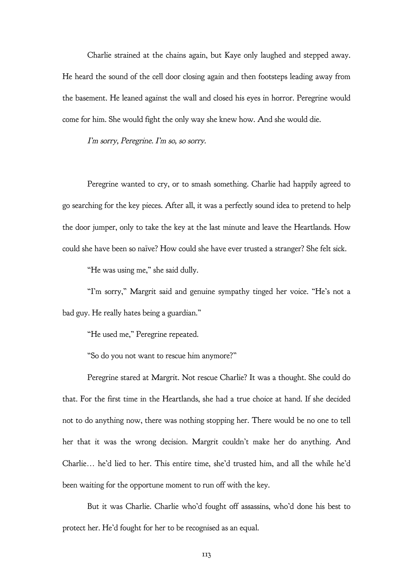Charlie strained at the chains again, but Kaye only laughed and stepped away. He heard the sound of the cell door closing again and then footsteps leading away from the basement. He leaned against the wall and closed his eyes in horror. Peregrine would come for him. She would fight the only way she knew how. And she would die.

I'm sorry, Peregrine. I'm so, so sorry.

Peregrine wanted to cry, or to smash something. Charlie had happily agreed to go searching for the key pieces. After all, it was a perfectly sound idea to pretend to help the door jumper, only to take the key at the last minute and leave the Heartlands. How could she have been so naïve? How could she have ever trusted a stranger? She felt sick.

"He was using me," she said dully.

"I'm sorry," Margrit said and genuine sympathy tinged her voice. "He's not a bad guy. He really hates being a guardian."

"He used me," Peregrine repeated.

"So do you not want to rescue him anymore?"

Peregrine stared at Margrit. Not rescue Charlie? It was a thought. She could do that. For the first time in the Heartlands, she had a true choice at hand. If she decided not to do anything now, there was nothing stopping her. There would be no one to tell her that it was the wrong decision. Margrit couldn't make her do anything. And Charlie… he'd lied to her. This entire time, she'd trusted him, and all the while he'd been waiting for the opportune moment to run off with the key.

But it was Charlie. Charlie who'd fought off assassins, who'd done his best to protect her. He'd fought for her to be recognised as an equal.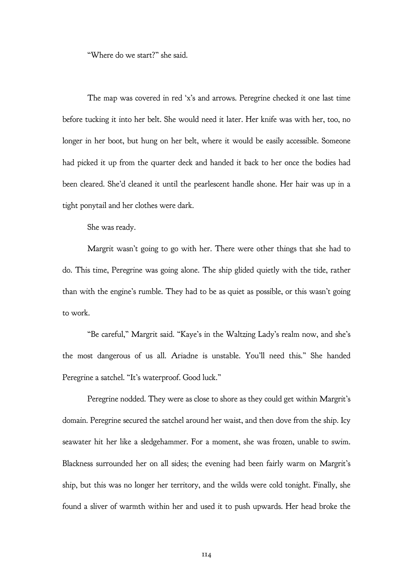"Where do we start?" she said.

The map was covered in red 'x's and arrows. Peregrine checked it one last time before tucking it into her belt. She would need it later. Her knife was with her, too, no longer in her boot, but hung on her belt, where it would be easily accessible. Someone had picked it up from the quarter deck and handed it back to her once the bodies had been cleared. She'd cleaned it until the pearlescent handle shone. Her hair was up in a tight ponytail and her clothes were dark.

She was ready.

Margrit wasn't going to go with her. There were other things that she had to do. This time, Peregrine was going alone. The ship glided quietly with the tide, rather than with the engine's rumble. They had to be as quiet as possible, or this wasn't going to work.

"Be careful," Margrit said. "Kaye's in the Waltzing Lady's realm now, and she's the most dangerous of us all. Ariadne is unstable. You'll need this." She handed Peregrine a satchel. "It's waterproof. Good luck."

Peregrine nodded. They were as close to shore as they could get within Margrit's domain. Peregrine secured the satchel around her waist, and then dove from the ship. Icy seawater hit her like a sledgehammer. For a moment, she was frozen, unable to swim. Blackness surrounded her on all sides; the evening had been fairly warm on Margrit's ship, but this was no longer her territory, and the wilds were cold tonight. Finally, she found a sliver of warmth within her and used it to push upwards. Her head broke the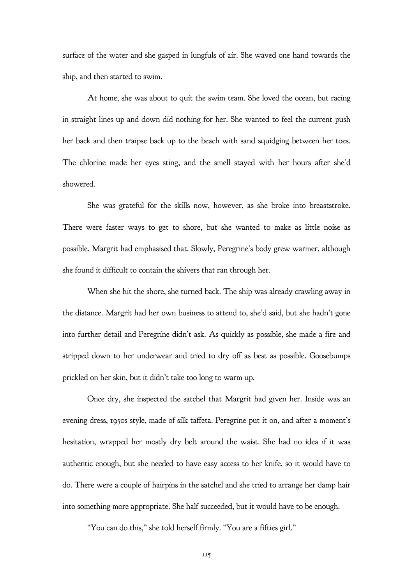surface of the water and she gasped in lungfuls of air. She waved one hand towards the ship, and then started to swim.

At home, she was about to quit the swim team. She loved the ocean, but racing in straight lines up and down did nothing for her. She wanted to feel the current push her back and then traipse back up to the beach with sand squidging between her toes. The chlorine made her eyes sting, and the smell stayed with her hours after she'd showered.

She was grateful for the skills now, however, as she broke into breaststroke. There were faster ways to get to shore, but she wanted to make as little noise as possible. Margrit had emphasised that. Slowly, Peregrine's body grew warmer, although she found it difficult to contain the shivers that ran through her.

When she hit the shore, she turned back. The ship was already crawling away in the distance. Margrit had her own business to attend to, she'd said, but she hadn't gone into further detail and Peregrine didn't ask. As quickly as possible, she made a fire and stripped down to her underwear and tried to dry off as best as possible. Goosebumps prickled on her skin, but it didn't take too long to warm up.

Once dry, she inspected the satchel that Margrit had given her. Inside was an evening dress, 1950s style, made of silk taffeta. Peregrine put it on, and after a moment's hesitation, wrapped her mostly dry belt around the waist. She had no idea if it was authentic enough, but she needed to have easy access to her knife, so it would have to do. There were a couple of hairpins in the satchel and she tried to arrange her damp hair into something more appropriate. She half succeeded, but it would have to be enough.

"You can do this," she told herself firmly. "You are a fifties girl."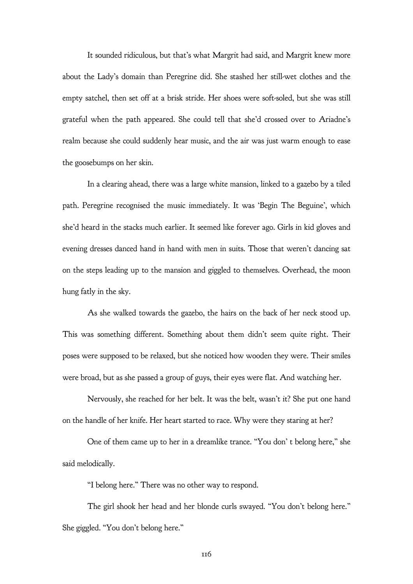It sounded ridiculous, but that's what Margrit had said, and Margrit knew more about the Lady's domain than Peregrine did. She stashed her still-wet clothes and the empty satchel, then set off at a brisk stride. Her shoes were soft-soled, but she was still grateful when the path appeared. She could tell that she'd crossed over to Ariadne's realm because she could suddenly hear music, and the air was just warm enough to ease the goosebumps on her skin.

In a clearing ahead, there was a large white mansion, linked to a gazebo by a tiled path. Peregrine recognised the music immediately. It was 'Begin The Beguine', which she'd heard in the stacks much earlier. It seemed like forever ago. Girls in kid gloves and evening dresses danced hand in hand with men in suits. Those that weren't dancing sat on the steps leading up to the mansion and giggled to themselves. Overhead, the moon hung fatly in the sky.

As she walked towards the gazebo, the hairs on the back of her neck stood up. This was something different. Something about them didn't seem quite right. Their poses were supposed to be relaxed, but she noticed how wooden they were. Their smiles were broad, but as she passed a group of guys, their eyes were flat. And watching her.

Nervously, she reached for her belt. It was the belt, wasn't it? She put one hand on the handle of her knife. Her heart started to race. Why were they staring at her?

One of them came up to her in a dreamlike trance. "You don' t belong here," she said melodically.

"I belong here." There was no other way to respond.

The girl shook her head and her blonde curls swayed. "You don't belong here." She giggled. "You don't belong here."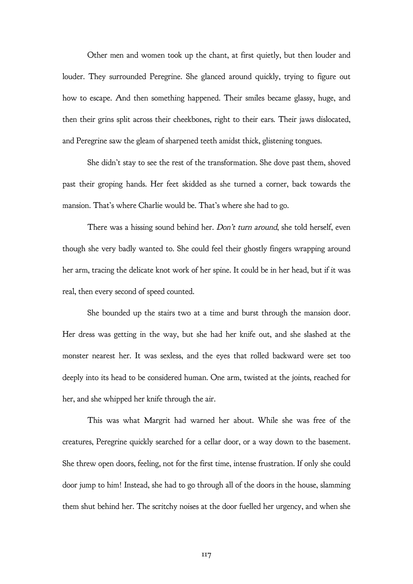Other men and women took up the chant, at first quietly, but then louder and louder. They surrounded Peregrine. She glanced around quickly, trying to figure out how to escape. And then something happened. Their smiles became glassy, huge, and then their grins split across their cheekbones, right to their ears. Their jaws dislocated, and Peregrine saw the gleam of sharpened teeth amidst thick, glistening tongues.

She didn't stay to see the rest of the transformation. She dove past them, shoved past their groping hands. Her feet skidded as she turned a corner, back towards the mansion. That's where Charlie would be. That's where she had to go.

There was a hissing sound behind her. Don't turn around, she told herself, even though she very badly wanted to. She could feel their ghostly fingers wrapping around her arm, tracing the delicate knot work of her spine. It could be in her head, but if it was real, then every second of speed counted.

She bounded up the stairs two at a time and burst through the mansion door. Her dress was getting in the way, but she had her knife out, and she slashed at the monster nearest her. It was sexless, and the eyes that rolled backward were set too deeply into its head to be considered human. One arm, twisted at the joints, reached for her, and she whipped her knife through the air.

This was what Margrit had warned her about. While she was free of the creatures, Peregrine quickly searched for a cellar door, or a way down to the basement. She threw open doors, feeling, not for the first time, intense frustration. If only she could door jump to him! Instead, she had to go through all of the doors in the house, slamming them shut behind her. The scritchy noises at the door fuelled her urgency, and when she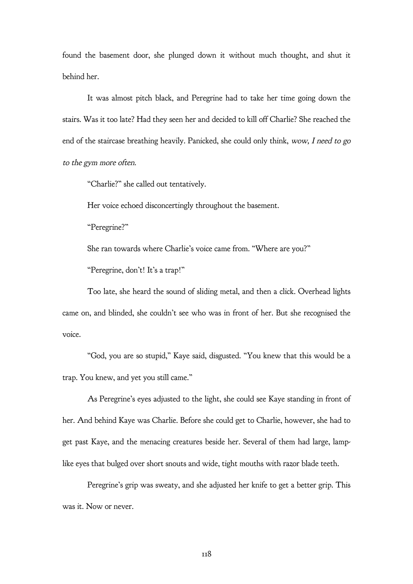found the basement door, she plunged down it without much thought, and shut it behind her.

It was almost pitch black, and Peregrine had to take her time going down the stairs. Was it too late? Had they seen her and decided to kill off Charlie? She reached the end of the staircase breathing heavily. Panicked, she could only think, wow, I need to go to the gym more often.

"Charlie?" she called out tentatively.

Her voice echoed disconcertingly throughout the basement.

"Peregrine?"

She ran towards where Charlie's voice came from. "Where are you?"

"Peregrine, don't! It's a trap!"

Too late, she heard the sound of sliding metal, and then a click. Overhead lights came on, and blinded, she couldn't see who was in front of her. But she recognised the voice.

"God, you are so stupid," Kaye said, disgusted. "You knew that this would be a trap. You knew, and yet you still came."

As Peregrine's eyes adjusted to the light, she could see Kaye standing in front of her. And behind Kaye was Charlie. Before she could get to Charlie, however, she had to get past Kaye, and the menacing creatures beside her. Several of them had large, lamplike eyes that bulged over short snouts and wide, tight mouths with razor blade teeth.

Peregrine's grip was sweaty, and she adjusted her knife to get a better grip. This was it. Now or never.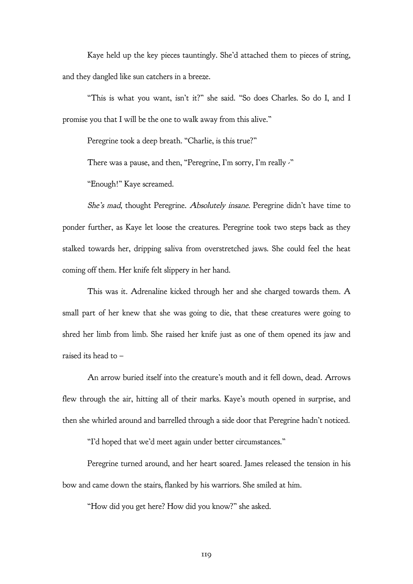Kaye held up the key pieces tauntingly. She'd attached them to pieces of string, and they dangled like sun catchers in a breeze.

"This is what you want, isn't it?" she said. "So does Charles. So do I, and I promise you that I will be the one to walk away from this alive."

Peregrine took a deep breath. "Charlie, is this true?"

There was a pause, and then, "Peregrine, I'm sorry, I'm really -"

"Enough!" Kaye screamed.

She's mad, thought Peregrine. Absolutely insane. Peregrine didn't have time to ponder further, as Kaye let loose the creatures. Peregrine took two steps back as they stalked towards her, dripping saliva from overstretched jaws. She could feel the heat coming off them. Her knife felt slippery in her hand.

This was it. Adrenaline kicked through her and she charged towards them. A small part of her knew that she was going to die, that these creatures were going to shred her limb from limb. She raised her knife just as one of them opened its jaw and raised its head to –

An arrow buried itself into the creature's mouth and it fell down, dead. Arrows flew through the air, hitting all of their marks. Kaye's mouth opened in surprise, and then she whirled around and barrelled through a side door that Peregrine hadn't noticed.

"I'd hoped that we'd meet again under better circumstances."

Peregrine turned around, and her heart soared. James released the tension in his bow and came down the stairs, flanked by his warriors. She smiled at him.

"How did you get here? How did you know?" she asked.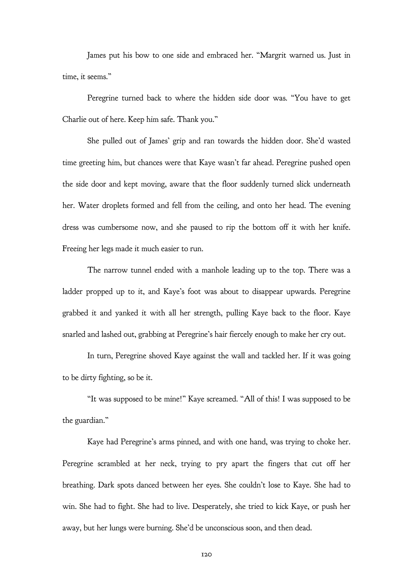James put his bow to one side and embraced her. "Margrit warned us. Just in time, it seems."

Peregrine turned back to where the hidden side door was. "You have to get Charlie out of here. Keep him safe. Thank you."

She pulled out of James' grip and ran towards the hidden door. She'd wasted time greeting him, but chances were that Kaye wasn't far ahead. Peregrine pushed open the side door and kept moving, aware that the floor suddenly turned slick underneath her. Water droplets formed and fell from the ceiling, and onto her head. The evening dress was cumbersome now, and she paused to rip the bottom off it with her knife. Freeing her legs made it much easier to run.

The narrow tunnel ended with a manhole leading up to the top. There was a ladder propped up to it, and Kaye's foot was about to disappear upwards. Peregrine grabbed it and yanked it with all her strength, pulling Kaye back to the floor. Kaye snarled and lashed out, grabbing at Peregrine's hair fiercely enough to make her cry out.

In turn, Peregrine shoved Kaye against the wall and tackled her. If it was going to be dirty fighting, so be it.

"It was supposed to be mine!" Kaye screamed. "All of this! I was supposed to be the guardian."

Kaye had Peregrine's arms pinned, and with one hand, was trying to choke her. Peregrine scrambled at her neck, trying to pry apart the fingers that cut off her breathing. Dark spots danced between her eyes. She couldn't lose to Kaye. She had to win. She had to fight. She had to live. Desperately, she tried to kick Kaye, or push her away, but her lungs were burning. She'd be unconscious soon, and then dead.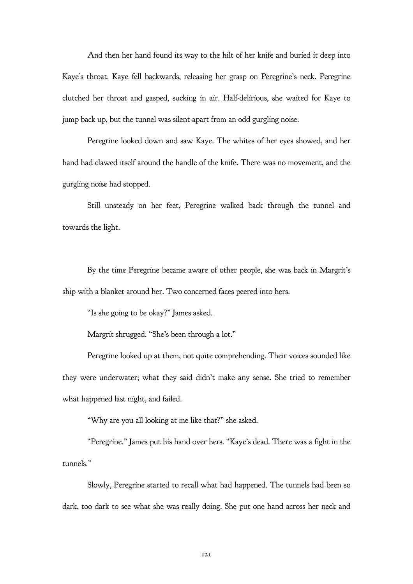And then her hand found its way to the hilt of her knife and buried it deep into Kaye's throat. Kaye fell backwards, releasing her grasp on Peregrine's neck. Peregrine clutched her throat and gasped, sucking in air. Half-delirious, she waited for Kaye to jump back up, but the tunnel was silent apart from an odd gurgling noise.

Peregrine looked down and saw Kaye. The whites of her eyes showed, and her hand had clawed itself around the handle of the knife. There was no movement, and the gurgling noise had stopped.

Still unsteady on her feet, Peregrine walked back through the tunnel and towards the light.

By the time Peregrine became aware of other people, she was back in Margrit's ship with a blanket around her. Two concerned faces peered into hers.

"Is she going to be okay?" James asked.

Margrit shrugged. "She's been through a lot."

Peregrine looked up at them, not quite comprehending. Their voices sounded like they were underwater; what they said didn't make any sense. She tried to remember what happened last night, and failed.

"Why are you all looking at me like that?" she asked.

"Peregrine." James put his hand over hers. "Kaye's dead. There was a fight in the tunnels."

Slowly, Peregrine started to recall what had happened. The tunnels had been so dark, too dark to see what she was really doing. She put one hand across her neck and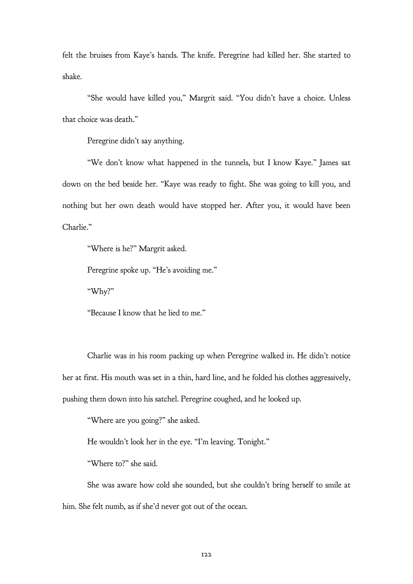felt the bruises from Kaye's hands. The knife. Peregrine had killed her. She started to shake.

"She would have killed you," Margrit said. "You didn't have a choice. Unless that choice was death."

Peregrine didn't say anything.

"We don't know what happened in the tunnels, but I know Kaye." James sat down on the bed beside her. "Kaye was ready to fight. She was going to kill you, and nothing but her own death would have stopped her. After you, it would have been Charlie."

"Where is he?" Margrit asked.

Peregrine spoke up. "He's avoiding me."

"Why?"

"Because I know that he lied to me."

Charlie was in his room packing up when Peregrine walked in. He didn't notice her at first. His mouth was set in a thin, hard line, and he folded his clothes aggressively, pushing them down into his satchel. Peregrine coughed, and he looked up.

"Where are you going?" she asked.

He wouldn't look her in the eye. "I'm leaving. Tonight."

"Where to?" she said.

She was aware how cold she sounded, but she couldn't bring herself to smile at him. She felt numb, as if she'd never got out of the ocean.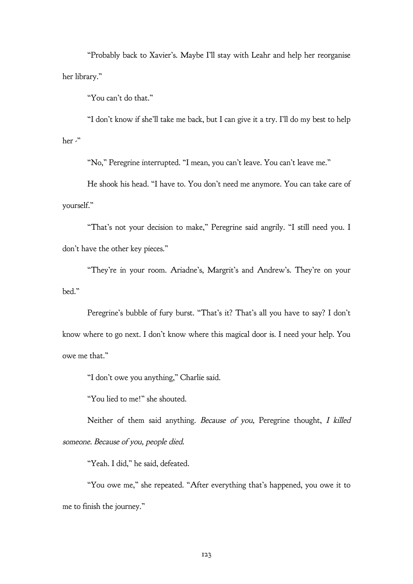"Probably back to Xavier's. Maybe I'll stay with Leahr and help her reorganise her library."

"You can't do that."

"I don't know if she'll take me back, but I can give it a try. I'll do my best to help her -"

"No," Peregrine interrupted. "I mean, you can't leave. You can't leave me."

He shook his head. "I have to. You don't need me anymore. You can take care of yourself."

"That's not your decision to make," Peregrine said angrily. "I still need you. I don't have the other key pieces."

"They're in your room. Ariadne's, Margrit's and Andrew's. They're on your bed."

Peregrine's bubble of fury burst. "That's it? That's all you have to say? I don't know where to go next. I don't know where this magical door is. I need your help. You owe me that."

"I don't owe you anything," Charlie said.

"You lied to me!" she shouted.

Neither of them said anything. Because of you, Peregrine thought, I killed someone. Because of you, people died.

"Yeah. I did," he said, defeated.

"You owe me," she repeated. "After everything that's happened, you owe it to me to finish the journey."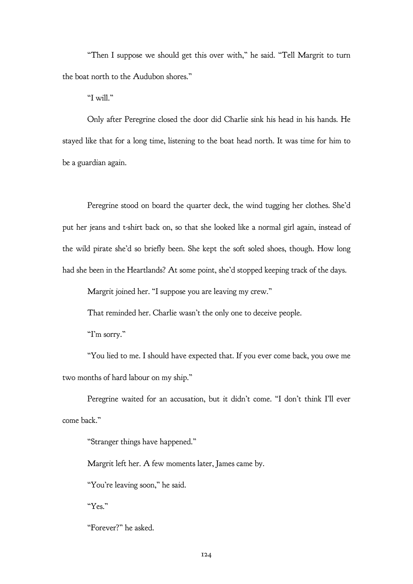"Then I suppose we should get this over with," he said. "Tell Margrit to turn the boat north to the Audubon shores."

"I will."

Only after Peregrine closed the door did Charlie sink his head in his hands. He stayed like that for a long time, listening to the boat head north. It was time for him to be a guardian again.

Peregrine stood on board the quarter deck, the wind tugging her clothes. She'd put her jeans and t-shirt back on, so that she looked like a normal girl again, instead of the wild pirate she'd so briefly been. She kept the soft soled shoes, though. How long had she been in the Heartlands? At some point, she'd stopped keeping track of the days.

Margrit joined her. "I suppose you are leaving my crew."

That reminded her. Charlie wasn't the only one to deceive people.

"I'm sorry."

"You lied to me. I should have expected that. If you ever come back, you owe me two months of hard labour on my ship."

Peregrine waited for an accusation, but it didn't come. "I don't think I'll ever come back."

"Stranger things have happened."

Margrit left her. A few moments later, James came by.

"You're leaving soon," he said.

"Yes."

"Forever?" he asked.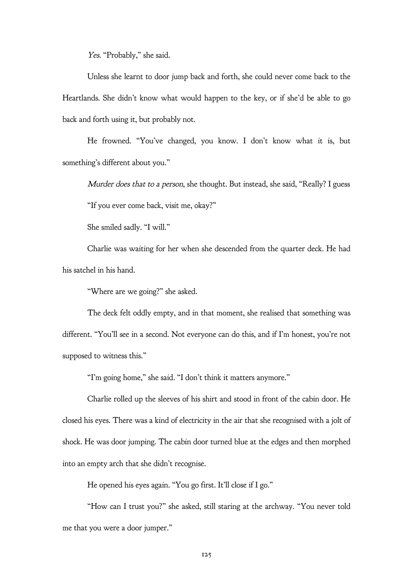Yes. "Probably," she said.

Unless she learnt to door jump back and forth, she could never come back to the Heartlands. She didn't know what would happen to the key, or if she'd be able to go back and forth using it, but probably not.

He frowned. "You've changed, you know. I don't know what it is, but something's different about you."

Murder does that to a person, she thought. But instead, she said, "Really? I guess

"If you ever come back, visit me, okay?"

She smiled sadly. "I will."

Charlie was waiting for her when she descended from the quarter deck. He had his satchel in his hand.

"Where are we going?" she asked.

The deck felt oddly empty, and in that moment, she realised that something was different. "You'll see in a second. Not everyone can do this, and if I'm honest, you're not supposed to witness this."

"I'm going home," she said. "I don't think it matters anymore."

Charlie rolled up the sleeves of his shirt and stood in front of the cabin door. He closed his eyes. There was a kind of electricity in the air that she recognised with a jolt of shock. He was door jumping. The cabin door turned blue at the edges and then morphed into an empty arch that she didn't recognise.

He opened his eyes again. "You go first. It'll close if I go."

"How can I trust you?" she asked, still staring at the archway. "You never told me that you were a door jumper."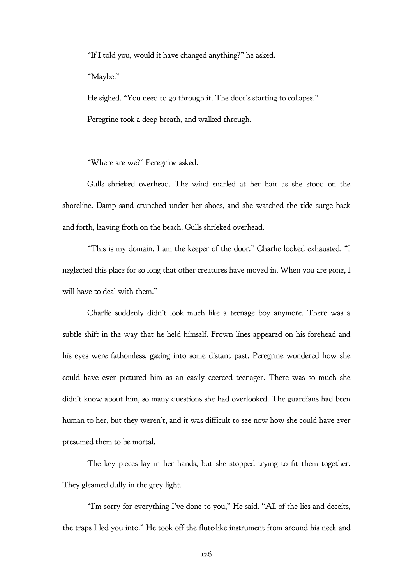"If I told you, would it have changed anything?" he asked.

"Maybe."

He sighed. "You need to go through it. The door's starting to collapse." Peregrine took a deep breath, and walked through.

"Where are we?" Peregrine asked.

Gulls shrieked overhead. The wind snarled at her hair as she stood on the shoreline. Damp sand crunched under her shoes, and she watched the tide surge back and forth, leaving froth on the beach. Gulls shrieked overhead.

"This is my domain. I am the keeper of the door." Charlie looked exhausted. "I neglected this place for so long that other creatures have moved in. When you are gone, I will have to deal with them."

Charlie suddenly didn't look much like a teenage boy anymore. There was a subtle shift in the way that he held himself. Frown lines appeared on his forehead and his eyes were fathomless, gazing into some distant past. Peregrine wondered how she could have ever pictured him as an easily coerced teenager. There was so much she didn't know about him, so many questions she had overlooked. The guardians had been human to her, but they weren't, and it was difficult to see now how she could have ever presumed them to be mortal.

The key pieces lay in her hands, but she stopped trying to fit them together. They gleamed dully in the grey light.

"I'm sorry for everything I've done to you," He said. "All of the lies and deceits, the traps I led you into." He took off the flute-like instrument from around his neck and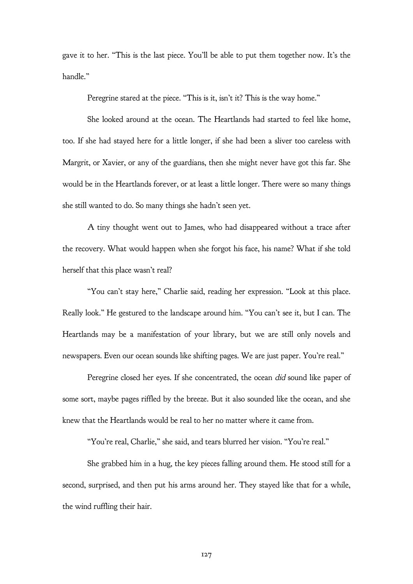gave it to her. "This is the last piece. You'll be able to put them together now. It's the handle."

Peregrine stared at the piece. "This is it, isn't it? This is the way home."

She looked around at the ocean. The Heartlands had started to feel like home, too. If she had stayed here for a little longer, if she had been a sliver too careless with Margrit, or Xavier, or any of the guardians, then she might never have got this far. She would be in the Heartlands forever, or at least a little longer. There were so many things she still wanted to do. So many things she hadn't seen yet.

A tiny thought went out to James, who had disappeared without a trace after the recovery. What would happen when she forgot his face, his name? What if she told herself that this place wasn't real?

"You can't stay here," Charlie said, reading her expression. "Look at this place. Really look." He gestured to the landscape around him. "You can't see it, but I can. The Heartlands may be a manifestation of your library, but we are still only novels and newspapers. Even our ocean sounds like shifting pages. We are just paper. You're real."

Peregrine closed her eyes. If she concentrated, the ocean did sound like paper of some sort, maybe pages riffled by the breeze. But it also sounded like the ocean, and she knew that the Heartlands would be real to her no matter where it came from.

"You're real, Charlie," she said, and tears blurred her vision. "You're real."

She grabbed him in a hug, the key pieces falling around them. He stood still for a second, surprised, and then put his arms around her. They stayed like that for a while, the wind ruffling their hair.

127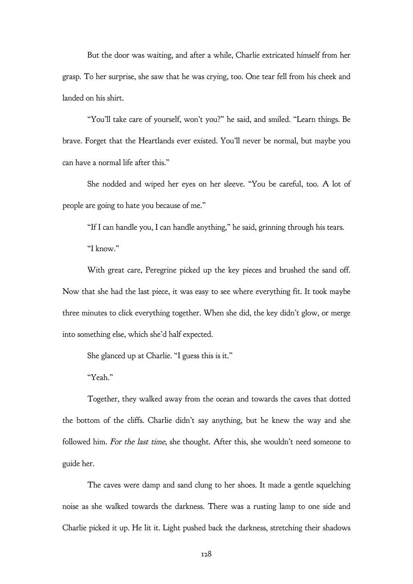But the door was waiting, and after a while, Charlie extricated himself from her grasp. To her surprise, she saw that he was crying, too. One tear fell from his cheek and landed on his shirt.

"You'll take care of yourself, won't you?" he said, and smiled. "Learn things. Be brave. Forget that the Heartlands ever existed. You'll never be normal, but maybe you can have a normal life after this."

She nodded and wiped her eyes on her sleeve. "You be careful, too. A lot of people are going to hate you because of me."

"If I can handle you, I can handle anything," he said, grinning through his tears.

"I know."

With great care, Peregrine picked up the key pieces and brushed the sand off. Now that she had the last piece, it was easy to see where everything fit. It took maybe three minutes to click everything together. When she did, the key didn't glow, or merge into something else, which she'd half expected.

She glanced up at Charlie. "I guess this is it."

"Yeah."

Together, they walked away from the ocean and towards the caves that dotted the bottom of the cliffs. Charlie didn't say anything, but he knew the way and she followed him. For the last time, she thought. After this, she wouldn't need someone to guide her.

The caves were damp and sand clung to her shoes. It made a gentle squelching noise as she walked towards the darkness. There was a rusting lamp to one side and Charlie picked it up. He lit it. Light pushed back the darkness, stretching their shadows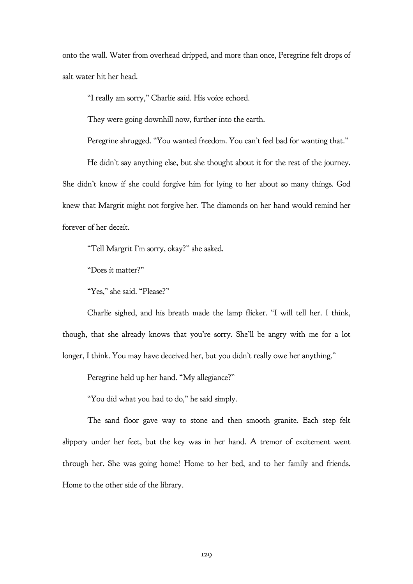onto the wall. Water from overhead dripped, and more than once, Peregrine felt drops of salt water hit her head.

"I really am sorry," Charlie said. His voice echoed.

They were going downhill now, further into the earth.

Peregrine shrugged. "You wanted freedom. You can't feel bad for wanting that."

He didn't say anything else, but she thought about it for the rest of the journey. She didn't know if she could forgive him for lying to her about so many things. God knew that Margrit might not forgive her. The diamonds on her hand would remind her forever of her deceit.

"Tell Margrit I'm sorry, okay?" she asked.

"Does it matter?"

"Yes," she said. "Please?"

Charlie sighed, and his breath made the lamp flicker. "I will tell her. I think, though, that she already knows that you're sorry. She'll be angry with me for a lot longer, I think. You may have deceived her, but you didn't really owe her anything."

Peregrine held up her hand. "My allegiance?"

"You did what you had to do," he said simply.

The sand floor gave way to stone and then smooth granite. Each step felt slippery under her feet, but the key was in her hand. A tremor of excitement went through her. She was going home! Home to her bed, and to her family and friends. Home to the other side of the library.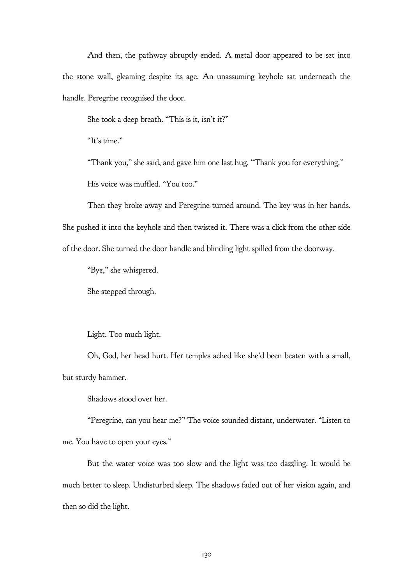And then, the pathway abruptly ended. A metal door appeared to be set into the stone wall, gleaming despite its age. An unassuming keyhole sat underneath the handle. Peregrine recognised the door.

She took a deep breath. "This is it, isn't it?"

"It's time."

"Thank you," she said, and gave him one last hug. "Thank you for everything."

His voice was muffled. "You too."

Then they broke away and Peregrine turned around. The key was in her hands. She pushed it into the keyhole and then twisted it. There was a click from the other side of the door. She turned the door handle and blinding light spilled from the doorway.

"Bye," she whispered.

She stepped through.

Light. Too much light.

Oh, God, her head hurt. Her temples ached like she'd been beaten with a small, but sturdy hammer.

Shadows stood over her.

"Peregrine, can you hear me?" The voice sounded distant, underwater. "Listen to me. You have to open your eyes."

But the water voice was too slow and the light was too dazzling. It would be much better to sleep. Undisturbed sleep. The shadows faded out of her vision again, and then so did the light.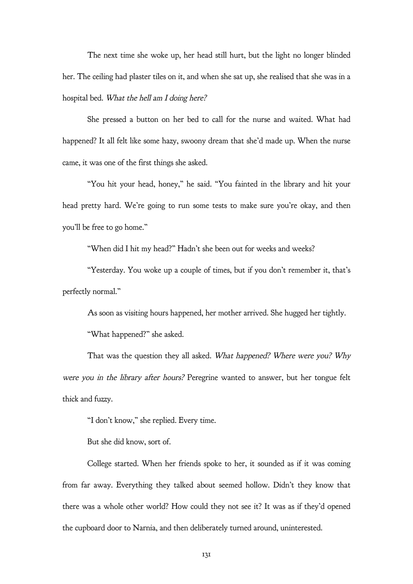The next time she woke up, her head still hurt, but the light no longer blinded her. The ceiling had plaster tiles on it, and when she sat up, she realised that she was in a hospital bed. What the hell am I doing here?

She pressed a button on her bed to call for the nurse and waited. What had happened? It all felt like some hazy, swoony dream that she'd made up. When the nurse came, it was one of the first things she asked.

"You hit your head, honey," he said. "You fainted in the library and hit your head pretty hard. We're going to run some tests to make sure you're okay, and then you'll be free to go home."

"When did I hit my head?" Hadn't she been out for weeks and weeks?

"Yesterday. You woke up a couple of times, but if you don't remember it, that's perfectly normal."

As soon as visiting hours happened, her mother arrived. She hugged her tightly.

"What happened?" she asked.

That was the question they all asked. What happened? Where were you? Why were you in the library after hours? Peregrine wanted to answer, but her tongue felt thick and fuzzy.

"I don't know," she replied. Every time.

But she did know, sort of.

College started. When her friends spoke to her, it sounded as if it was coming from far away. Everything they talked about seemed hollow. Didn't they know that there was a whole other world? How could they not see it? It was as if they'd opened the cupboard door to Narnia, and then deliberately turned around, uninterested.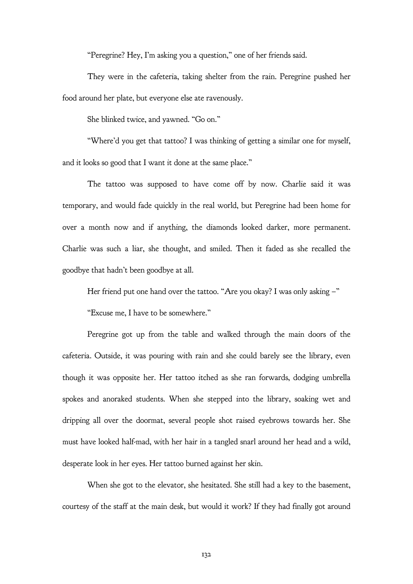"Peregrine? Hey, I'm asking you a question," one of her friends said.

They were in the cafeteria, taking shelter from the rain. Peregrine pushed her food around her plate, but everyone else ate ravenously.

She blinked twice, and yawned. "Go on."

"Where'd you get that tattoo? I was thinking of getting a similar one for myself, and it looks so good that I want it done at the same place."

The tattoo was supposed to have come off by now. Charlie said it was temporary, and would fade quickly in the real world, but Peregrine had been home for over a month now and if anything, the diamonds looked darker, more permanent. Charlie was such a liar, she thought, and smiled. Then it faded as she recalled the goodbye that hadn't been goodbye at all.

Her friend put one hand over the tattoo. "Are you okay? I was only asking -"

"Excuse me, I have to be somewhere."

Peregrine got up from the table and walked through the main doors of the cafeteria. Outside, it was pouring with rain and she could barely see the library, even though it was opposite her. Her tattoo itched as she ran forwards, dodging umbrella spokes and anoraked students. When she stepped into the library, soaking wet and dripping all over the doormat, several people shot raised eyebrows towards her. She must have looked half-mad, with her hair in a tangled snarl around her head and a wild, desperate look in her eyes. Her tattoo burned against her skin.

When she got to the elevator, she hesitated. She still had a key to the basement, courtesy of the staff at the main desk, but would it work? If they had finally got around